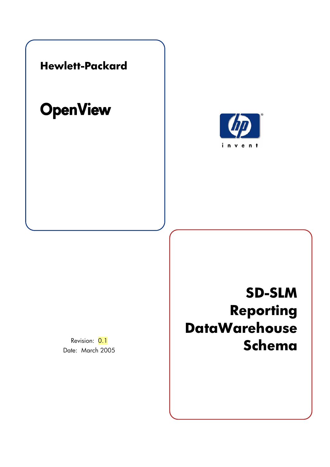

# **OpenView**



Revision: 0.1 Date: March 2005

# **SD-SLM Reporting DataWarehouse Schema**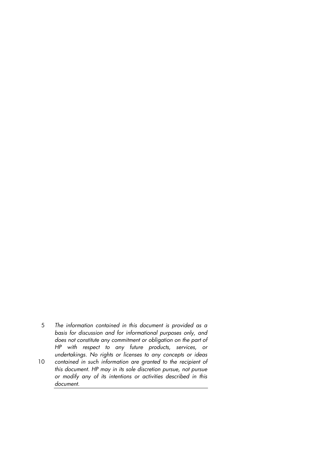- 5 *The information contained in this document is provided as a basis for discussion and for informational purposes only, and does not constitute any commitment or obligation on the part of HP with respect to any future products, services, or undertakings. No rights or licenses to any concepts or ideas*  10 contained in such information are granted to the recipient of *this document. HP may in its sole discretion pursue, not pursue*
- *or modify any of its intentions or activities described in this document.*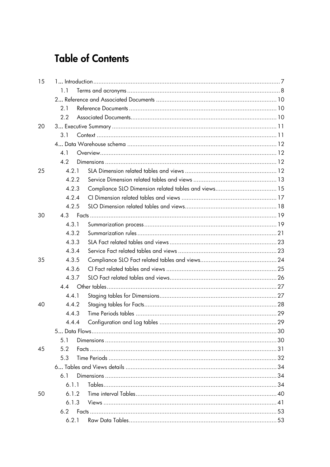# **Table of Contents**

| 15 |       |  |
|----|-------|--|
|    | 1.1   |  |
|    |       |  |
|    | 2.1   |  |
|    | 2.2   |  |
| 20 |       |  |
|    | 3.1   |  |
|    |       |  |
|    | 4.1   |  |
|    | 4.2   |  |
| 25 | 4.2.1 |  |
|    | 4.2.2 |  |
|    | 4.2.3 |  |
|    | 4.2.4 |  |
|    | 4.2.5 |  |
| 30 |       |  |
|    | 4.3.1 |  |
|    | 4.3.2 |  |
|    | 4.3.3 |  |
|    | 4.3.4 |  |
| 35 | 4.3.5 |  |
|    | 4.3.6 |  |
|    | 4.3.7 |  |
|    | 4.4   |  |
|    | 4.4.1 |  |
| 40 | 4.4.2 |  |
|    | 4.4.3 |  |
|    | 4.4.4 |  |
|    |       |  |
|    | 5.1   |  |
| 45 | 5.2   |  |
|    | 5.3   |  |
|    |       |  |
|    | 6.1   |  |
|    | 611   |  |
| 50 | 6.1.2 |  |
|    | 6.1.3 |  |
|    |       |  |
|    | 6.2.1 |  |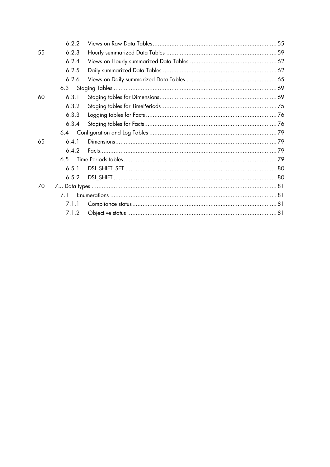|    | 6.2.2 |  |
|----|-------|--|
| 55 | 6.2.3 |  |
|    | 6.2.4 |  |
|    | 6.2.5 |  |
|    | 6.2.6 |  |
|    | 6.3   |  |
| 60 | 6.3.1 |  |
|    | 6.3.2 |  |
|    | 6.3.3 |  |
|    | 6.3.4 |  |
|    | 6.4   |  |
| 65 | 6.4.1 |  |
|    | 6.4.2 |  |
|    | 65    |  |
|    | 6.5.1 |  |
|    | 6.5.2 |  |
| 70 |       |  |
|    | 71    |  |
|    | 7.1.1 |  |
|    | 7.1.2 |  |
|    |       |  |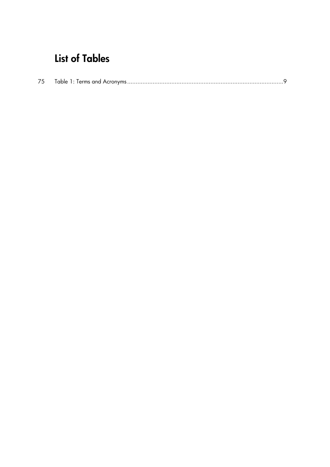# **List of Tables**

|--|--|--|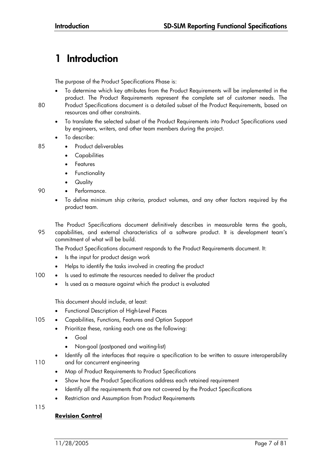## **1 Introduction**

The purpose of the Product Specifications Phase is:

- To determine which key attributes from the Product Requirements will be implemented in the product. The Product Requirements represent the complete set of customer needs. The
- 80 Product Specifications document is a detailed subset of the Product Requirements, based on resources and other constraints.
	- To translate the selected subset of the Product Requirements into Product Specifications used by engineers, writers, and other team members during the project.
	- To describe:
- 85 Product deliverables
	- **Capabilities**
	- **Features**
	- **Functionality**
	- **Quality**
- 90 · Performance.
	- To define minimum ship criteria, product volumes, and any other factors required by the product team.
- The Product Specifications document definitively describes in measurable terms the goals, 95 capabilities, and external characteristics of a software product. It is development team's commitment of what will be build.

The Product Specifications document responds to the Product Requirements document. It:

- Is the input for product design work
- Helps to identify the tasks involved in creating the product
- 100 Is used to estimate the resources needed to deliver the product
	- Is used as a measure against which the product is evaluated

This document should include, at least:

- Functional Description of High-Level Pieces
- 105 Capabilities, Functions, Features and Option Support
	- Prioritize these, ranking each one as the following:
		- Goal
		- Non-goal (postponed and waiting-list)
- Identify all the interfaces that require a specification to be written to assure interoperability 110 and for concurrent engineering
	- Map of Product Requirements to Product Specifications
	- Show how the Product Specifications address each retained requirement
	- Identify all the requirements that are not covered by the Product Specifications
	- Restriction and Assumption from Product Requirements

115

#### **Revision Control**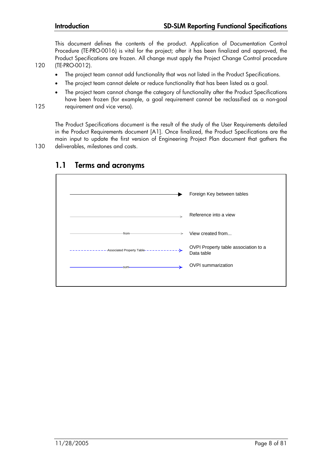This document defines the contents of the product. Application of Documentation Control Procedure (TE-PRO-0016) is vital for the project; after it has been finalized and approved, the Product Specifications are frozen. All change must apply the Project Change Control procedure 120 (TE-PRO-0012).

- The project team cannot add functionality that was not listed in the Product Specifications.
- The project team cannot delete or reduce functionality that has been listed as a goal.
- The project team cannot change the category of functionality after the Product Specifications have been frozen (for example, a goal requirement cannot be reclassified as a non-goal 125 requirement and vice versa).

The Product Specifications document is the result of the study of the User Requirements detailed in the Product Requirements document [A1]. Once finalized, the Product Specifications are the main input to update the first version of Engineering Project Plan document that gathers the 130 deliverables, milestones and costs.



## **1.1 Terms and acronyms**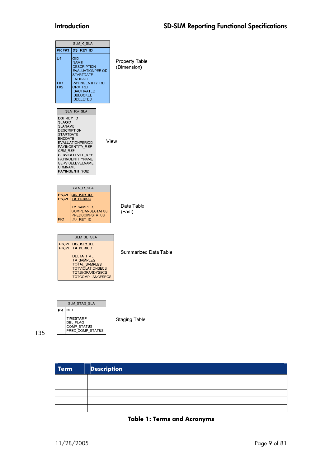|                                                                                                            | SLM K SLA                                                                                                                                                                                                     |                               |
|------------------------------------------------------------------------------------------------------------|---------------------------------------------------------------------------------------------------------------------------------------------------------------------------------------------------------------|-------------------------------|
| PK FK3                                                                                                     | <b>DSI KEY ID</b>                                                                                                                                                                                             |                               |
| U1<br>FK1<br>FK2                                                                                           | <b>OID</b><br><b>NAME</b><br><b>DESCRIPTION</b><br><b>EVALUATIONPERIOD</b><br><b>STARTDATE</b><br><b>ENDDATE</b><br>PAYINGENTITY REF<br>CRM REF<br><b>ISACTIVATED</b><br><b>ISBLOCKED</b><br><b>ISDELETED</b> | Property Table<br>(Dimension) |
|                                                                                                            |                                                                                                                                                                                                               |                               |
| DSI_KEY_ID<br><b>SLAOID</b><br>SLANAME<br>DESCRIPTION<br>STARTDATE<br><b>ENDDATE</b><br>CRM REF<br>CRMNAME | SLM KV SLA<br>EVALUATIONPERIOD<br>PAYINGENTITY REF<br>SERVICELEVEL REF<br>PAYINGENTITYNAME<br>SERVICELEVELNAME<br>PAYINGENTITYOID                                                                             | View                          |
|                                                                                                            | SLM R SLA                                                                                                                                                                                                     |                               |
| PK U1<br>PK U1                                                                                             | DSI KEY ID<br><b>TA PERIOD</b>                                                                                                                                                                                |                               |
| FK1                                                                                                        | TA SAMPLES<br><b>COMPLIANCESTATUS</b><br><b>PREDCOMPSTATUS</b><br><b>DSI KEY ID</b>                                                                                                                           | Data Table<br>(Fact)          |
|                                                                                                            |                                                                                                                                                                                                               |                               |
|                                                                                                            | SLM SD SLA                                                                                                                                                                                                    |                               |
| PK U1<br>PK U1                                                                                             | <b>DSI KEY ID</b><br><b>TA PERIOD</b>                                                                                                                                                                         |                               |
|                                                                                                            | <b>DELTA TIME</b><br><b>TA SAMPLES</b><br>TOTAL_SAMPLES<br><b>TOTVIOLATIONSECS</b><br><b>TOTJEOPARDYSECS</b><br><b>TOTCOMPLIANCESECS</b>                                                                      | Summarized Data Table         |
|                                                                                                            | SLM STAG SLA                                                                                                                                                                                                  |                               |

135

 $F$ K 0ID

TIMESTAMP<br>DEL\_FLAG<br>COMP\_STATUS<br>PRED\_COMP\_STATUS

**Staging Table** 

| <b>Term</b> | <b>Description</b> |
|-------------|--------------------|
|             |                    |
|             |                    |
|             |                    |
|             |                    |
|             |                    |

#### **Table 1: Terms and Acronyms**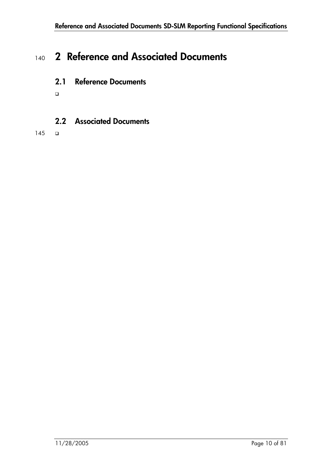## <sup>140</sup>**2 Reference and Associated Documents**

## **2.1 Reference Documents**

 $\Box$ 

## **2.2 Associated Documents**

 $145$   $\Box$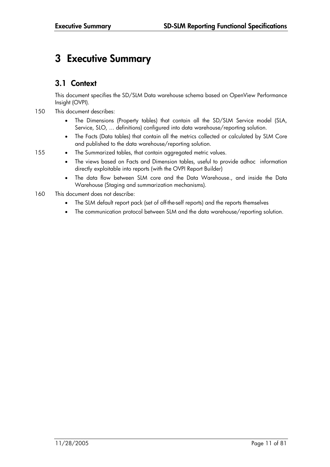## **3 Executive Summary**

### **3.1 Context**

This document specifies the SD/SLM Data warehouse schema based on OpenView Performance Insight (OVPI).

- 150 This document describes:
	- The Dimensions (Property tables) that contain all the SD/SLM Service model (SLA, Service, SLO, ... definitions) configured into data warehouse/reporting solution.
	- The Facts (Data tables) that contain all the metrics collected or calculated by SLM Core and published to the data warehouse/reporting solution.
- 155 The Summarized tables, that contain aggregated metric values.
	- The views based on Facts and Dimension tables, useful to provide adhoc information directly exploitable into reports (with the OVPI Report Builder)
	- The data flow between SLM core and the Data Warehouse., and inside the Data Warehouse (Staging and summarization mechanisms).
- 160 This document does not describe:
	- The SLM default report pack (set of off-the-self reports) and the reports themselves
	- The communication protocol between SLM and the data warehouse/reporting solution.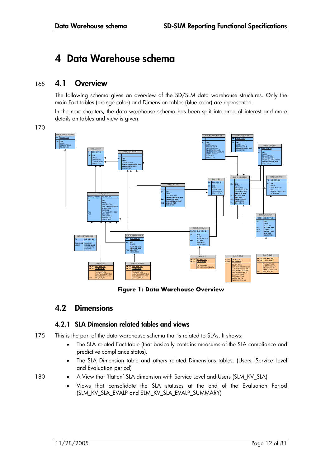## **4 Data Warehouse schema**

### 165 **4.1 Overview**

The following schema gives an overview of the SD/SLM data warehouse structures. Only the main Fact tables (orange color) and Dimension tables (blue color) are represented.

In the next chapters, the data warehouse schema has been split into area of interest and more details on tables and view is given.

170



**Figure 1: Data Warehouse Overview** 

### **4.2 Dimensions**

#### **4.2.1 SLA Dimension related tables and views**

175 This is the part of the data warehouse schema that is related to SLAs. It shows:

- The SLA related Fact table (that basically contains measures of the SLA compliance and predictive compliance status).
- The SLA Dimension table and others related Dimensions tables. (Users, Service Level and Evaluation period)

- 180 A View that 'flatten' SLA dimension with Service Level and Users (SLM\_KV\_SLA)
	- Views that consolidate the SLA statuses at the end of the Evaluation Period (SLM\_KV\_SLA\_EVALP and SLM\_KV\_SLA\_EVALP\_SUMMARY)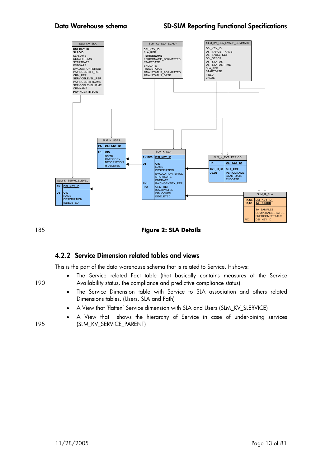

185 **Figure 2: SLA Details** 

#### **4.2.2 Service Dimension related tables and views**

This is the part of the data warehouse schema that is related to Service. It shows:

- The Service related Fact table (that basically contains measures of the Service 190 Availability status, the compliance and predictive compliance status).
	- The Service Dimension table with Service to SLA association and others related Dimensions tables. (Users, SLA and Path)
	- A View that 'flatten' Service dimension with SLA and Users (SLM\_KV\_SLERVICE)
- A View that shows the hierarchy of Service in case of under-pining services 195 (SLM\_KV\_SERVICE\_PARENT)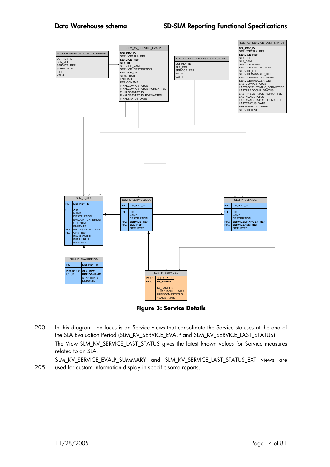#### **Data Warehouse schema SD-SLM Reporting Functional Specifications**



**Figure 3: Service Details** 

200 In this diagram, the focus is on Service views that consolidate the Service statuses at the end of the SLA Evaluation Period (SLM\_KV\_SERVICE\_EVALP and SLM\_KV\_SERVICE\_LAST\_STATUS). The View SLM\_KV\_SERVICE\_LAST\_STATUS gives the latest known values for Service measures related to an SLA.

SLM\_KV\_SERVICE\_EVALP\_SUMMARY and SLM\_KV\_SERVICE\_LAST\_STATUS\_EXT views are 205 used for custom information display in specific some reports.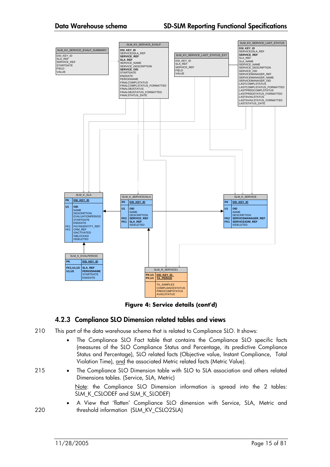#### **Data Warehouse schema SD-SLM Reporting Functional Specifications**



**Figure 4: Service details (cont'd)** 

#### **4.2.3 Compliance SLO Dimension related tables and views**

- 210 This part of the data warehouse schema that is related to Compliance SLO. It shows:
	- The Compliance SLO Fact table that contains the Compliance SLO specific facts (measures of the SLO Compliance Status and Percentage, its predictive Compliance Status and Percentage), SLO related facts (Objective value, Instant Compliance, Total Violation Time), and the associated Metric related facts (Metric Value).
- 215 The Compliance SLO Dimension table with SLO to SLA association and others related Dimensions tables. (Service, SLA, Metric)

Note: the Compliance SLO Dimension information is spread into the 2 tables: SLM\_K\_CSLODEF and SLM\_K\_SLODEF)

• A View that 'flatten' Compliance SLO dimension with Service, SLA, Metric and 220 threshold information (SLM\_KV\_CSLO2SLA)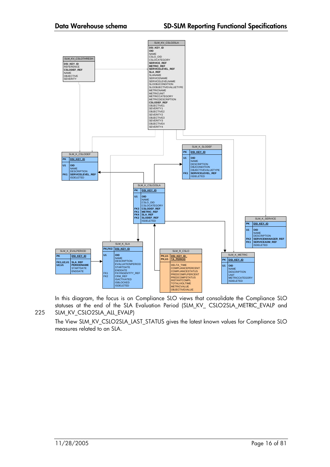

In this diagram, the focus is on Compliance SLO views that consolidate the Compliance SLO statuses at the end of the SLA Evaluation Period (SLM\_KV\_ CSLO2SLA\_METRIC\_EVALP and 225 SLM\_KV\_CSLO2SLA\_ALL\_EVALP)

The View SLM\_KV\_CSLO2SLA\_LAST\_STATUS gives the latest known values for Compliance SLO measures related to an SLA.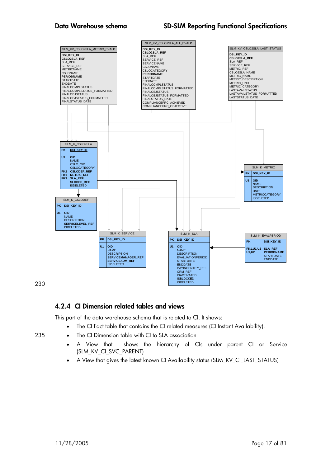

230

### **4.2.4 CI Dimension related tables and views**

This part of the data warehouse schema that is related to CI. It shows:

- The CI Fact table that contains the CI related measures (CI Instant Availability).
- 235 The CI Dimension table with CI to SLA association
	- A View that shows the hierarchy of CIs under parent CI or Service (SLM\_KV\_CI\_SVC\_PARENT)
	- A View that gives the latest known CI Availability status (SLM\_KV\_CI\_LAST\_STATUS)
-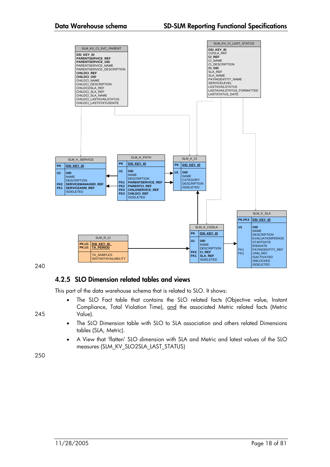

#### **4.2.5 SLO Dimension related tables and views**

This part of the data warehouse schema that is related to SLO. It shows:

- The SLO Fact table that contains the SLO related facts (Objective value, Instant Compliance, Total Violation Time), and the associated Metric related facts (Metric 245 Value).
	- The SLO Dimension table with SLO to SLA association and others related Dimensions tables (SLA, Metric).
	- A View that 'flatten' SLO dimension with SLA and Metric and latest values of the SLO measures (SLM\_KV\_SLO2SLA\_LAST\_STATUS)

250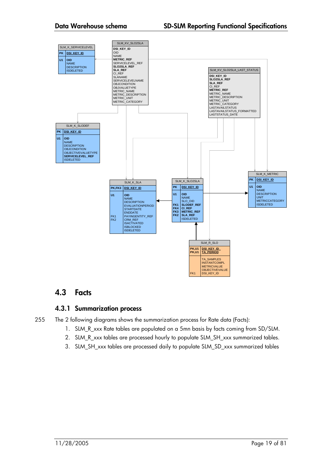

### **4.3 Facts**

#### **4.3.1 Summarization process**

- 255 The 2 following diagrams shows the summarization process for Rate data (Facts):
	- 1. SLM\_R\_xxx Rate tables are populated on a 5mn basis by facts coming from SD/SLM.
	- 2. SLM\_R\_xxx tables are processed hourly to populate SLM\_SH\_xxx summarized tables.
	- 3. SLM\_SH\_xxx tables are processed daily to populate SLM\_SD\_xxx summarized tables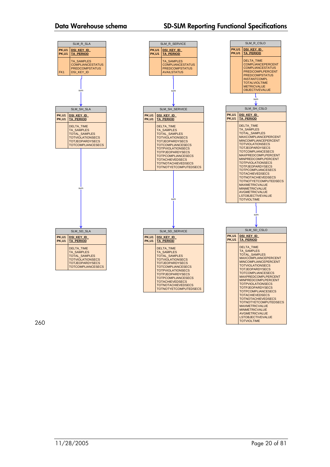#### **Data Warehouse schema SD-SLM Reporting Functional Specifications**



260

TOTVIOLTIME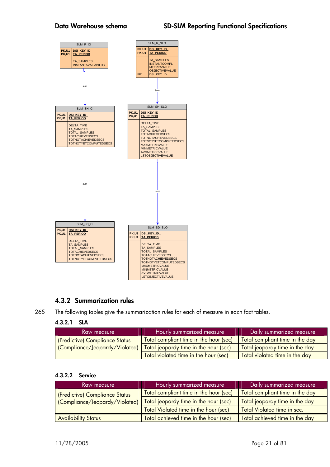

### **4.3.2 Summarization rules**

265 The following tables give the summarization rules for each of measure in each fact tables.

#### **4.3.2.1 SLA**

| Raw measure                             | Hourly summarized measure              | Daily summarized measure        |
|-----------------------------------------|----------------------------------------|---------------------------------|
| <b>I</b> (Predictive) Compliance Status | Total compliant time in the hour (sec) | Total compliant time in the day |
| (Compliance/Jeopardy/Violated)          | Total jeopardy time in the hour (sec)  | Total jeopardy time in the day  |
|                                         | Total violated time in the hour (sec)  | Total violated time in the day  |

#### **4.3.2.2 Service**

| Raw measure                    | Hourly summarized measure              | Daily summarized measure        |
|--------------------------------|----------------------------------------|---------------------------------|
| (Predictive) Compliance Status | Total compliant time in the hour (sec) | Total compliant time in the day |
| (Compliance/Jeopardy/Violated) | Total jeopardy time in the hour (sec)  | Total jeopardy time in the day  |
|                                | Total Violated time in the hour (sec)  | Total Violated time in sec.     |
| <b>Availability Status</b>     | Total achieved time in the hour (sec)  | Total achieved time in the day  |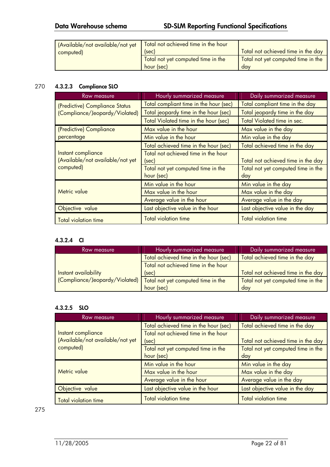### **Data Warehouse schema SD-SLM Reporting Functional Specifications**

| (Available/not available/not yet<br>computed) | Total not achieved time in the hour<br>(sec)     | Total not achieved time in the day        |
|-----------------------------------------------|--------------------------------------------------|-------------------------------------------|
|                                               | Total not yet computed time in the<br>hour (sec) | Total not yet computed time in the<br>dav |

#### 270 **4.3.2.3 Compliance SLO**

| Raw measure                      | Hourly summarized measure              | Daily summarized measure           |
|----------------------------------|----------------------------------------|------------------------------------|
| (Predictive) Compliance Status   | Total compliant time in the hour (sec) | Total compliant time in the day    |
| (Compliance/Jeopardy/Violated)   | Total jeopardy time in the hour (sec)  | Total jeopardy time in the day     |
|                                  | Total Violated time in the hour (sec)  | Total Violated time in sec.        |
| (Predictive) Compliance          | Max value in the hour                  | Max value in the day               |
| percentage                       | Min value in the hour                  | Min value in the day               |
|                                  | Total achieved time in the hour (sec)  | Total achieved time in the day     |
| Instant compliance               | Total not achieved time in the hour    |                                    |
| (Available/not available/not yet | (sec)                                  | Total not achieved time in the day |
| computed)                        | Total not yet computed time in the     | Total not yet computed time in the |
|                                  | hour (sec)                             | day                                |
|                                  | Min value in the hour                  | Min value in the day               |
| Metric value                     | Max value in the hour                  | Max value in the day               |
|                                  | Average value in the hour              | Average value in the day           |
| Objective value                  | Last objective value in the hour       | Last objective value in the day    |
| <b>Total violation time</b>      | <b>Total violation time</b>            | <b>Total violation time</b>        |

#### **4.3.2.4 CI**

| <b>Raw measure</b>             | Hourly summarized measure             | Daily summarized measure           |
|--------------------------------|---------------------------------------|------------------------------------|
|                                | Total achieved time in the hour (sec) | Total achieved time in the day     |
|                                | Total not achieved time in the hour   |                                    |
| Instant availability           | (sec)                                 | Total not achieved time in the day |
| (Compliance/Jeopardy/Violated) | Total not yet computed time in the    | Total not yet computed time in the |
|                                | hour (sec)                            | dav                                |

#### **4.3.2.5 SLO**

| Raw measure                                            | Hourly summarized measure                        | Daily summarized measure                  |
|--------------------------------------------------------|--------------------------------------------------|-------------------------------------------|
|                                                        | Total achieved time in the hour (sec)            | Total achieved time in the day            |
| Instant compliance<br>(Available/not available/not yet | Total not achieved time in the hour<br>(sec)     | Total not achieved time in the day        |
| computed)                                              | Total not yet computed time in the<br>hour (sec) | Total not yet computed time in the<br>day |
|                                                        | Min value in the hour                            | Min value in the day                      |
| Metric value                                           | Max value in the hour                            | Max value in the day                      |
|                                                        | Average value in the hour                        | Average value in the day                  |
| Objective value                                        | Last objective value in the hour                 | Last objective value in the day           |
| <b>Total violation time</b>                            | <b>Total violation time</b>                      | <b>Total violation time</b>               |

275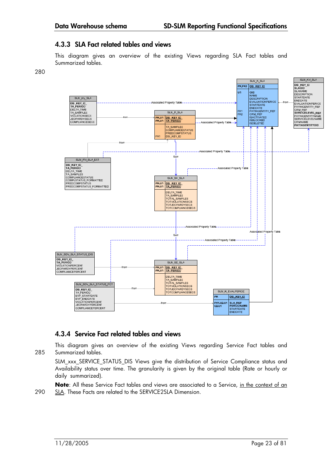#### **4.3.3 SLA Fact related tables and views**

This diagram gives an overview of the existing Views regarding SLA Fact tables and Summarized tables.



#### **4.3.4 Service Fact related tables and views**

This diagram gives an overview of the existing Views regarding Service Fact tables and 285 Summarized tables.

SLM\_xxx\_SERVICE\_STATUS\_DIS Views give the distribution of Service Compliance status and Availability status over time. The granularity is given by the original table (Rate or hourly or daily summarized).

Note: All these Service Fact tables and views are associated to a Service, in the context of an 290 SLA. These Facts are related to the SERVICE2SLA Dimension.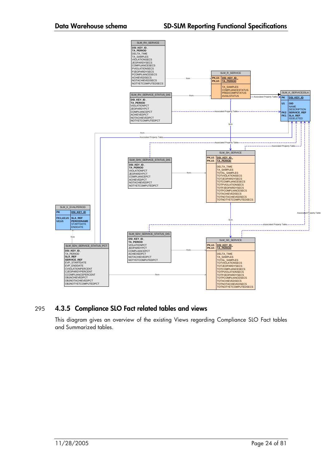

#### 295 **4.3.5 Compliance SLO Fact related tables and views**

This diagram gives an overview of the existing Views regarding Compliance SLO Fact tables and Summarized tables.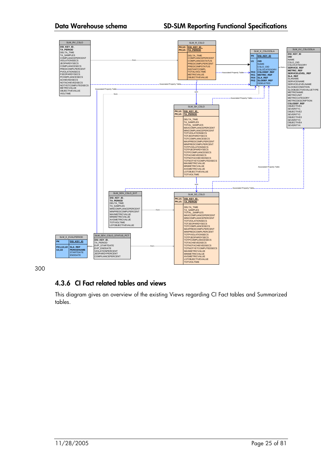#### **Data Warehouse schema SD-SLM Reporting Functional Specifications**



300

### **4.3.6 CI Fact related tables and views**

This diagram gives an overview of the existing Views regarding CI Fact tables and Summarized tables.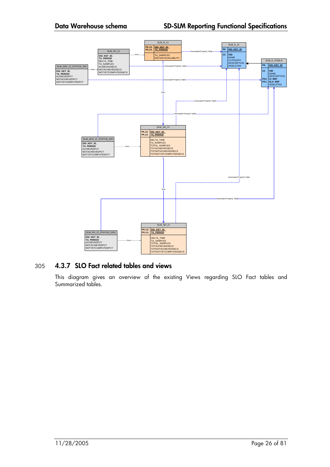

#### 305 **4.3.7 SLO Fact related tables and views**

This diagram gives an overview of the existing Views regarding SLO Fact tables and Summarized tables.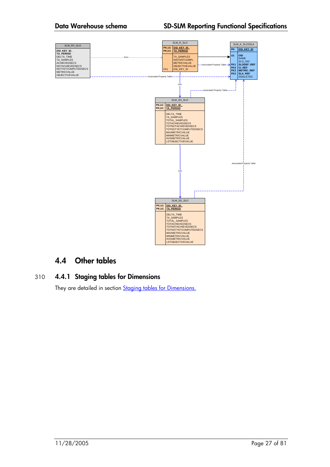

## **4.4 Other tables**

#### 310 **4.4.1 Staging tables for Dimensions**

They are detailed in section **Staging tables for Dimensions.**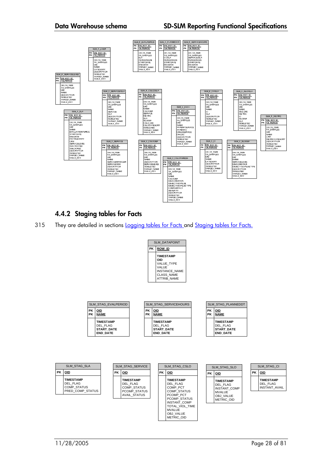

### **4.4.2 Staging tables for Facts**

315 They are detailed in sections Logging tables for Facts and Staging tables for Facts.

| <b>SLM DATAPOINT</b> |                                                                                                                          |  |
|----------------------|--------------------------------------------------------------------------------------------------------------------------|--|
| РK                   | <b>ROW ID</b>                                                                                                            |  |
|                      | <b>TIMESTAMP</b><br>OID<br><b>VALUE TYPE</b><br>VALUE<br><b>INSTANCE NAME</b><br><b>CLASS NAME</b><br><b>ATTRIB NAME</b> |  |

| РK<br>РK | OID<br><b>NAME</b> | РK<br>РK | OID<br><b>NAME</b> | <b>PK</b><br>РK | OID<br><b>NAME</b> |
|----------|--------------------|----------|--------------------|-----------------|--------------------|
|          | <b>TIMESTAMP</b>   |          | <b>TIMESTAMP</b>   |                 | <b>TIMESTAMP</b>   |
|          | DEL FLAG           |          | DEL FLAG           |                 | DEL FLAG           |
|          | <b>START DATE</b>  |          | <b>START DATE</b>  |                 | <b>START DATE</b>  |
|          | <b>END DATE</b>    |          | <b>END DATE</b>    |                 | <b>END DATE</b>    |

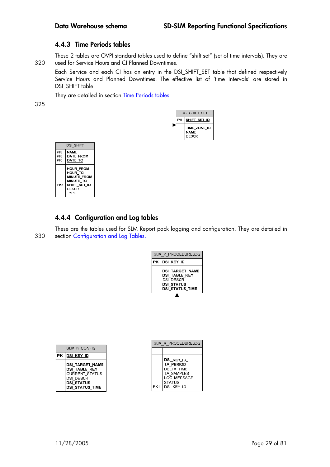#### **4.4.3 Time Periods tables**

These 2 tables are OVPI standard tables used to define "shift set" (set of time intervals). They are 320 used for Service Hours and CI Planned Downtimes.

Each Service and each CI has an entry in the DSI\_SHIFT\_SET table that defined respectively Service Hours and Planned Downtimes. The effective list of 'time intervals' are stored in DSI\_SHIFT table.

They are detailed in section Time Periods tables

325



### **4.4.4 Configuration and Log tables**

These are the tables used for SLM Report pack logging and configuration. They are detailed in 330 section Configuration and Log Tables.

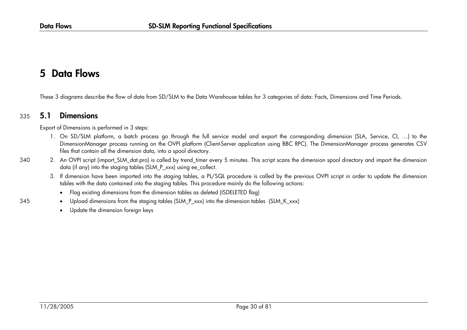#### **5Data Flows**

These 3 diagrams describe the flow of data from SD/SLM to the Data Warehouse tables for 3 categories of data: Facts, Dimensions and Time Periods.

#### 335 **5.1Dimensions**

Export of Dimensions is performed in 3 steps:

- 1. On SD/SLM platform, a batch process go through the full service model and export the corresponding dimension (SLA, Service, CI, …) to the DimensionManager process running on the OVPI platform (Client-Server application using BBC RPC). The DimensionManager process generates CSV files that contain all the dimension data, into a spool directory.
- 340 2. An OVPI script (import\_SLM\_dat.pro) is called by trend\_timer every 5 minutes. This script scans the dimension spool directory and import the dimension data (if any) into the staging tables (SLM\_P\_xxx) using ee\_collect.
	- 3. If dimension have been imported into the staging tables, a PL/SQL procedure is called by the previous OVPI script in order to update the dimension tables with the data contained into the staging tables. This procedure mainly do the following actions:
		- Flag existing dimensions from the dimension tables as deleted (ISDELETED flag)
- 345 •Upload dimensions from the staging tables (SLM\_P\_xxx) into the dimension tables (SLM\_K\_xxx)
	- •Update the dimension foreign keys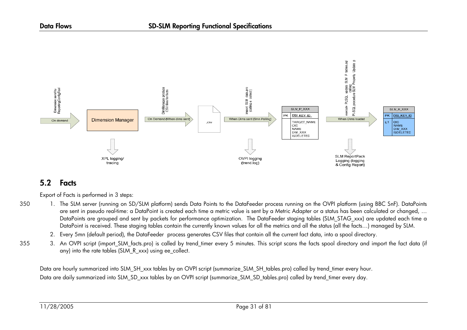

#### **5.2Facts**

Export of Facts is performed in 3 steps:

- 350 1. The SLM server (running on SD/SLM platform) sends Data Points to the DataFeeder process running on the OVPI platform (using BBC SnF). DataPoints are sent in pseudo real-time: a DataPoint is created each time a metric value is sent by a Metric Adapter or a status has been calculated or changed, … DataPoints are grouped and sent by packets for performance optimization. The DataFeeder staging tables (SLM\_STAG\_xxx) are updated each time a DataPoint is received. These staging tables contain the currently known values for all the metrics and all the status (all the facts…) managed by SLM.
	- 2. Every 5mn (default period), the DataFeeder process generates CSV files that contain all the current fact data, into a spool directory.
- 355 3. An OVPI script (import SLM facts.pro) is called by trend timer every 5 minutes. This script scans the facts spool directory and import the fact data (if any) into the rate tables (SLM\_R\_xxx) using ee\_collect.

Data are hourly summarized into SLM\_SH\_xxx tables by an OVPI script (summarize\_SLM\_SH\_tables.pro) called by trend\_timer every hour. Data are daily summarized into SLM\_SD\_xxx tables by an OVPI script (summarize\_SLM\_SD\_tables.pro) called by trend\_timer every day.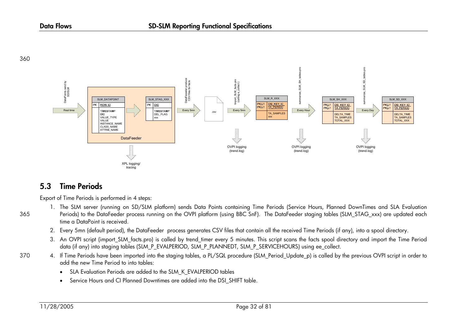360



#### **5.3Time Periods**

Export of Time Periods is performed in 4 steps:

- 1. The SLM server (running on SD/SLM platform) sends Data Points containing Time Periods (Service Hours, Planned DownTimes and SLA Evaluation 365 Periods) to the DataFeeder process running on the OVPI platform (using BBC SnF). The DataFeeder staging tables (SLM\_STAG\_xxx) are updated each time a DataPoint is received.
	- 2. Every 5mn (default period), the DataFeeder process generates CSV files that contain all the received Time Periods (if any), into a spool directory.
	- 3. An OVPI script (import\_SLM\_facts.pro) is called by trend\_timer every 5 minutes. This script scans the facts spool directory and import the Time Period data (if any) into staging tables (SLM\_P\_EVALPERIOD, SLM\_P\_PLANNEDT, SLM\_P\_SERVICEHOURS) using ee\_collect.
	- 4. If Time Periods have been imported into the staging tables, a PL/SQL procedure (SLM Period Update p) is called by the previous OVPI script in order to add the new Time Period to into tables:
		- •SLA Evaluation Periods are added to the SLM\_K\_EVALPERIOD tables
		- •Service Hours and CI Planned Downtimes are added into the DSI SHIFT table.

370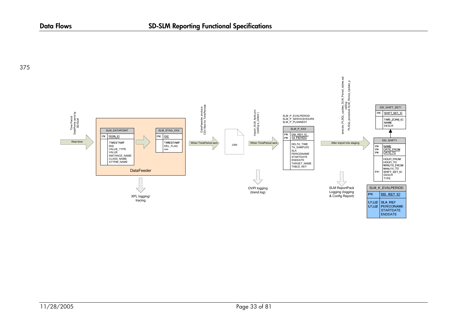

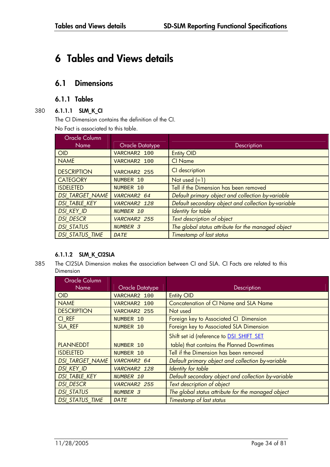## **6 Tables and Views details**

### **6.1 Dimensions**

#### **6.1.1 Tables**

#### 380 **6.1.1.1 SLM\_K\_CI**

The CI Dimension contains the definition of the CI.

No Fact is associated to this table.

| Oracle Column          |                 |                                                     |  |
|------------------------|-----------------|-----------------------------------------------------|--|
| Name                   | Oracle Datatype | <b>Description</b>                                  |  |
| OID                    | VARCHAR2 100    | <b>Entity OID</b>                                   |  |
| <b>NAME</b>            | VARCHAR2 100    | <b>CI Name</b>                                      |  |
| <b>DESCRIPTION</b>     | VARCHAR2 255    | CI description                                      |  |
| <b>CATEGORY</b>        | NUMBER 10       | Not used $(=1)$                                     |  |
| <b>ISDELETED</b>       | NUMBER 10       | Tell if the Dimension has been removed              |  |
| <b>DSI TARGET_NAME</b> | VARCHAR2 64     | Default primary object and collection by-variable   |  |
| <b>DSI TABLE KEY</b>   | VARCHAR2 128    | Default secondary object and collection by-variable |  |
| <b>DSI KEY ID</b>      | NUMBER 10       | Identity for table                                  |  |
| <b>DSI DESCR</b>       | VARCHAR2 255    | Text description of object                          |  |
| <b>DSI STATUS</b>      | NUMBER 3        | The global status attribute for the managed object  |  |
| <b>DSI STATUS TIME</b> | <b>DATE</b>     | Timestamp of last status                            |  |

#### **6.1.1.2 SLM\_K\_CI2SLA**

385 The CI2SLA Dimension makes the association between CI and SLA. CI Facts are related to this Dimension

| Oracle Column          |                 |                                                     |
|------------------------|-----------------|-----------------------------------------------------|
| <b>Name</b>            | Oracle Datatype | Description                                         |
| <b>OID</b>             | VARCHAR2 100    | <b>Entity OID</b>                                   |
| <b>NAME</b>            | VARCHAR2 100    | <b>Concatenation of CI Name and SLA Name</b>        |
| <b>DESCRIPTION</b>     | VARCHAR2 255    | Not used                                            |
| CI_REF                 | NUMBER 10       | Foreign key to Associated CI Dimension              |
| SLA REF                | NUMBER 10       | Foreign key to Associated SLA Dimension             |
|                        |                 | Shift set id (reference to DSI SHIFT SET            |
| <b>PLANNEDDT</b>       | NUMBER 10       | table) that contains the Planned Downtimes          |
| <b>ISDELETED</b>       | NUMBER 10       | Tell if the Dimension has been removed              |
| <b>DSI TARGET NAME</b> | VARCHAR2 64     | Default primary object and collection by-variable   |
| <b>DSI KEY ID</b>      | VARCHAR2 128    | Identity for table                                  |
| <b>DSI TABLE KEY</b>   | NUMBER 10       | Default secondary object and collection by-variable |
| <b>DSI DESCR</b>       | VARCHAR2 255    | Text description of object                          |
| <b>DSI STATUS</b>      | NUMBER 3        | The global status attribute for the managed object  |
| <b>DSI STATUS TIME</b> | <b>DATE</b>     | Timestamp of last status                            |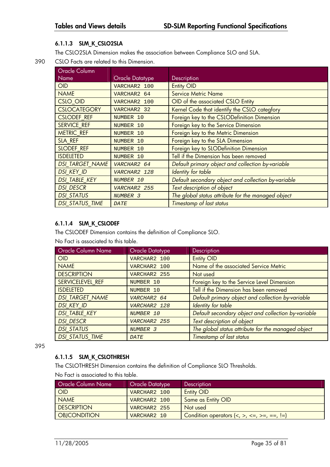#### **6.1.1.3 SLM\_K\_CSLO2SLA**

The CSLO2SLA Dimension makes the association between Compliance SLO and SLA.

390 CSLO Facts are related to this Dimension.

| Oracle Column          |                        |                                                     |
|------------------------|------------------------|-----------------------------------------------------|
| <b>Name</b>            | <b>Oracle Datatype</b> | Description                                         |
| <b>OID</b>             | VARCHAR2 100           | <b>Entity OID</b>                                   |
| <b>NAME</b>            | VARCHAR2 64            | <b>Service Metric Name</b>                          |
| <b>CSLO OID</b>        | VARCHAR2 100           | OID of the associated CSLO Entity                   |
| <b>CSLOCATEGORY</b>    | VARCHAR2 32            | Kernel Code that identify the CSLO categfory        |
| <b>CSLODEF REF</b>     | NUMBER 10              | Foreign key to the CSLODefinition Dimension         |
| <b>SERVICE REF</b>     | NUMBER 10              | Foreign key to the Service Dimension                |
| <b>METRIC REF</b>      | NUMBER 10              | Foreign key to the Metric Dimension                 |
| SLA REF                | NUMBER 10              | Foreign key to the SLA Dimension                    |
| <b>SLODEF REF</b>      | NUMBER 10              | Foreign key to SLODefinition Dimension              |
| <b>ISDELETED</b>       | NUMBER 10              | Tell if the Dimension has been removed              |
| <b>DSI TARGET NAME</b> | VARCHAR2 64            | Default primary object and collection by-variable   |
| <b>DSI KEY_ID</b>      | VARCHAR2 128           | Identity for table                                  |
| <b>DSI TABLE KEY</b>   | NUMBER 10              | Default secondary object and collection by-variable |
| <b>DSI DESCR</b>       | VARCHAR2 255           | Text description of object                          |
| <b>DSI STATUS</b>      | NUMBER 3               | The global status attribute for the managed object  |
| <b>DSI STATUS TIME</b> | <b>DATE</b>            | Timestamp of last status                            |

#### **6.1.1.4 SLM\_K\_CSLODEF**

The CSLODEF Dimension contains the definition of Compliance SLO. No Fact is associated to this table.

| <b>Oracle Column Name</b> | Oracle Datatype | Description                                         |
|---------------------------|-----------------|-----------------------------------------------------|
| OID                       | VARCHAR2 100    | <b>Entity OID</b>                                   |
| <b>NAME</b>               | VARCHAR2 100    | Name of the associated Service Metric               |
| <b>DESCRIPTION</b>        | VARCHAR2 255    | Not used                                            |
| SERVICELEVEL REF          | NUMBER 10       | Foreign key to the Service Level Dimension          |
| <b>ISDELETED</b>          | NUMBER 10       | Tell if the Dimension has been removed              |
| <b>DSI TARGET NAME</b>    | VARCHAR2 64     | Default primary object and collection by-variable   |
| <b>DSI KEY ID</b>         | VARCHAR2 128    | Identity for table                                  |
| <b>DSI TABLE KEY</b>      | NUMBER 10       | Default secondary object and collection by-variable |
| <b>DSI DESCR</b>          | VARCHAR2 255    | Text description of object                          |
| <b>DSI STATUS</b>         | NUMBER 3        | The global status attribute for the managed object  |
| <b>DSI STATUS_TIME</b>    | <b>DATE</b>     | <b>Timestamp of last status</b>                     |

395

#### **6.1.1.5 SLM\_K\_CSLOTHRESH**

The CSLOTHRESH Dimension contains the definition of Compliance SLO Thresholds.

No Fact is associated to this table.

| <b>Oracle Column Name</b> | Oracle Datatype | <b>Description</b>                                                                            |
|---------------------------|-----------------|-----------------------------------------------------------------------------------------------|
| OID                       | VARCHAR2 100    | <b>Entity OID</b>                                                                             |
| <b>NAME</b>               | VARCHAR2 100    | Same as Entity OID                                                                            |
| <b>DESCRIPTION</b>        | VARCHAR2 255    | Not used                                                                                      |
| <b>OBJCONDITION</b>       | VARCHAR2 10     | Condition operators $\langle \langle , \rangle, \langle = , \rangle = , =, \langle = \rangle$ |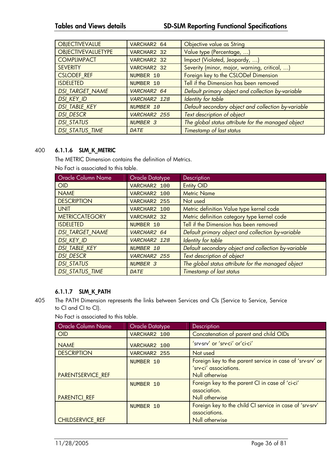#### **Tables and Views details SD-SLM Reporting Functional Specifications**

| <b>OBJECTIVEVALUE</b>     | VARCHAR2 64         | Objective value as String                           |
|---------------------------|---------------------|-----------------------------------------------------|
| <b>OBJECTIVEVALUETYPE</b> | VARCHAR2 32         | Value type (Percentage, )                           |
| <b>COMPLIMPACT</b>        | VARCHAR2 32         | Impact (Violated, Jeopardy, )                       |
| <b>SEVERITY</b>           | VARCHAR2 32         | Severity (minor, major, warning, critical, )        |
| <b>CSLODEF REF</b>        | NUMBER 10           | Foreign key to the CSLODef Dimension                |
| <b>ISDELETED</b>          | NUMBER 10           | Tell if the Dimension has been removed              |
| <b>DSI TARGET NAME</b>    | VARCHAR2 64         | Default primary object and collection by-variable   |
| <b>DSI KEY ID</b>         | VARCHAR2 128        | Identity for table                                  |
| <b>DSI TABLE KEY</b>      | NUMBER 10           | Default secondary object and collection by-variable |
| <b>DSI DESCR</b>          | VARCHAR2 255        | Text description of object                          |
| <b>DSI STATUS</b>         | NUMBER <sub>3</sub> | The global status attribute for the managed object  |
| <b>DSI STATUS TIME</b>    | <b>DATE</b>         | <b>Timestamp of last status</b>                     |

#### 400 **6.1.1.6 SLM\_K\_METRIC**

The METRIC Dimension contains the definition of Metrics.

No Fact is associated to this table.

| <b>Oracle Column Name</b> | <b>Oracle Datatype</b> | <b>Description</b>                                  |
|---------------------------|------------------------|-----------------------------------------------------|
| OID                       | VARCHAR2 100           | <b>Entity OID</b>                                   |
| <b>NAME</b>               | VARCHAR2 100           | <b>Metric Name</b>                                  |
| <b>DESCRIPTION</b>        | VARCHAR2 255           | Not used                                            |
| <b>UNIT</b>               | VARCHAR2 100           | Metric definition Value type kernel code            |
| <b>METRICCATEGORY</b>     | VARCHAR2 32            | Metric definition category type kernel code         |
| <b>ISDELETED</b>          | NUMBER 10              | Tell if the Dimension has been removed              |
| <b>DSI TARGET_NAME</b>    | VARCHAR2 64            | Default primary object and collection by-variable   |
| <b>DSI KEY ID</b>         | VARCHAR2 128           | Identity for table                                  |
| <b>DSI TABLE KEY</b>      | NUMBER 10              | Default secondary object and collection by-variable |
| <b>DSI DESCR</b>          | VARCHAR2 255           | Text description of object                          |
| <b>DSI STATUS</b>         | NUMBER 3               | The global status attribute for the managed object  |
| <b>DSI STATUS TIME</b>    | <b>DATE</b>            | Timestamp of last status                            |

#### **6.1.1.7 SLM\_K\_PATH**

405 The PATH Dimension represents the links between Services and CIs (Service to Service, Service to CI and CI to CI).

No Fact is associated to this table.

| <b>Oracle Column Name</b> | Oracle Datatype | Description                                               |
|---------------------------|-----------------|-----------------------------------------------------------|
| <b>OID</b>                | VARCHAR2 100    | Concatenation of parent and child OIDs                    |
| <b>NAME</b>               | VARCHAR2 100    | 'srv-srv' or 'srv-ci' or'ci-ci'                           |
| <b>DESCRIPTION</b>        | VARCHAR2 255    | Not used                                                  |
|                           | NUMBER 10       | Foreign key to the parent service in case of 'srv-srv' or |
|                           |                 | 'srv-ci' associations.                                    |
| <b>PARENTSERVICE REF</b>  |                 | Null otherwise                                            |
|                           | NUMBER 10       | Foreign key to the parent CI in case of 'ci-ci'           |
|                           |                 | association.                                              |
| <b>PARENTCI REF</b>       |                 | Null otherwise                                            |
|                           | NUMBER 10       | Foreign key to the child CI service in case of 'srv-srv'  |
|                           |                 | associations.                                             |
| <b>CHILDSERVICE REF</b>   |                 | Null otherwise                                            |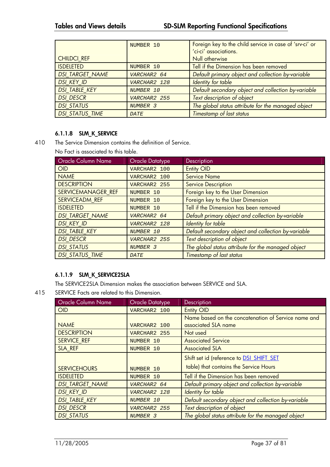|                        | NUMBER 10    | Foreign key to the child service in case of 'srv-ci' or |
|------------------------|--------------|---------------------------------------------------------|
|                        |              | 'ci-ci' associations.                                   |
| <b>CHILDCI REF</b>     |              | Null otherwise                                          |
| <b>ISDELETED</b>       | NUMBER 10    | Tell if the Dimension has been removed                  |
| <b>DSI TARGET NAME</b> | VARCHAR2 64  | Default primary object and collection by-variable       |
| <b>DSI KEY ID</b>      | VARCHAR2 128 | <b>Identity for table</b>                               |
| <b>DSI TABLE KEY</b>   | NUMBER 10    | Default secondary object and collection by-variable     |
| <b>DSI DESCR</b>       | VARCHAR2 255 | Text description of object                              |
| <b>DSI STATUS</b>      | NUMBER 3     | The global status attribute for the managed object      |
| <b>DSI STATUS TIME</b> | <b>DATE</b>  | Timestamp of last status                                |

#### **6.1.1.8 SLM\_K\_SERVICE**

410 The Service Dimension contains the definition of Service.

No Fact is associated to this table.

| <b>Oracle Column Name</b> | <b>Oracle Datatype</b> | Description                                         |
|---------------------------|------------------------|-----------------------------------------------------|
| <b>OID</b>                | VARCHAR2 100           | <b>Entity OID</b>                                   |
| <b>NAME</b>               | VARCHAR2 100           | <b>Service Name</b>                                 |
| <b>DESCRIPTION</b>        | VARCHAR2 255           | <b>Service Description</b>                          |
| SERVICEMANAGER REF        | NUMBER 10              | Foreign key to the User Dimension                   |
| SERVICEADM REF            | NUMBER 10              | Foreign key to the User Dimension                   |
| <b>ISDELETED</b>          | NUMBER 10              | Tell if the Dimension has been removed              |
| <b>DSI TARGET_NAME</b>    | VARCHAR2 64            | Default primary object and collection by-variable   |
| <b>DSI KEY ID</b>         | VARCHAR2 128           | Identity for table                                  |
| <b>DSI TABLE KEY</b>      | NUMBER 10              | Default secondary object and collection by-variable |
| <b>DSI DESCR</b>          | VARCHAR2 255           | Text description of object                          |
| <b>DSI STATUS</b>         | NUMBER 3               | The global status attribute for the managed object  |
| <b>DSI STATUS TIME</b>    | <b>DATE</b>            | Timestamp of last status                            |

### **6.1.1.9 SLM\_K\_SERVICE2SLA**

The SERVICE2SLA Dimension makes the association between SERVICE and SLA.

415 SERVICE Facts are related to this Dimension.

| <b>Oracle Column Name</b> | <b>Oracle Datatype</b> | Description                                         |
|---------------------------|------------------------|-----------------------------------------------------|
| <b>OID</b>                | VARCHAR2 100           | <b>Entity OID</b>                                   |
|                           |                        | Name based on the concatenation of Service name and |
| <b>NAME</b>               | VARCHAR2 100           | associated SLA name                                 |
| <b>DESCRIPTION</b>        | VARCHAR2 255           | Not used                                            |
| <b>SERVICE REF</b>        | NUMBER 10              | <b>Associated Service</b>                           |
| SLA REF                   | NUMBER 10              | <b>Associated SLA</b>                               |
|                           |                        | Shift set id (reference to DSI SHIFT SET            |
| <b>SERVICEHOURS</b>       | NUMBER 10              | table) that contains the Service Hours              |
| <b>ISDELETED</b>          | NUMBER 10              | Tell if the Dimension has been removed              |
| <b>DSI TARGET NAME</b>    | VARCHAR2 64            | Default primary object and collection by-variable   |
| <b>DSI KEY ID</b>         | VARCHAR2 128           | Identity for table                                  |
| <b>DSI TABLE KEY</b>      | NUMBER 10              | Default secondary object and collection by-variable |
| <b>DSI DESCR</b>          | VARCHAR2 255           | Text description of object                          |
| <b>DSI STATUS</b>         | NUMBER 3               | The global status attribute for the managed object  |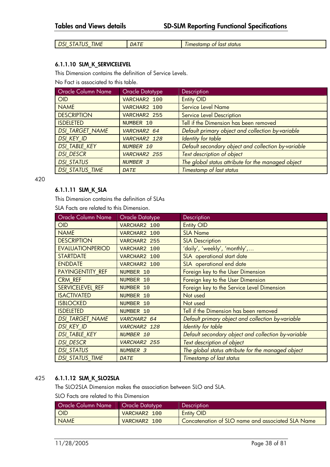| $-$<br><b>TIME</b><br>DSI<br>$\mathbf{r}$<br>$\Lambda$<br>טוו<br>$\sim$ $\prime$<br>_<br>__ | ה היה ב<br><i>DAI</i> P | last<br>status<br>ot.<br><i><u><b>Imestamp</b></u></i> |
|---------------------------------------------------------------------------------------------|-------------------------|--------------------------------------------------------|
|---------------------------------------------------------------------------------------------|-------------------------|--------------------------------------------------------|

#### **6.1.1.10 SLM\_K\_SERVICELEVEL**

This Dimension contains the definition of Service Levels.

No Fact is associated to this table.

| <b>Oracle Column Name</b> | <b>Oracle Datatype</b> | <b>Description</b>                                  |
|---------------------------|------------------------|-----------------------------------------------------|
| OID                       | VARCHAR2 100           | <b>Entity OID</b>                                   |
| <b>NAME</b>               | VARCHAR2 100           | <b>Service Level Name</b>                           |
| <b>DESCRIPTION</b>        | VARCHAR2 255           | Service Level Description                           |
| <b>ISDELETED</b>          | NUMBER 10              | Tell if the Dimension has been removed              |
| <b>DSI TARGET NAME</b>    | VARCHAR2 64            | Default primary object and collection by-variable   |
| DSI KEY ID                | VARCHAR2 128           | <b>Identity for table</b>                           |
| <b>DSI TABLE KEY</b>      | NUMBER 10              | Default secondary object and collection by-variable |
| <b>DSI DESCR</b>          | VARCHAR2 255           | Text description of object                          |
| <b>DSI STATUS</b>         | NUMBER 3               | The global status attribute for the managed object  |
| <b>DSI STATUS TIME</b>    | <b>DATE</b>            | Timestamp of last status                            |

420

#### **6.1.1.11 SLM\_K\_SLA**

This Dimension contains the definition of SLAs

SLA Facts are related to this Dimension.

| Oracle Column Name      | <b>Oracle Datatype</b> | Description                                         |
|-------------------------|------------------------|-----------------------------------------------------|
| <b>OID</b>              | VARCHAR2 100           | <b>Entity OID</b>                                   |
| <b>NAME</b>             | VARCHAR2 100           | <b>SLA Name</b>                                     |
| <b>DESCRIPTION</b>      | VARCHAR2 255           | <b>SLA Description</b>                              |
| <b>EVALUATIONPERIOD</b> | VARCHAR2 100           | 'daily', 'weekly', 'monthly',                       |
| <b>STARTDATE</b>        | VARCHAR2 100           | SLA operational start date                          |
| <b>ENDDATE</b>          | VARCHAR2 100           | SLA operational end date                            |
| PAYINGENTITY REF        | NUMBER 10              | Foreign key to the User Dimension                   |
| CRM REF                 | NUMBER 10              | Foreign key to the User Dimension                   |
| SERVICELEVEL REF        | NUMBER 10              | Foreign key to the Service Level Dimension          |
| <b>ISACTIVATED</b>      | NUMBER 10              | Not used                                            |
| <b>ISBLOCKED</b>        | NUMBER 10              | Not used                                            |
| <b>ISDELETED</b>        | NUMBER 10              | Tell if the Dimension has been removed              |
| <b>DSI TARGET NAME</b>  | VARCHAR2 64            | Default primary object and collection by-variable   |
| <b>DSI KEY ID</b>       | VARCHAR2 128           | Identity for table                                  |
| <b>DSI TABLE KEY</b>    | NUMBER 10              | Default secondary object and collection by-variable |
| <b>DSI DESCR</b>        | VARCHAR2 255           | Text description of object                          |
| <b>DSI STATUS</b>       | NUMBER 3               | The global status attribute for the managed object  |
| <b>DSI STATUS TIME</b>  | <b>DATE</b>            | Timestamp of last status                            |

### 425 **6.1.1.12 SLM\_K\_SLO2SLA**

The SLO2SLA Dimension makes the association between SLO and SLA.

SLO Facts are related to this Dimension

| Oracle Column Name | Oracle Datatype | <b>Description</b>                                |
|--------------------|-----------------|---------------------------------------------------|
| <b>OID</b>         | VARCHAR2 100    | <b>Entity OID</b>                                 |
| <b>NAME</b>        | VARCHAR2 100    | Concatenation of SLO name and associated SLA Name |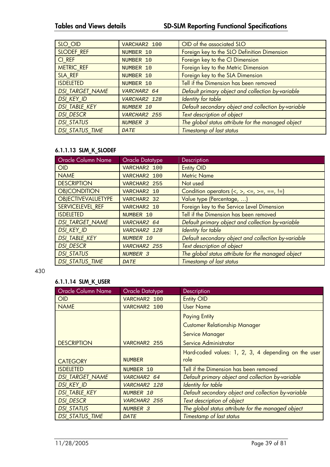| SLO OID                | VARCHAR2 100 | OID of the associated SLO                           |
|------------------------|--------------|-----------------------------------------------------|
| SLODEF REF             | NUMBER 10    | Foreign key to the SLO Definition Dimension         |
| CI REF                 | NUMBER 10    | Foreign key to the CI Dimension                     |
| <b>METRIC REF</b>      | NUMBER 10    | Foreign key to the Metric Dimension                 |
| SLA REF                | NUMBER 10    | Foreign key to the SLA Dimension                    |
| <b>ISDELETED</b>       | NUMBER 10    | Tell if the Dimension has been removed              |
| <b>DSI TARGET NAME</b> | VARCHAR2 64  | Default primary object and collection by-variable   |
| <b>DSI KEY ID</b>      | VARCHAR2 128 | Identity for table                                  |
| <b>DSI TABLE KEY</b>   | NUMBER 10    | Default secondary object and collection by-variable |
| <b>DSI DESCR</b>       | VARCHAR2 255 | Text description of object                          |
| <b>DSI STATUS</b>      | NUMBER 3     | The global status attribute for the managed object  |
| <b>DSI STATUS TIME</b> | <b>DATE</b>  | Timestamp of last status                            |

## **6.1.1.13 SLM\_K\_SLODEF**

| Oracle Column Name        | <b>Oracle Datatype</b> | Description                                                                      |
|---------------------------|------------------------|----------------------------------------------------------------------------------|
| OID                       | VARCHAR2 100           | <b>Entity OID</b>                                                                |
| <b>NAME</b>               | VARCHAR2 100           | <b>Metric Name</b>                                                               |
| <b>DESCRIPTION</b>        | VARCHAR2 255           | Not used                                                                         |
| <b>OBJCONDITION</b>       | VARCHAR2 10            | Condition operators $\langle \langle , \rangle, \langle = , \rangle = , == ,  =$ |
| <b>OBJECTIVEVALUETYPE</b> | VARCHAR2 32            | Value type (Percentage, )                                                        |
| SERVICELEVEL REF          | VARCHAR2 10            | Foreign key to the Service Level Dimension                                       |
| <b>ISDELETED</b>          | NUMBER 10              | Tell if the Dimension has been removed                                           |
| <b>DSI TARGET NAME</b>    | VARCHAR2 64            | Default primary object and collection by-variable                                |
| <b>DSI KEY ID</b>         | VARCHAR2 128           | Identity for table                                                               |
| <b>DSI TABLE KEY</b>      | NUMBER 10              | Default secondary object and collection by-variable                              |
| <b>DSI DESCR</b>          | VARCHAR2 255           | Text description of object                                                       |
| <b>DSI STATUS</b>         | NUMBER 3               | The global status attribute for the managed object                               |
| <b>DSI STATUS TIME</b>    | <b>DATE</b>            | Timestamp of last status                                                         |

#### 430

## **6.1.1.14 SLM\_K\_USER**

| <b>Oracle Column Name</b> | Oracle Datatype | Description                                         |
|---------------------------|-----------------|-----------------------------------------------------|
| OID                       | VARCHAR2 100    | <b>Entity OID</b>                                   |
| <b>NAME</b>               | VARCHAR2 100    | <b>User Name</b>                                    |
|                           |                 | <b>Paying Entity</b>                                |
|                           |                 | <b>Customer Relationship Manager</b>                |
|                           |                 | <b>Service Manager</b>                              |
| <b>DESCRIPTION</b>        | VARCHAR2 255    | Service Administrator                               |
|                           |                 | Hard-coded values: 1, 2, 3, 4 depending on the user |
| <b>CATEGORY</b>           | <b>NUMBER</b>   | role                                                |
| <b>ISDELETED</b>          | NUMBER 10       | Tell if the Dimension has been removed              |
| <b>DSI TARGET NAME</b>    | VARCHAR2 64     | Default primary object and collection by-variable   |
| <b>DSI KEY ID</b>         | VARCHAR2 128    | Identity for table                                  |
| <b>DSI TABLE KEY</b>      | NUMBER 10       | Default secondary object and collection by-variable |
| <b>DSI DESCR</b>          | VARCHAR2 255    | Text description of object                          |
| <b>DSI STATUS</b>         | NUMBER 3        | The global status attribute for the managed object  |
| <b>DSI STATUS TIME</b>    | <b>DATE</b>     | Timestamp of last status                            |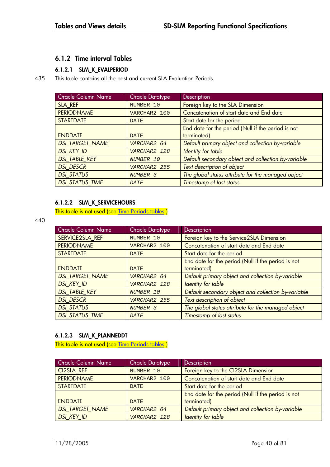## **6.1.2 Time interval Tables**

## **6.1.2.1 SLM\_K\_EVALPERIOD**

435 This table contains all the past and current SLA Evaluation Periods.

| Oracle Column Name     | <b>Oracle Datatype</b> | Description                                         |
|------------------------|------------------------|-----------------------------------------------------|
| SLA REF                | NUMBER 10              | Foreign key to the SLA Dimension                    |
| <b>PERIODNAME</b>      | VARCHAR2 100           | Concatenation of start date and End date            |
| <b>STARTDATE</b>       | <b>DATE</b>            | Start date for the period                           |
|                        |                        | End date for the period (Null if the period is not  |
| <b>ENDDATE</b>         | <b>DATE</b>            | terminated)                                         |
| <b>DSI TARGET NAME</b> | VARCHAR2 64            | Default primary object and collection by-variable   |
| <b>DSI KEY ID</b>      | VARCHAR2 128           | Identity for table                                  |
| <b>DSI TABLE KEY</b>   | NUMBER 10              | Default secondary object and collection by-variable |
| <b>DSI DESCR</b>       | VARCHAR2 255           | Text description of object                          |
| <b>DSI STATUS</b>      | NUMBER 3               | The global status attribute for the managed object  |
| <b>DSI STATUS_TIME</b> | <b>DATE</b>            | Timestamp of last status                            |

### **6.1.2.2 SLM\_K\_SERVICEHOURS**

This table is not used (see **Time Periods tables**)

440

| Oracle Column Name     | <b>Oracle Datatype</b> | Description                                         |
|------------------------|------------------------|-----------------------------------------------------|
| SERVICE2SLA REF        | NUMBER 10              | Foreign key to the Service2SLA Dimension            |
| <b>PERIODNAME</b>      | VARCHAR2 100           | Concatenation of start date and End date            |
| <b>STARTDATE</b>       | <b>DATE</b>            | Start date for the period                           |
|                        |                        | End date for the period (Null if the period is not  |
| <b>ENDDATE</b>         | <b>DATE</b>            | terminated)                                         |
| <b>DSI TARGET NAME</b> | VARCHAR2 64            | Default primary object and collection by-variable   |
| <b>DSI KEY ID</b>      | VARCHAR2 128           | Identity for table                                  |
| <b>DSI TABLE KEY</b>   | NUMBER 10              | Default secondary object and collection by-variable |
| <b>DSI DESCR</b>       | VARCHAR2 255           | Text description of object                          |
| <b>DSI STATUS</b>      | NUMBER 3               | The global status attribute for the managed object  |
| <b>DSI_STATUS_TIME</b> | <b>DATE</b>            | Timestamp of last status                            |

## **6.1.2.3 SLM\_K\_PLANNEDDT**

This table is not used (see Time Periods tables)

| <b>Oracle Column Name</b> | <b>Oracle Datatype</b> | <b>Description</b>                                 |
|---------------------------|------------------------|----------------------------------------------------|
| <b>CI2SLA REF</b>         | NUMBER 10              | Foreign key to the CI2SLA Dimension                |
| <b>PERIODNAME</b>         | VARCHAR2 100           | Concatenation of start date and End date           |
| <b>STARTDATE</b>          | <b>DATE</b>            | Start date for the period                          |
|                           |                        | End date for the period (Null if the period is not |
| <b>ENDDATE</b>            | <b>DATE</b>            | terminated)                                        |
| <b>DSI TARGET NAME</b>    | VARCHAR2 64            | Default primary object and collection by-variable  |
| <b>DSI KEY ID</b>         | VARCHAR2 128           | Identity for table                                 |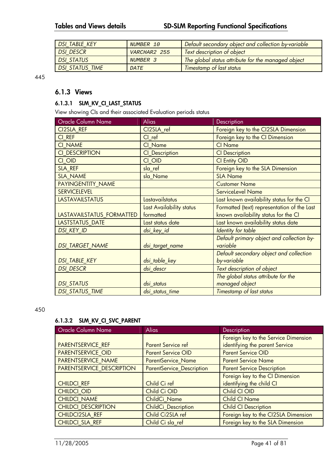| <b>DSI TABLE KEY</b>   | NUMBER 10    | Default secondary object and collection by-variable |  |
|------------------------|--------------|-----------------------------------------------------|--|
| <b>DSI DESCR</b>       | VARCHAR2 255 | Text description of object                          |  |
| <b>DSI STATUS</b>      | NUMBER 3     | The global status attribute for the managed object  |  |
| <b>DSI STATUS TIME</b> | <b>DATE</b>  | <b>Timestamp of last status</b>                     |  |

445

## **6.1.3 Views**

#### **6.1.3.1 SLM\_KV\_CI\_LAST\_STATUS**

View showing CIs and their associated Evaluation periods status

| Oracle Column Name        | <b>Alias</b>             | Description                                 |
|---------------------------|--------------------------|---------------------------------------------|
| CI2SLA_REF                | CI2SLA_ref               | Foreign key to the CI2SLA Dimension         |
| CI REF                    | CI ref                   | Foreign key to the CI Dimension             |
| <b>CI NAME</b>            | CI Name                  | <b>CI Name</b>                              |
| CI DESCRIPTION            | <b>CI_Description</b>    | <b>CI</b> Description                       |
| CI OID                    | CI OID                   | <b>CI Entity OID</b>                        |
| SLA REF                   | sla ref                  | Foreign key to the SLA Dimension            |
| <b>SLA NAME</b>           | sla Name                 | <b>SLA Name</b>                             |
| <b>PAYINGENTITY NAME</b>  |                          | <b>Customer Name</b>                        |
| <b>SERVICELEVEL</b>       |                          | <b>ServiceLevel Name</b>                    |
| <b>LASTAVAILSTATUS</b>    | Lastavailstatus          | Last known availability status for the CI   |
|                           | Last Availability status | Formatted (text) representation of the Last |
| LASTAVAILSTATUS_FORMATTED | formatted                | known availability status for the CI        |
| LASTSTATUS_DATE           | Last status date         | Last known availability status date         |
| <b>DSI KEY ID</b>         | dsi_key_id               | <b>Identity for table</b>                   |
|                           |                          | Default primary object and collection by-   |
| <b>DSI TARGET NAME</b>    | dsi_target_name          | variable                                    |
|                           |                          | Default secondary object and collection     |
| <b>DSI_TABLE_KEY</b>      | dsi_table_key            | by-variable                                 |
| <b>DSI DESCR</b>          | dsi descr                | Text description of object                  |
|                           |                          | The global status attribute for the         |
| <b>DSI STATUS</b>         | dsi status               | managed object                              |
| <b>DSI_STATUS_TIME</b>    | dsi_status_time          | Timestamp of last status                    |

#### 450

## **6.1.3.2 SLM\_KV\_CI\_SVC\_PARENT**

| <b>Oracle Column Name</b>  | <b>Alias</b>                     | <b>Description</b>                   |
|----------------------------|----------------------------------|--------------------------------------|
|                            |                                  | Foreign key to the Service Dimension |
| <b>PARENTSERVICE REF</b>   | <b>Parent Service ref</b>        | identifying the parent Service       |
| <b>PARENTSERVICE OID</b>   | <b>Parent Service OID</b>        | <b>Parent Service OID</b>            |
| PARENTSERVICE NAME         | <b>ParentService Name</b>        | <b>Parent Service Name</b>           |
| PARENTSERVICE DESCRIPTION  | <b>ParentService_Description</b> | <b>Parent Service Description</b>    |
|                            |                                  | Foreign key to the CI Dimension      |
| <b>CHILDCI REF</b>         | Child Ci ref                     | identifying the child CI             |
| <b>CHILDCI OID</b>         | Child Ci OID                     | Child CI OID                         |
| <b>CHILDCI NAME</b>        | ChildCi Name                     | <b>Child CI Name</b>                 |
| <b>CHILDCI DESCRIPTION</b> | ChildCi Description              | <b>Child CI Description</b>          |
| <b>CHILDCI2SLA REF</b>     | Child Ci2SLA ref                 | Foreign key to the CI2SLA Dimension  |
| CHILDCI SLA REF            | Child Ci sla ref                 | Foreign key to the SLA Dimension     |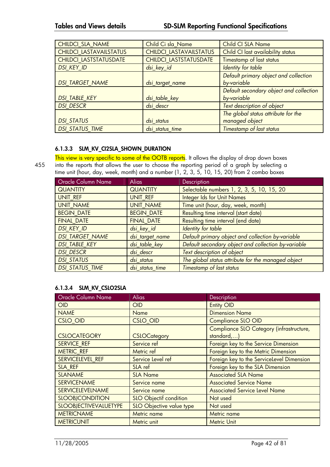| CHILDCI_SLA_NAME              | Child Ci sla Name              | Child CI SLA Name                       |
|-------------------------------|--------------------------------|-----------------------------------------|
| CHILDCI LASTAVAILSTATUS       | <b>CHILDCI LASTAVAILSTATUS</b> | Child CI last availability status       |
| <b>CHILDCI LASTSTATUSDATE</b> | CHILDCI LASTSTATUSDATE         | Timestamp of last status                |
| <b>DSI KEY ID</b>             | dsi_key_id                     | Identity for table                      |
|                               |                                | Default primary object and collection   |
| <b>DSI_TARGET_NAME</b>        | dsi_target_name                | by-variable                             |
|                               |                                | Default secondary object and collection |
| <b>DSI_TABLE_KEY</b>          | dsi_table_key                  | by-variable                             |
| <b>DSI DESCR</b>              | dsi descr                      | Text description of object              |
|                               |                                | The global status attribute for the     |
| <b>DSI STATUS</b>             | dsi status                     | managed object                          |
| <b>DSI_STATUS_TIME</b>        | dsi status time                | Timestamp of last status                |

### **6.1.3.3 SLM\_KV\_CI2SLA\_SHOWN\_DURATION**

This view is very specific to some of the OOTB reports. It allows the display of drop down boxes 455 into the reports that allows the user to choose the reporting period of a graph by selecting a time unit (hour, day, week, month) and a number (1, 2, 3, 5, 10, 15, 20) from 2 combo boxes

| Oracle Column Name     | <b>Alias</b>      | <b>Description</b>                                  |
|------------------------|-------------------|-----------------------------------------------------|
| <b>QUANTITY</b>        | <b>QUANTITY</b>   | Selectable numbers 1, 2, 3, 5, 10, 15, 20           |
| UNIT_REF               | UNIT REF          | <b>Integer Ids for Unit Names</b>                   |
| <b>UNIT NAME</b>       | <b>UNIT NAME</b>  | Time unit (hour, day, week, month)                  |
| <b>BEGIN DATE</b>      | <b>BEGIN DATE</b> | Resulting time interval (start date)                |
| <b>FINAL DATE</b>      | <b>FINAL DATE</b> | Resulting time interval (end date)                  |
| <b>DSI KEY ID</b>      | dsi_key_id        | Identity for table                                  |
| <b>DSI TARGET_NAME</b> | dsi_target_name   | Default primary object and collection by-variable   |
| <b>DSI TABLE KEY</b>   | dsi_table_key     | Default secondary object and collection by-variable |
| <b>DSI DESCR</b>       | dsi descr         | Text description of object                          |
| <b>DSI STATUS</b>      | dsi status        | The global status attribute for the managed object  |
| <b>DSI STATUS TIME</b> | dsi status time   | Timestamp of last status                            |

#### **6.1.3.4 SLM\_KV\_CSLO2SLA**

| Oracle Column Name           | <b>Alias</b>                  | Description                               |
|------------------------------|-------------------------------|-------------------------------------------|
| <b>OID</b>                   | <b>OID</b>                    | <b>Entity OID</b>                         |
| <b>NAME</b>                  | <b>Name</b>                   | <b>Dimension Name</b>                     |
| <b>CSLO_OID</b>              | <b>CSLO_OID</b>               | <b>Compliance SLO OID</b>                 |
|                              |                               | Compliance SLO Category (infrastructure,  |
| <b>CSLOCATEGORY</b>          | <b>CSLOCategory</b>           | standard,)                                |
| <b>SERVICE REF</b>           | Service ref                   | Foreign key to the Service Dimension      |
| <b>METRIC REF</b>            | Metric ref                    | Foreign key to the Metric Dimension       |
| SERVICELEVEL_REF             | Service Level ref             | Foreign key to the ServiceLevel Dimension |
| SLA REF                      | SLA ref                       | Foreign key to the SLA Dimension          |
| <b>SLANAME</b>               | <b>SLA Name</b>               | <b>Associated SLA Name</b>                |
| <b>SERVICENAME</b>           | Service name                  | <b>Associated Service Name</b>            |
| <b>SERVICELEVELNAME</b>      | Service name                  | <b>Associated Service Level Name</b>      |
| <b>SLOOBJCONDITION</b>       | <b>SLO Objectif condition</b> | Not used                                  |
| <b>SLOOBJECTIVEVALUETYPE</b> | SLO Objective value type      | Not used                                  |
| <b>METRICNAME</b>            | Metric name                   | Metric name                               |
| <b>METRICUNIT</b>            | Metric unit                   | <b>Metric Unit</b>                        |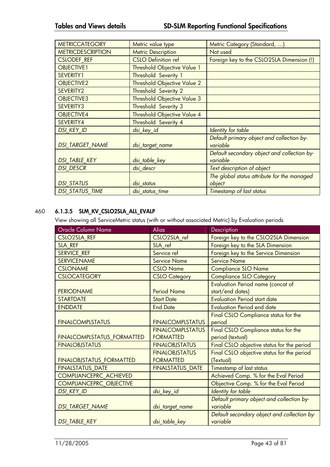| <b>METRICCATEGORY</b>    | Metric value type                  | Metric Category (Standard, )                          |
|--------------------------|------------------------------------|-------------------------------------------------------|
| <b>METRICDESCRIPTION</b> | <b>Metric Description</b>          | Not used                                              |
| <b>CSLODEF REF</b>       | <b>CSLO Definition ref</b>         | Foreign key to the CSLO2SLA Dimension (!)             |
| <b>OBJECTIVE1</b>        | <b>Threshold Objective Value 1</b> |                                                       |
| SEVERITY1                | Threshold Severity 1               |                                                       |
| OBJECTIVE2               | <b>Threshold Objective Value 2</b> |                                                       |
| SEVERITY2                | <b>Threshold Severity 2</b>        |                                                       |
| OBJECTIVE3               | <b>Threshold Objective Value 3</b> |                                                       |
| SEVERITY3                | Threshold Severity 3               |                                                       |
| OBJECTIVE4               | <b>Threshold Objective Value 4</b> |                                                       |
| SEVERITY4                | <b>Threshold Severity 4</b>        |                                                       |
| <b>DSI KEY ID</b>        | dsi_key_id                         | <b>Identity for table</b>                             |
| <b>DSI TARGET NAME</b>   | dsi_target_name                    | Default primary object and collection by-<br>variable |
|                          |                                    | Default secondary object and collection by-           |
| <b>DSI_TABLE_KEY</b>     | dsi_table_key                      | variable                                              |
| <b>DSI DESCR</b>         | dsi descr                          | Text description of object                            |
|                          |                                    | The global status attribute for the managed           |
| <b>DSI STATUS</b>        | dsi status                         | object                                                |
| <b>DSI STATUS TIME</b>   | dsi_status_time                    | Timestamp of last status                              |

## 460 **6.1.3.5 SLM\_KV\_CSLO2SLA\_ALL\_EVALP**

View showing all ServiceMetric status (with or without associated Metric) by Evaluation periods

| Oracle Column Name              | <b>Alias</b>            | Description                                 |
|---------------------------------|-------------------------|---------------------------------------------|
| <b>CSLO2SLA REF</b>             | CSLO2SLA ref            | Foreign key to the CSLO2SLA Dimension       |
| SLA REF                         | SLA ref                 | Foreign key to the SLA Dimension            |
| <b>SERVICE REF</b>              | Service ref             | Foreign key to the Service Dimension        |
| <b>SERVICENAME</b>              | <b>Service Name</b>     | <b>Service Name</b>                         |
| <b>CSLONAME</b>                 | <b>CSLO Name</b>        | <b>Compliance SLO Name</b>                  |
| <b>CSLOCATEGORY</b>             | <b>CSLO Category</b>    | <b>Compliance SLO Category</b>              |
|                                 |                         | <b>Evaluation Period name (concat of</b>    |
| <b>PERIODNAME</b>               | <b>Period Name</b>      | start/end dates)                            |
| <b>STARTDATE</b>                | <b>Start Date</b>       | <b>Evaluation Period start date</b>         |
| <b>ENDDATE</b>                  | <b>End Date</b>         | <b>Evaluation Period end date</b>           |
|                                 |                         | Final CSLO Compliance status for the        |
| <b>FINALCOMPLSTATUS</b>         | <b>FINALCOMPLSTATUS</b> | period                                      |
|                                 | <b>FINALCOMPLSTATUS</b> | Final CSLO Compliance status for the        |
| FINALCOMPLSTATUS_FORMATTED      | <b>FORMATTED</b>        | period (textual)                            |
| <b>FINALOBJSTATUS</b>           | <b>FINALOBJSTATUS</b>   | Final CSLO objective status for the period  |
|                                 | <b>FINALOBJSTATUS</b>   | Final CSLO objective status for the period  |
| <b>FINALOBJSTATUS_FORMATTED</b> | <b>FORMATTED</b>        | (Textual)                                   |
| <b>FINALSTATUS DATE</b>         | <b>FINALSTATUS_DATE</b> | Timestamp of last status                    |
| COMPLIANCEPRC_ACHIEVED          |                         | Achieved Comp. % for the Eval Period        |
| COMPLIANCEPRC_OBJECTIVE         |                         | Objective Comp. % for the Eval Period       |
| <b>DSI_KEY_ID</b>               | dsi_key_id              | <b>Identity for table</b>                   |
|                                 |                         | Default primary object and collection by-   |
| <b>DSI_TARGET_NAME</b>          | dsi_target_name         | variable                                    |
|                                 |                         | Default secondary object and collection by- |
| <b>DSI TABLE KEY</b>            | dsi_table_key           | variable                                    |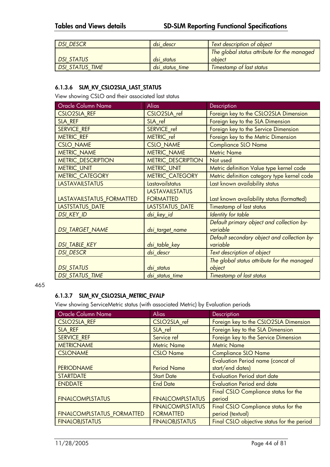| <b>DSI DESCR</b>       | dsi descr       | Text description of object                  |
|------------------------|-----------------|---------------------------------------------|
|                        |                 | The global status attribute for the managed |
| <b>DSI STATUS</b>      | dsi status      | object                                      |
| <b>DSI STATUS TIME</b> | dsi status time | <b>Timestamp of last status</b>             |

## **6.1.3.6 SLM\_KV\_CSLO2SLA\_LAST\_STATUS**

View showing CSLO and their associated last status

| Oracle Column Name        | <b>Alias</b>              | Description                                 |
|---------------------------|---------------------------|---------------------------------------------|
| <b>CSLO2SLA REF</b>       | CSLO2SLA_ref              | Foreign key to the CSLO2SLA Dimension       |
| SLA REF                   | SLA ref                   | Foreign key to the SLA Dimension            |
| <b>SERVICE REF</b>        | SERVICE ref               | Foreign key to the Service Dimension        |
| <b>METRIC_REF</b>         | METRIC ref                | Foreign key to the Metric Dimension         |
| <b>CSLO NAME</b>          | <b>CSLO NAME</b>          | <b>Compliance SLO Name</b>                  |
| <b>METRIC NAME</b>        | <b>METRIC NAME</b>        | <b>Metric Name</b>                          |
| <b>METRIC DESCRIPTION</b> | <b>METRIC_DESCRIPTION</b> | Not used                                    |
| <b>METRIC_UNIT</b>        | <b>METRIC UNIT</b>        | Metric definition Value type kernel code    |
| <b>METRIC CATEGORY</b>    | <b>METRIC CATEGORY</b>    | Metric definition category type kernel code |
| <b>LASTAVAILSTATUS</b>    | Lastavailstatus           | Last known availability status              |
|                           | <b>LASTAVAILSTATUS</b>    |                                             |
| LASTAVAILSTATUS FORMATTED | <b>FORMATTED</b>          | Last known availability status (formatted)  |
| LASTSTATUS_DATE           | LASTSTATUS_DATE           | Timestamp of last status                    |
| <b>DSI KEY ID</b>         | dsi_key_id                | Identity for table                          |
|                           |                           | Default primary object and collection by-   |
| <b>DSI TARGET NAME</b>    | dsi_target_name           | variable                                    |
|                           |                           | Default secondary object and collection by- |
| <b>DSI TABLE KEY</b>      | dsi_table_key             | variable                                    |
| <b>DSI DESCR</b>          | dsi_descr                 | Text description of object                  |
|                           |                           | The global status attribute for the managed |
| <b>DSI STATUS</b>         | dsi status                | object                                      |
| <b>DSI STATUS TIME</b>    | dsi status time           | Timestamp of last status                    |

#### 465

## **6.1.3.7 SLM\_KV\_CSLO2SLA\_METRIC\_EVALP**

View showing ServiceMetric status (with associated Metric) by Evaluation periods

| Oracle Column Name                | <b>Alias</b>            | Description                                 |
|-----------------------------------|-------------------------|---------------------------------------------|
| <b>CSLO2SLA REF</b>               | CSLO2SLA ref            | Foreign key to the CSLO2SLA Dimension       |
| SLA REF                           | SLA ref                 | Foreign key to the SLA Dimension            |
| <b>SERVICE REF</b>                | Service ref             | Foreign key to the Service Dimension        |
| <b>METRICNAME</b>                 | <b>Metric Name</b>      | <b>Metric Name</b>                          |
| <b>CSLONAME</b>                   | <b>CSLO Name</b>        | <b>Compliance SLO Name</b>                  |
|                                   |                         | <b>Evaluation Period name (concat of</b>    |
| <b>PERIODNAME</b>                 | <b>Period Name</b>      | start/end dates)                            |
| <b>STARTDATE</b>                  | <b>Start Date</b>       | <b>Evaluation Period start date</b>         |
| <b>ENDDATE</b>                    | <b>End Date</b>         | <b>Evaluation Period end date</b>           |
|                                   |                         | <b>Final CSLO Compliance status for the</b> |
| <b>FINALCOMPLSTATUS</b>           | <b>FINALCOMPLSTATUS</b> | period                                      |
|                                   | <b>FINALCOMPLSTATUS</b> | Final CSLO Compliance status for the        |
| <b>FINALCOMPLSTATUS FORMATTED</b> | <b>FORMATTED</b>        | period (textual)                            |
| <b>FINALOBJSTATUS</b>             | <b>FINALOBJSTATUS</b>   | Final CSLO objective status for the period  |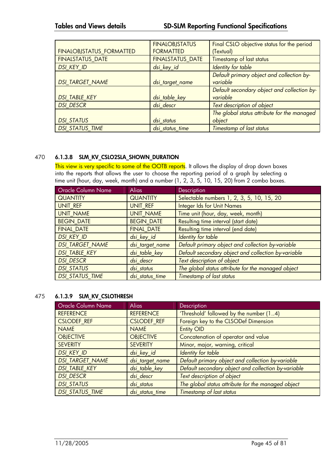|                                 | <b>FINALOBJSTATUS</b>   | Final CSLO objective status for the period  |
|---------------------------------|-------------------------|---------------------------------------------|
| <b>FINALOBJSTATUS FORMATTED</b> | <b>FORMATTED</b>        | (Textual)                                   |
| <b>FINALSTATUS DATE</b>         | <b>FINALSTATUS_DATE</b> | Timestamp of last status                    |
| <b>DSI KEY ID</b>               | dsi_key_id              | Identity for table                          |
|                                 |                         | Default primary object and collection by-   |
| <b>DSI TARGET NAME</b>          | dsi_target_name         | variable                                    |
|                                 |                         | Default secondary object and collection by- |
| <b>DSI TABLE KEY</b>            | dsi_table_key           | variable                                    |
| <b>DSI DESCR</b>                | dsi descr               | Text description of object                  |
|                                 |                         | The global status attribute for the managed |
| <b>DSI STATUS</b>               | dsi_status              | object                                      |
| <b>DSI STATUS TIME</b>          | dsi status time         | Timestamp of last status                    |

### 470 **6.1.3.8 SLM\_KV\_CSLO2SLA\_SHOWN\_DURATION**

This view is very specific to some of the OOTB reports. It allows the display of drop down boxes into the reports that allows the user to choose the reporting period of a graph by selecting a time unit (hour, day, week, month) and a number (1, 2, 3, 5, 10, 15, 20) from 2 combo boxes.

| Oracle Column Name     | <b>Alias</b>      | <b>Description</b>                                  |
|------------------------|-------------------|-----------------------------------------------------|
| <b>QUANTITY</b>        | <b>QUANTITY</b>   | Selectable numbers 1, 2, 3, 5, 10, 15, 20           |
| UNIT_REF               | UNIT REF          | <b>Integer Ids for Unit Names</b>                   |
| <b>UNIT NAME</b>       | <b>UNIT NAME</b>  | Time unit (hour, day, week, month)                  |
| <b>BEGIN DATE</b>      | <b>BEGIN DATE</b> | Resulting time interval (start date)                |
| <b>FINAL DATE</b>      | <b>FINAL DATE</b> | Resulting time interval (end date)                  |
| <b>DSI KEY ID</b>      | dsi_key_id        | Identity for table                                  |
| <b>DSI_TARGET_NAME</b> | dsi_target_name   | Default primary object and collection by-variable   |
| <b>DSI TABLE KEY</b>   | dsi_table_key     | Default secondary object and collection by-variable |
| <b>DSI DESCR</b>       | dsi descr         | Text description of object                          |
| <b>DSI STATUS</b>      | dsi status        | The global status attribute for the managed object  |
| <b>DSI STATUS TIME</b> | dsi status time   | Timestamp of last status                            |

## 475 **6.1.3.9 SLM\_KV\_CSLOTHRESH**

| Oracle Column Name     | <b>Alias</b>       | Description                                         |
|------------------------|--------------------|-----------------------------------------------------|
| <b>REFERENCE</b>       | <b>REFERENCE</b>   | 'Threshold' followed by the number (14)             |
| <b>CSLODEF REF</b>     | <b>CSLODEF REF</b> | Foreign key to the CLSODef Dimension                |
| <b>NAME</b>            | <b>NAME</b>        | <b>Entity OID</b>                                   |
| <b>OBJECTIVE</b>       | <b>OBJECTIVE</b>   | Concatenation of operator and value                 |
| <b>SEVERITY</b>        | <b>SEVERITY</b>    | Minor, major, warning, critical                     |
| <b>DSI KEY ID</b>      | dsi_key_id         | Identity for table                                  |
| <b>DSI TARGET_NAME</b> | dsi_target_name    | Default primary object and collection by-variable   |
| <b>DSI TABLE KEY</b>   | dsi_table_key      | Default secondary object and collection by-variable |
| <b>DSI DESCR</b>       | dsi descr          | Text description of object                          |
| <b>DSI STATUS</b>      | dsi status         | The global status attribute for the managed object  |
| <b>DSI STATUS_TIME</b> | dsi status time    | Timestamp of last status                            |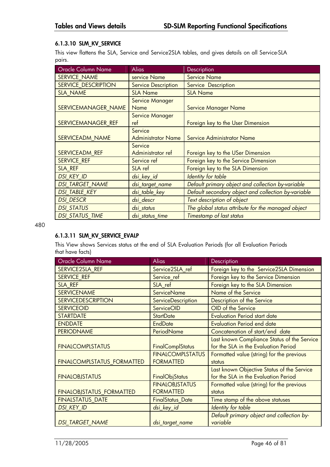## **6.1.3.10 SLM\_KV\_SERVICE**

This view flattens the SLA, Service and Service2SLA tables, and gives details on all Service-SLA pairs.

| <b>Oracle Column Name</b>  | <b>Alias</b>               | Description                                         |
|----------------------------|----------------------------|-----------------------------------------------------|
| <b>SERVICE NAME</b>        | service Name               | <b>Service Name</b>                                 |
| <b>SERVICE DESCRIPTION</b> | <b>Service Description</b> | Service Description                                 |
| <b>SLA_NAME</b>            | <b>SLA Name</b>            | <b>SLA Name</b>                                     |
|                            | Service Manager            |                                                     |
| SERVICEMANAGER NAME        | <b>Name</b>                | <b>Service Manager Name</b>                         |
|                            | Service Manager            |                                                     |
| SERVICEMANAGER REF         | ref                        | Foreign key to the User Dimension                   |
|                            | Service                    |                                                     |
| <b>SERVICEADM NAME</b>     | <b>Administrator Name</b>  | <b>Service Administrator Name</b>                   |
|                            | Service                    |                                                     |
| <b>SERVICEADM REF</b>      | Administrator ref          | Foreign key to the USer Dimension                   |
| <b>SERVICE REF</b>         | Service ref                | Foreign key to the Service Dimension                |
| SLA REF                    | SLA ref                    | Foreign key to the SLA Dimension                    |
| <b>DSI KEY ID</b>          | dsi_key_id                 | Identity for table                                  |
| <b>DSI TARGET NAME</b>     | dsi_target_name            | Default primary object and collection by-variable   |
| <b>DSI_TABLE_KEY</b>       | dsi_table_key              | Default secondary object and collection by-variable |
| <b>DSI DESCR</b>           | dsi descr                  | Text description of object                          |
| <b>DSI STATUS</b>          | dsi status                 | The global status attribute for the managed object  |
| <b>DSI STATUS TIME</b>     | dsi_status_time            | Timestamp of last status                            |

480

## **6.1.3.11 SLM\_KV\_SERVICE\_EVALP**

This View shows Services status at the end of SLA Evaluation Periods (for all Evaluation Periods that have facts)

| <b>Oracle Column Name</b>         | <b>Alias</b>            | Description                                 |
|-----------------------------------|-------------------------|---------------------------------------------|
| SERVICE2SLA REF                   | Service2SLA_ref         | Foreign key to the Service2SLA Dimension    |
| <b>SERVICE_REF</b>                | Service_ref             | Foreign key to the Service Dimension        |
| SLA REF                           | SLA ref                 | Foreign key to the SLA Dimension            |
| <b>SERVICENAME</b>                | <b>ServiceName</b>      | Name of the Service                         |
| <b>SERVICEDESCRIPTION</b>         | ServiceDescription      | Description of the Service                  |
| <b>SERVICEOID</b>                 | ServiceOID              | OID of the Service                          |
| <b>STARTDATE</b>                  | <b>StartDate</b>        | <b>Evaluation Period start date</b>         |
| <b>ENDDATE</b>                    | <b>EndDate</b>          | <b>Evaluation Period end date</b>           |
| <b>PERIODNAME</b>                 | PeriodName              | Concatenation of start/end date             |
|                                   |                         | Last known Compliance Status of the Service |
| <b>FINALCOMPLSTATUS</b>           | <b>FinalComplStatus</b> | for the SLA in the Evaluation Period        |
|                                   | <b>FINALCOMPLSTATUS</b> | Formatted value (string) for the previous   |
| <b>FINALCOMPLSTATUS_FORMATTED</b> | <b>FORMATTED</b>        | status                                      |
|                                   |                         | Last known Objective Status of the Service  |
| <b>FINALOBJSTATUS</b>             | FinalObjStatus          | for the SLA in the Evaluation Period        |
|                                   | <b>FINALOBJSTATUS</b>   | Formatted value (string) for the previous   |
| <b>FINALOBJSTATUS_FORMATTED</b>   | <b>FORMATTED</b>        | status                                      |
| <b>FINALSTATUS DATE</b>           | <b>FinalStatus_Date</b> | Time stamp of the above statuses            |
| <b>DSI KEY ID</b>                 | dsi_key_id              | Identity for table                          |
|                                   |                         | Default primary object and collection by-   |
| <b>DSI TARGET NAME</b>            | dsi_target_name         | variable                                    |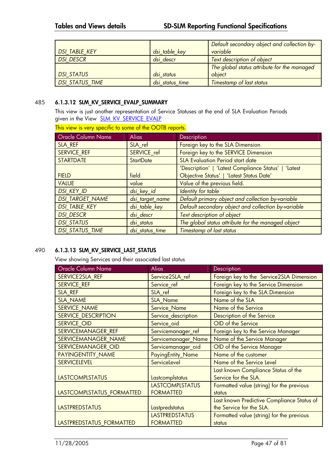|                        |                 | Default secondary object and collection by- |
|------------------------|-----------------|---------------------------------------------|
| <b>DSI TABLE KEY</b>   | dsi_table_key   | variable                                    |
| <b>DSI DESCR</b>       | dsi descr       | Text description of object                  |
|                        |                 | The global status attribute for the managed |
| <b>DSI STATUS</b>      | dsi status      | object                                      |
| <b>DSI STATUS TIME</b> | dsi status time | <b>Timestamp of last status</b>             |

#### 485 **6.1.3.12 SLM\_KV\_SERVICE\_EVALP\_SUMMARY**

This view is just another representation of Service Statuses at the end of SLA Evaluation Periods given in the View **SLM\_KV\_SERVICE\_EVALP** 

| Oracle Column Name     | <b>Alias</b>     | Description                                          |
|------------------------|------------------|------------------------------------------------------|
| SLA_REF                | SLA_ref          | Foreign key to the SLA Dimension                     |
| <b>SERVICE REF</b>     | SERVICE ref      | Foreign key to the SERVICE Dimension                 |
| <b>STARTDATE</b>       | <b>StartDate</b> | <b>SLA Evaluation Period start date</b>              |
|                        |                  | 'Description'   'Latest Compliance Status'   'Latest |
| <b>FIELD</b>           | field            | Objective Status'   'Latest Status Date'             |
| <b>VALUE</b>           | value            | Value of the previous field.                         |
| <b>DSI KEY ID</b>      | dsi_key_id       | Identity for table                                   |
| <b>DSI_TARGET_NAME</b> | dsi_target_name  | Default primary object and collection by-variable    |
| <b>DSI TABLE KEY</b>   | dsi table key    | Default secondary object and collection by-variable  |
| <b>DSI DESCR</b>       | dsi descr        | Text description of object                           |
| <b>DSI_STATUS</b>      | dsi status       | The global status attribute for the managed object   |
| <b>DSI STATUS TIME</b> | dsi status time  | Timestamp of last status                             |

#### 490 **6.1.3.13 SLM\_KV\_SERVICE\_LAST\_STATUS**

View showing Services and their associated last status

| <b>Oracle Column Name</b>  | <b>Alias</b>           | Description                                |
|----------------------------|------------------------|--------------------------------------------|
| <b>SERVICE2SLA REF</b>     | Service2SLA ref        | Foreign key to the Service2SLA Dimension   |
| <b>SERVICE REF</b>         | Service_ref            | Foreign key to the Service Dimension       |
| SLA REF                    | SLA ref                | Foreign key to the SLA Dimension           |
| <b>SLA NAME</b>            | <b>SLA Name</b>        | Name of the SLA                            |
| SERVICE_NAME               | Service_Name           | Name of the Service                        |
| <b>SERVICE DESCRIPTION</b> | Service_description    | Description of the Service                 |
| SERVICE_OID                | Service_oid            | OID of the Service                         |
| SERVICEMANAGER REF         | Servicemanager_ref     | Foreign key to the Service Manager         |
| SERVICEMANAGER NAME        | Servicemanager_Name    | Name of the Service Manager                |
| SERVICEMANAGER OID         | Servicemanager_oid     | OID of the Service Manager                 |
| PAYINGENTITY NAME          | PayingEntity_Name      | Name of the customer                       |
| <b>SERVICELEVEL</b>        | ServiceLevel           | Name of the Service Level                  |
|                            |                        | Last known Compliance Status of the        |
| <b>LASTCOMPLSTATUS</b>     | Lastcomplstatus        | Service for the SLA.                       |
|                            | <b>LASTCOMPLSTATUS</b> | Formatted value (string) for the previous  |
| LASTCOMPLSTATUS_FORMATTED  | <b>FORMATTED</b>       | status                                     |
|                            |                        | Last known Predictive Compliance Status of |
| <b>LASTPREDSTATUS</b>      | Lastpredstatus         | the Service for the SLA.                   |
|                            | <b>LASTPREDSTATUS</b>  | Formatted value (string) for the previous  |
| LASTPREDSTATUS_FORMATTED   | <b>FORMATTED</b>       | status                                     |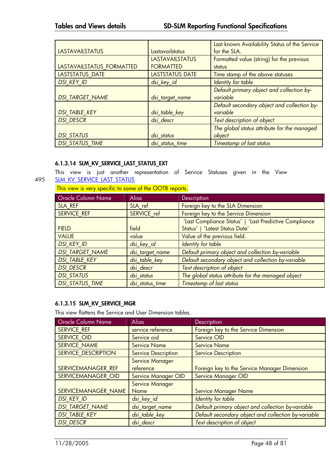|                           |                        | Last known Availability Status of the Service |
|---------------------------|------------------------|-----------------------------------------------|
| <b>LASTAVAILSTATUS</b>    | Lastavailstatus        | for the SLA.                                  |
|                           | <b>LASTAVAILSTATUS</b> | Formatted value (string) for the previous     |
| LASTAVAILSTATUS_FORMATTED | <b>FORMATTED</b>       | status                                        |
| LASTSTATUS_DATE           | LASTSTATUS DATE        | Time stamp of the above statuses              |
| <b>DSI KEY ID</b>         | dsi_key_id             | Identity for table                            |
|                           |                        | Default primary object and collection by-     |
| <b>DSI TARGET NAME</b>    | dsi_target_name        | variable                                      |
|                           |                        | Default secondary object and collection by-   |
| <b>DSI_TABLE_KEY</b>      | dsi_table_key          | variable                                      |
| <b>DSI DESCR</b>          | dsi descr              | Text description of object                    |
|                           |                        | The global status attribute for the managed   |
| <b>DSI STATUS</b>         | dsi status             | object                                        |
| <b>DSI STATUS_TIME</b>    | dsi status time        | Timestamp of last status                      |

### **6.1.3.14 SLM\_KV\_SERVICE\_LAST\_STATUS\_EXT**

This view is just another representation of Service Statuses given in the View 495 SLM KV\_SERVICE\_LAST\_STATUS

This view is very specific to some of the OOTB reports.

| Oracle Column Name     | <b>Alias</b>    | <b>Description</b>                                     |
|------------------------|-----------------|--------------------------------------------------------|
| SLA REF                | SLA_ref         | Foreign key to the SLA Dimension                       |
| <b>SERVICE REF</b>     | SERVICE_ref     | Foreign key to the Service Dimension                   |
|                        |                 | 'Last Compliance Status'   'Last Predictive Compliance |
| <b>FIELD</b>           | field           | Status'   'Latest Status Date'                         |
| <b>VALUE</b>           | value           | Value of the previous field.                           |
| <b>DSI KEY ID</b>      | dsi_key_id      | Identity for table                                     |
| <b>DSI_TARGET_NAME</b> | dsi_target_name | Default primary object and collection by-variable      |
| <b>DSI_TABLE_KEY</b>   | dsi_table_key   | Default secondary object and collection by-variable    |
| <b>DSI_DESCR</b>       | dsi descr       | Text description of object                             |
| <b>DSI STATUS</b>      | dsi status      | The global status attribute for the managed object     |
| <b>DSI STATUS TIME</b> | dsi status time | Timestamp of last status                               |

### **6.1.3.15 SLM\_KV\_SERVICE\_MGR**

This view flattens the Service and User Dimension tables.

| <b>Oracle Column Name</b> | <b>Alias</b>               | Description                                         |
|---------------------------|----------------------------|-----------------------------------------------------|
| <b>SERVICE REF</b>        | service reference          | Foreign key to the Service Dimension                |
| SERVICE OID               | Service oid                | Service OID                                         |
| SERVICE NAME              | <b>Service Name</b>        | <b>Service Name</b>                                 |
| SERVICE DESCRIPTION       | <b>Service Description</b> | <b>Service Description</b>                          |
|                           | <b>Service Manager</b>     |                                                     |
| SERVICEMANAGER REF        | reference                  | Foreign key to the Service Manager Dimension        |
| <b>SERVICEMANAGER OID</b> | <b>Service Manager OID</b> | <b>Service Manager OID</b>                          |
|                           | <b>Service Manager</b>     |                                                     |
| SERVICEMANAGER NAME       | <b>Name</b>                | <b>Service Manager Name</b>                         |
| <b>DSI KEY ID</b>         | dsi_key_id                 | Identity for table                                  |
| <b>DSI TARGET NAME</b>    | dsi_target_name            | Default primary object and collection by-variable   |
| <b>DSI TABLE KEY</b>      | dsi_table_key              | Default secondary object and collection by-variable |
| <b>DSI DESCR</b>          | dsi descr                  | Text description of object                          |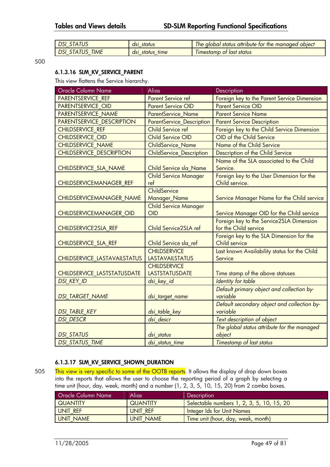|     | status<br>dsi              | obiect<br>status<br>attribute<br>alobal<br>manaaed<br>ne<br>the.<br>t∩r |
|-----|----------------------------|-------------------------------------------------------------------------|
| IME | time<br>dsi<br>status<br>_ | status<br>last<br><i><u><b>Imestamp</b></u></i><br>Оt                   |

500

#### **6.1.3.16 SLM\_KV\_SERVICE\_PARENT**

This view flattens the Service hierarchy.

| <b>Oracle Column Name</b>                        | Alias                                        | Description                                                   |
|--------------------------------------------------|----------------------------------------------|---------------------------------------------------------------|
| <b>PARENTSERVICE REF</b>                         | <b>Parent Service ref</b>                    | Foreign key to the Parent Service Dimension                   |
| <b>PARENTSERVICE OID</b>                         | <b>Parent Service OID</b>                    | <b>Parent Service OID</b>                                     |
| PARENTSERVICE NAME                               | <b>ParentService Name</b>                    | <b>Parent Service Name</b>                                    |
| <b>PARENTSERVICE DESCRIPTION</b>                 | <b>ParentService_Description</b>             | <b>Parent Service Description</b>                             |
| <b>CHILDSERVICE REF</b>                          | <b>Child Service ref</b>                     | Foreign key to the Child Service Dimension                    |
| <b>CHILDSERVICE OID</b>                          | <b>Child Service OID</b>                     | OID of the Child Service                                      |
| <b>CHILDSERVICE_NAME</b>                         | <b>ChildService Name</b>                     | Name of the Child Service                                     |
| <b>CHILDSERVICE DESCRIPTION</b>                  | ChildService_Description                     | Description of the Child Service                              |
|                                                  |                                              | Name of the SLA associated to the Child                       |
| CHILDSERVICE_SLA_NAME                            | Child Service sla_Name                       | Service.                                                      |
|                                                  | <b>Child Service Manager</b>                 | Foreign key to the User Dimension for the                     |
| CHILDSERVICEMANAGER_REF                          | ref                                          | Child service.                                                |
|                                                  | ChildService                                 |                                                               |
| CHILDSERVICEMANAGER_NAME                         | Manager_Name                                 | Service Manager Name for the Child service                    |
|                                                  | <b>Child Service Manager</b>                 |                                                               |
| CHILDSERVICEMANAGER_OID                          | OID                                          | Service Manager OID for the Child service                     |
|                                                  |                                              | Foreign key to the Service2SLA Dimension                      |
| CHILDSERVICE2SLA_REF                             | Child Service2SLA ref                        | for the Child service                                         |
|                                                  |                                              | Foreign key to the SLA Dimension for the                      |
| CHILDSERVICE_SLA_REF                             | Child Service sla_ref                        | Child service                                                 |
|                                                  | <b>CHILDSERVICE</b>                          | Last known Availability status for the Child                  |
| CHILDSERVICE_LASTAVAILSTATUS                     | <b>LASTAVAILSTATUS</b>                       | Service                                                       |
|                                                  | <b>CHILDSERVICE</b><br><b>LASTSTATUSDATE</b> |                                                               |
| CHILDSERVICE_LASTSTATUSDATE<br><b>DSI_KEY_ID</b> |                                              | Time stamp of the above statuses<br><b>Identity for table</b> |
|                                                  | dsi_key_id                                   |                                                               |
| <b>DSI_TARGET_NAME</b>                           |                                              | Default primary object and collection by-<br>variable         |
|                                                  | dsi_target_name                              | Default secondary object and collection by-                   |
| DSI_TABLE_KEY                                    | dsi_table_key                                | variable                                                      |
| <b>DSI DESCR</b>                                 | dsi descr                                    | Text description of object                                    |
|                                                  |                                              | The global status attribute for the managed                   |
| <b>DSI STATUS</b>                                | dsi status                                   | object                                                        |
| <b>DSI STATUS TIME</b>                           | dsi_status_time                              | <b>Timestamp of last status</b>                               |
|                                                  |                                              |                                                               |

#### **6.1.3.17 SLM\_KV\_SERVICE\_SHOWN\_DURATION**

505 This view is very specific to some of the OOTB reports. It allows the display of drop down boxes into the reports that allows the user to choose the reporting period of a graph by selecting a time unit (hour, day, week, month) and a number (1, 2, 3, 5, 10, 15, 20) from 2 combo boxes.

| <b>Oracle Column Name</b> | <b>Alias</b>    | <b>Description</b>                        |
|---------------------------|-----------------|-------------------------------------------|
| <b>QUANTITY</b>           | <b>QUANTITY</b> | Selectable numbers 1, 2, 3, 5, 10, 15, 20 |
| UNIT REF                  | UNIT REF        | <b>Integer Ids for Unit Names</b>         |
| <b>UNIT NAME</b>          | UNIT NAME       | Time unit (hour, day, week, month)        |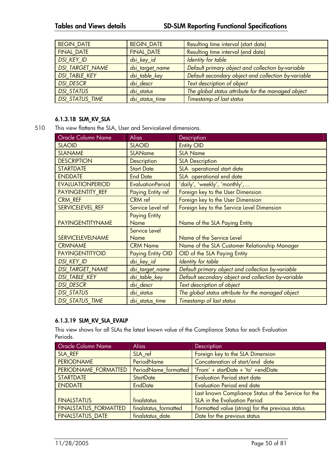| <b>BEGIN DATE</b>      | <b>BEGIN DATE</b> | Resulting time interval (start date)                |  |
|------------------------|-------------------|-----------------------------------------------------|--|
| <b>FINAL DATE</b>      | <b>FINAL DATE</b> | Resulting time interval (end date)                  |  |
| <b>DSI KEY ID</b>      | dsi_key_id        | Identity for table                                  |  |
| <b>DSI_TARGET_NAME</b> | dsi_target_name   | Default primary object and collection by-variable   |  |
| <b>DSI_TABLE_KEY</b>   | dsi_table_key     | Default secondary object and collection by-variable |  |
| <b>DSI DESCR</b>       | dsi descr         | Text description of object                          |  |
| <b>DSI STATUS</b>      | dsi status        | The global status attribute for the managed object  |  |
| <b>DSI STATUS TIME</b> | dsi status time   | Timestamp of last status                            |  |

#### **6.1.3.18 SLM\_KV\_SLA**

510 This view flattens the SLA, User and ServiceLevel dimensions.

| <b>Oracle Column Name</b> | <b>Alias</b>                 | Description                                         |  |
|---------------------------|------------------------------|-----------------------------------------------------|--|
| <b>SLAOID</b>             | <b>SLAOID</b>                | <b>Entity OID</b>                                   |  |
| <b>SLANAME</b>            | <b>SLAName</b>               | <b>SLA Name</b>                                     |  |
| <b>DESCRIPTION</b>        | <b>Description</b>           | <b>SLA Description</b>                              |  |
| <b>STARTDATE</b>          | <b>Start Date</b>            | SLA operational start date                          |  |
| <b>ENDDATE</b>            | <b>End Date</b>              | SLA operational end date                            |  |
| <b>EVALUATIONPERIOD</b>   | <b>EvaluationPeriod</b>      | 'daily', 'weekly', 'monthly',                       |  |
| PAYINGENTITY REF          | Paying Entity ref            | Foreign key to the User Dimension                   |  |
| CRM REF                   | CRM ref                      | Foreign key to the User Dimension                   |  |
| SERVICELEVEL REF          | Service Level ref            | Foreign key to the Service Level Dimension          |  |
| <b>PAYINGENTITYNAME</b>   | <b>Paying Entity</b><br>Name | Name of the SLA Paying Entity                       |  |
|                           | Service Level                |                                                     |  |
| <b>SERVICELEVELNAME</b>   | <b>Name</b>                  | Name of the Service Level                           |  |
| <b>CRMNAME</b>            | <b>CRM Name</b>              | Name of the SLA Customer Relationship Manager       |  |
| <b>PAYINGENTITYOID</b>    | <b>Paying Entity OID</b>     | OID of the SLA Paying Entity                        |  |
| <b>DSI KEY ID</b>         | dsi_key_id                   | <b>Identity for table</b>                           |  |
| DSI_TARGET_NAME           | dsi_target_name              | Default primary object and collection by-variable   |  |
| <b>DSI TABLE KEY</b>      | dsi_table_key                | Default secondary object and collection by-variable |  |
| <b>DSI DESCR</b>          | dsi descr                    | Text description of object                          |  |
| <b>DSI STATUS</b>         | dsi status                   | The global status attribute for the managed object  |  |
| <b>DSI STATUS TIME</b>    | dsi status time              | Timestamp of last status                            |  |

## **6.1.3.19 SLM\_KV\_SLA\_EVALP**

This view shows for all SLAs the latest known value of the Compliance Status for each Evaluation Periods.

| <b>Oracle Column Name</b>    | <b>Alias</b>          | <b>Description</b>                                  |  |
|------------------------------|-----------------------|-----------------------------------------------------|--|
| SLA REF                      | SLA ref               | Foreign key to the SLA Dimension                    |  |
| <b>PERIODNAME</b>            | PeriodName            | Concatenation of start/end date                     |  |
| PERIODNAME FORMATTED         | PeriodName formatted  | 'From' + startDate + 'to' +endDate                  |  |
| <b>STARTDATE</b>             | <b>StartDate</b>      | <b>Evaluation Period start date</b>                 |  |
| <b>ENDDATE</b>               | <b>EndDate</b>        | <b>Evaluation Period end date</b>                   |  |
|                              |                       | Last known Compliance Status of the Service for the |  |
| <b>FINALSTATUS</b>           | finalstatus           | SLA in the Evaluation Period                        |  |
| <b>FINALSTATUS FORMATTED</b> | finalstatus formatted | Formatted value (string) for the previous status    |  |
| <b>FINALSTATUS DATE</b>      | finalstatus date      | Date for the previous status                        |  |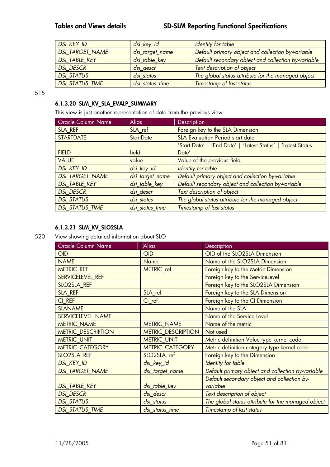| <b>DSI KEY ID</b>      | dsi_key_id      | Identity for table                                  |  |
|------------------------|-----------------|-----------------------------------------------------|--|
| <b>DSI_TARGET_NAME</b> | dsi_target_name | Default primary object and collection by-variable   |  |
| <b>DSI TABLE KEY</b>   | dsi_table_key   | Default secondary object and collection by-variable |  |
| <b>DSI DESCR</b>       | dsi descr       | Text description of object                          |  |
| <b>DSI STATUS</b>      | dsi status      | The global status attribute for the managed object  |  |
| <b>DSI STATUS TIME</b> | dsi status time | Timestamp of last status                            |  |

515

### **6.1.3.20 SLM\_KV\_SLA\_EVALP\_SUMMARY**

This view is just another representation of data from the previous view.

| <b>Oracle Column Name</b> | <b>Alias</b>     | Description                                                  |  |
|---------------------------|------------------|--------------------------------------------------------------|--|
| SLA REF                   | SLA ref          | Foreign key to the SLA Dimension                             |  |
| <b>STARTDATE</b>          | <b>StartDate</b> | <b>SLA Evaluation Period start date</b>                      |  |
|                           |                  | 'Start Date'   'End Date'   'Latest Status'   'Latest Status |  |
| <b>FIELD</b>              | field            | Date'                                                        |  |
| <b>VALUE</b>              | value            | Value of the previous field.                                 |  |
| <b>DSI KEY ID</b>         | dsi_key_id       | Identity for table                                           |  |
| <b>DSI TARGET_NAME</b>    | dsi_target_name  | Default primary object and collection by-variable            |  |
| <b>DSI TABLE KEY</b>      | dsi_table_key    | Default secondary object and collection by-variable          |  |
| <b>DSI DESCR</b>          | dsi descr        | Text description of object                                   |  |
| <b>DSI STATUS</b>         | dsi status       | The global status attribute for the managed object           |  |
| <b>DSI STATUS TIME</b>    | dsi status time  | <b>Timestamp of last status</b>                              |  |

#### **6.1.3.21 SLM\_KV\_SLO2SLA**

520 View showing detailed information about SLO

| Oracle Column Name        | <b>Alias</b>              | Description                                        |  |
|---------------------------|---------------------------|----------------------------------------------------|--|
| <b>OID</b>                | <b>OID</b>                | OID of the SLO2SLA Dimension                       |  |
| <b>NAME</b>               | <b>Name</b>               | Name of the SLO2SLA Dimension                      |  |
| <b>METRIC REF</b>         | METRIC ref                | Foreign key to the Metric Dimension                |  |
| SERVICELEVEL REF          |                           | Foreign key to the ServiceLevel                    |  |
| <b>SLO2SLA REF</b>        |                           | Foreign key to the SLO2SLA Dimension               |  |
| SLA REF                   | SLA ref                   | Foreign key to the SLA Dimension                   |  |
| CI REF                    | $Cl$ ref                  | Foreign key to the CI Dimension                    |  |
| <b>SLANAME</b>            |                           | Name of the SLA                                    |  |
| <b>SERVICELEVEL NAME</b>  |                           | Name of the Service Level                          |  |
| <b>METRIC_NAME</b>        | <b>METRIC_NAME</b>        | Name of the metric                                 |  |
| <b>METRIC DESCRIPTION</b> | <b>METRIC_DESCRIPTION</b> | Not used                                           |  |
| <b>METRIC_UNIT</b>        | <b>METRIC_UNIT</b>        | Metric definition Value type kernel code           |  |
| <b>METRIC CATEGORY</b>    | <b>METRIC CATEGORY</b>    | Metric definition category type kernel code        |  |
| SLO2SLA REF               | SLO2SLA ref               | Foreign key to the Dimension                       |  |
| <b>DSI_KEY_ID</b>         | dsi_key_id                | <b>Identity for table</b>                          |  |
| <b>DSI TARGET NAME</b>    | dsi_target_name           | Default primary object and collection by-variable  |  |
|                           |                           | Default secondary object and collection by-        |  |
| <b>DSI_TABLE_KEY</b>      | dsi_table_key             | variable                                           |  |
| <b>DSI DESCR</b>          | dsi descr                 | Text description of object                         |  |
| <b>DSI STATUS</b>         | dsi_status                | The global status attribute for the managed object |  |
| <b>DSI_STATUS_TIME</b>    | dsi_status_time           | <b>Timestamp of last status</b>                    |  |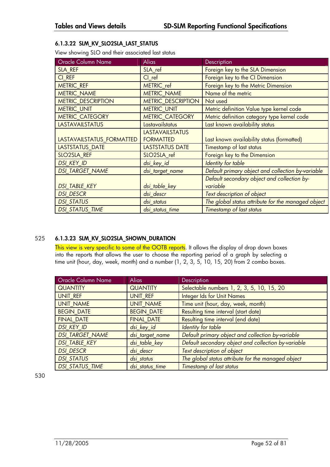## **6.1.3.22 SLM\_KV\_SLO2SLA\_LAST\_STATUS**

View showing SLO and their associated last status

| Oracle Column Name        | <b>Alias</b>              | Description                                        |
|---------------------------|---------------------------|----------------------------------------------------|
| SLA REF                   | SLA ref                   | Foreign key to the SLA Dimension                   |
| CI REF                    | $Cl$ ref                  | Foreign key to the CI Dimension                    |
| <b>METRIC REF</b>         | <b>METRIC</b> ref         | Foreign key to the Metric Dimension                |
| <b>METRIC_NAME</b>        | <b>METRIC NAME</b>        | Name of the metric                                 |
| <b>METRIC DESCRIPTION</b> | <b>METRIC DESCRIPTION</b> | Not used                                           |
| <b>METRIC UNIT</b>        | <b>METRIC UNIT</b>        | Metric definition Value type kernel code           |
| METRIC_CATEGORY           | <b>METRIC CATEGORY</b>    | Metric definition category type kernel code        |
| <b>LASTAVAILSTATUS</b>    | Lastavailstatus           | Last known availability status                     |
|                           | <b>LASTAVAILSTATUS</b>    |                                                    |
| LASTAVAILSTATUS_FORMATTED | <b>FORMATTED</b>          | Last known availability status (formatted)         |
| LASTSTATUS_DATE           | LASTSTATUS DATE           | Timestamp of last status                           |
| SLO2SLA REF               | SLO2SLA ref               | Foreign key to the Dimension                       |
| <b>DSI_KEY_ID</b>         | dsi_key_id                | <b>Identity for table</b>                          |
| <b>DSI TARGET NAME</b>    | dsi_target_name           | Default primary object and collection by-variable  |
|                           |                           | Default secondary object and collection by-        |
| <b>DSI_TABLE_KEY</b>      | dsi_table_key             | variable                                           |
| <b>DSI DESCR</b>          | dsi descr                 | Text description of object                         |
| <b>DSI STATUS</b>         | dsi status                | The global status attribute for the managed object |
| <b>DSI STATUS TIME</b>    | dsi_status_time           | Timestamp of last status                           |

## 525 **6.1.3.23 SLM\_KV\_SLO2SLA\_SHOWN\_DURATION**

This view is very specific to some of the OOTB reports. It allows the display of drop down boxes into the reports that allows the user to choose the reporting period of a graph by selecting a time unit (hour, day, week, month) and a number (1, 2, 3, 5, 10, 15, 20) from 2 combo boxes.

| <b>Oracle Column Name</b> | <b>Alias</b>      | Description                                         |  |
|---------------------------|-------------------|-----------------------------------------------------|--|
| <b>QUANTITY</b>           | <b>QUANTITY</b>   | Selectable numbers 1, 2, 3, 5, 10, 15, 20           |  |
| UNIT REF                  | UNIT REF          | <b>Integer Ids for Unit Names</b>                   |  |
| <b>UNIT NAME</b>          | <b>UNIT NAME</b>  | Time unit (hour, day, week, month)                  |  |
| <b>BEGIN DATE</b>         | <b>BEGIN DATE</b> | Resulting time interval (start date)                |  |
| <b>FINAL DATE</b>         | <b>FINAL DATE</b> | Resulting time interval (end date)                  |  |
| <b>DSI KEY ID</b>         | dsi_key_id        | Identity for table                                  |  |
| <b>DSI TARGET NAME</b>    | dsi_target_name   | Default primary object and collection by-variable   |  |
| <b>DSI TABLE KEY</b>      | dsi table key     | Default secondary object and collection by-variable |  |
| <b>DSI DESCR</b>          | dsi descr         | Text description of object                          |  |
| <b>DSI STATUS</b>         | dsi status        | The global status attribute for the managed object  |  |
| <b>DSI STATUS TIME</b>    | dsi status time   | Timestamp of last status                            |  |

530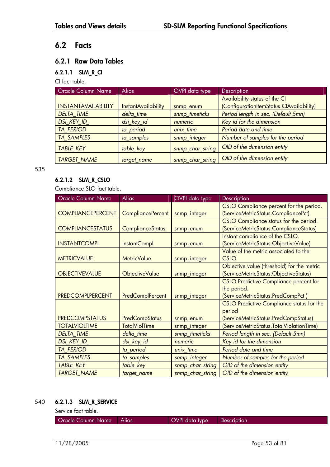# **6.2 Facts**

# **6.2.1 Raw Data Tables**

## **6.2.1.1 SLM\_R\_CI**

CI fact table.

| <b>Oracle Column Name</b>  | <b>Alias</b>        | OVPI data type   | <b>Description</b>                       |
|----------------------------|---------------------|------------------|------------------------------------------|
|                            |                     |                  | Availability status of the CI            |
| <b>INSTANTAVAILABILITY</b> | InstantAvailability | snmp_enum        | (ConfigurationItemStatus.CIAvailability) |
| <b>DELTA TIME</b>          | delta time          | snmp_timeticks   | Period length in sec. (Default 5mn)      |
| DSI_KEY_ID_                | dsi_key_id          | numeric          | Key id for the dimension                 |
| <b>TA PERIOD</b>           | ta_period           | unix time        | Period date and time                     |
| <b>TA SAMPLES</b>          | ta samples          | snmp_integer     | Number of samples for the period         |
| <b>TABLE KEY</b>           | table_key           | snmp_char_string | OID of the dimension entity              |
| <b>TARGET NAME</b>         | target_name         | snmp_char_string | OID of the dimension entity              |

535

## **6.2.1.2 SLM\_R\_CSLO**

Compliance SLO fact table.

| <b>Oracle Column Name</b> | <b>Alias</b>             | OVPI data type   | Description                                      |
|---------------------------|--------------------------|------------------|--------------------------------------------------|
|                           |                          |                  | CSLO Compliance percent for the period.          |
| <b>COMPLIANCEPERCENT</b>  | <b>CompliancePercent</b> | snmp_integer     | (ServiceMetricStatus.CompliancePct)              |
|                           |                          |                  | CSLO Compliance status for the period.           |
| <b>COMPLIANCESTATUS</b>   | <b>ComplianceStatus</b>  | snmp_enum        | (ServiceMetricStatus.ComplianceStatus)           |
|                           |                          |                  | Instant compliance of the CSLO.                  |
| <b>INSTANTCOMPL</b>       | InstantCompl             | snmp_enum        | (ServiceMetricStatus.ObjectiveValue)             |
|                           |                          |                  | Value of the metric associated to the            |
| <b>METRICVALUE</b>        | <b>MetricValue</b>       | snmp_integer     | <b>CSLO</b>                                      |
|                           |                          |                  | Objective value (threshold) for the metric       |
| <b>OBJECTIVEVALUE</b>     | ObjectiveValue           | snmp_integer     | (ServiceMetricStatus.ObjectiveStatus)            |
|                           |                          |                  | <b>CSLO Predictive Compliance percent for</b>    |
|                           |                          |                  | the period.                                      |
| <b>PREDCOMPLPERCENT</b>   | PredComplPercent         | snmp_integer     | (ServiceMetricStatus.PredCompPct)                |
|                           |                          |                  | <b>CSLO Predictive Compliance status for the</b> |
|                           |                          |                  | period                                           |
| <b>PREDCOMPSTATUS</b>     | PredCompStatus           | snmp_enum        | (ServiceMetricStatus.PredCompStatus)             |
| <b>TOTALVIOLTIME</b>      | <b>TotalViolTime</b>     | snmp_integer     | (ServiceMetricStatus.TotalViolationTime)         |
| <b>DELTA TIME</b>         | delta_time               | snmp_timeticks   | Period length in sec. (Default 5mn)              |
| <b>DSI KEY ID</b>         | dsi_key_id               | numeric          | Key id for the dimension                         |
| <b>TA PERIOD</b>          | ta_period                | unix_time        | Period date and time                             |
| <b>TA SAMPLES</b>         | ta_samples               | snmp_integer     | Number of samples for the period                 |
| <b>TABLE_KEY</b>          | table_key                | snmp_char_string | OID of the dimension entity                      |
| <b>TARGET NAME</b>        | target_name              | snmp_char_string | OID of the dimension entity                      |

## 540 **6.2.1.3 SLM\_R\_SERVICE**

Service fact table.

| Oracle Column Name<br>Alias |
|-----------------------------|
|-----------------------------|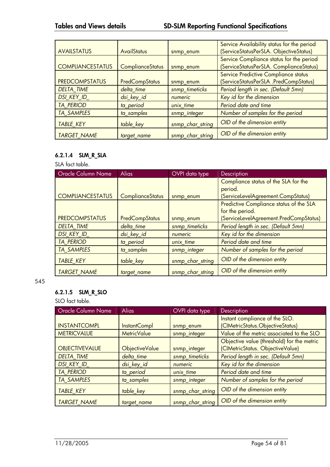|                         |                         |                  | Service Availability status for the period |
|-------------------------|-------------------------|------------------|--------------------------------------------|
| <b>AVAILSTATUS</b>      | <b>AvailStatus</b>      | snmp enum        | (ServiceStatusPerSLA. ObjectiveStatus)     |
|                         |                         |                  | Service Compliance status for the period   |
| <b>COMPLIANCESTATUS</b> | <b>ComplianceStatus</b> | snmp_enum        | (ServiceStatusPerSLA. ComplianceStatus)    |
|                         |                         |                  | Service Predictive Compliance status       |
| <b>PREDCOMPSTATUS</b>   | <b>PredCompStatus</b>   | snmp_enum        | (ServiceStatusPerSLA .PredCompStatus)      |
| <b>DELTA TIME</b>       | delta time              | snmp_timeticks   | Period length in sec. (Default 5mn)        |
| <b>DSI KEY ID</b>       | dsi_key_id              | numeric          | Key id for the dimension                   |
| <b>TA PERIOD</b>        | ta_period               | unix time        | Period date and time                       |
| <b>TA SAMPLES</b>       | ta_samples              | snmp_integer     | Number of samples for the period           |
| <b>TABLE KEY</b>        | table_key               | snmp_char_string | OID of the dimension entity                |
| <b>TARGET NAME</b>      | target name             | snmp char string | OID of the dimension entity                |

# **6.2.1.4 SLM\_R\_SLA**

SLA fact table.

| <b>Oracle Column Name</b> | <b>Alias</b>            | OVPI data type   | <b>Description</b>                      |
|---------------------------|-------------------------|------------------|-----------------------------------------|
|                           |                         |                  | Compliance status of the SLA for the    |
|                           |                         |                  | period.                                 |
| <b>COMPLIANCESTATUS</b>   | <b>ComplianceStatus</b> | snmp_enum        | (ServiceLevelAgreement.CompStatus)      |
|                           |                         |                  | Predictive Compliance status of the SLA |
|                           |                         |                  | for the period.                         |
| <b>PREDCOMPSTATUS</b>     | PredCompStatus          | snmp_enum        | (ServiceLevelAgreement.PredCompStatus)  |
| <b>DELTA TIME</b>         | delta time              | snmp_timeticks   | Period length in sec. (Default 5mn)     |
| <b>DSI KEY ID</b>         | dsi_key_id              | numeric          | Key id for the dimension                |
| <b>TA PERIOD</b>          | ta_period               | unix time        | Period date and time                    |
| <b>TA SAMPLES</b>         | ta_samples              | snmp_integer     | Number of samples for the period        |
| <b>TABLE_KEY</b>          | table_key               | snmp_char_string | OID of the dimension entity             |
| <b>TARGET NAME</b>        | target_name             | snmp_char_string | OID of the dimension entity             |

#### 545

## **6.2.1.5 SLM\_R\_SLO**

SLO fact table.

| Oracle Column Name    | <b>Alias</b>          | OVPI data type   | Description                                |
|-----------------------|-----------------------|------------------|--------------------------------------------|
|                       |                       |                  | Instant compliance of the SLO.             |
| <b>INSTANTCOMPL</b>   | InstantCompl          | snmp_enum        | (CIMetricStatus.ObjectiveStatus)           |
| <b>METRICVALUE</b>    | <b>MetricValue</b>    | snmp_integer     | Value of the metric associated to the SLO  |
|                       |                       |                  | Objective value (threshold) for the metric |
| <b>OBJECTIVEVALUE</b> | <b>ObjectiveValue</b> | snmp_integer     | (CIMetricStatus. ObjectiveValue)           |
| <b>DELTA TIME</b>     | delta time            | snmp_timeticks   | Period length in sec. (Default 5mn)        |
| <b>DSI KEY ID</b>     | dsi_key_id            | numeric          | Key id for the dimension                   |
| <b>TA PERIOD</b>      | ta period             | unix time        | Period date and time                       |
| <b>TA SAMPLES</b>     | ta samples            | snmp_integer     | Number of samples for the period           |
| <b>TABLE KEY</b>      | table_key             | snmp_char_string | OID of the dimension entity                |
| <b>TARGET NAME</b>    | target_name           | snmp_char_string | OID of the dimension entity                |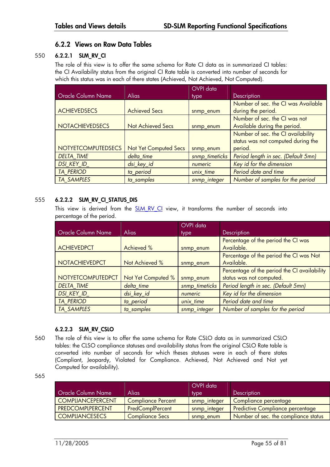## **6.2.2 Views on Raw Data Tables**

### 550 **6.2.2.1 SLM\_RV\_CI**

The role of this view is to offer the same schema for Rate CI data as in summarized CI tables: the CI Availability status from the original CI Rate table is converted into number of seconds for which this status was in each of there states (Achieved, Not Achieved, Not Computed).

|                           |                              | OVPI data      |                                     |
|---------------------------|------------------------------|----------------|-------------------------------------|
| Oracle Column Name        | <b>Alias</b>                 | type           | Description                         |
|                           |                              |                | Number of sec. the CI was Available |
| <b>ACHIEVEDSECS</b>       | <b>Achieved Secs</b>         | snmp enum      | during the period.                  |
|                           |                              |                | Number of sec. the CI was not       |
| <b>NOTACHIEVEDSECS</b>    | <b>Not Achieved Secs</b>     | snmp_enum      | Available during the period.        |
|                           |                              |                | Number of sec. the CI availability  |
|                           |                              |                | status was not computed during the  |
| <b>NOTYETCOMPUTEDSECS</b> | <b>Not Yet Computed Secs</b> | snmp_enum      | period.                             |
| <b>DELTA TIME</b>         | delta time                   | snmp_timeticks | Period length in sec. (Default 5mn) |
| <b>DSI KEY ID</b>         | dsi_key_id                   | numeric        | Key id for the dimension            |
| <b>TA PERIOD</b>          | ta_period                    | unix_time      | Period date and time                |
| <b>TA SAMPLES</b>         | ta_samples                   | snmp_integer   | Number of samples for the period    |

## 555 **6.2.2.2 SLM\_RV\_CI\_STATUS\_DIS**

This view is derived from the **SLM RV CI** view, it transforms the number of seconds into percentage of the period.

|                           |                    | <b>OVPI</b> data |                                              |
|---------------------------|--------------------|------------------|----------------------------------------------|
| <b>Oracle Column Name</b> | <b>Alias</b>       | type             | <b>Description</b>                           |
|                           |                    |                  | Percentage of the period the CI was          |
| <b>ACHIEVEDPCT</b>        | Achieved %         | snmp_enum        | Available.                                   |
|                           |                    |                  | Percentage of the period the CI was Not      |
| <b>NOTACHIEVEDPCT</b>     | Not Achieved %     | snmp_enum        | Available.                                   |
|                           |                    |                  | Percentage of the period the CI availability |
| <b>NOTYETCOMPUTEDPCT</b>  | Not Yet Computed % | snmp_enum        | status was not computed.                     |
| <b>DELTA TIME</b>         | delta time         | snmp_timeticks   | Period length in sec. (Default 5mn)          |
| DSI_KEY_ID                | dsi_key_id         | numeric          | Key id for the dimension                     |
| <b>TA PERIOD</b>          | ta period          | unix time        | Period date and time                         |
| <b>TA SAMPLES</b>         | ta samples         | snmp_integer     | Number of samples for the period             |

#### **6.2.2.3 SLM\_RV\_CSLO**

560 The role of this view is to offer the same schema for Rate CSLO data as in summarized CSLO tables: the CLSO compliance statuses and availability status from the original CSLO Rate table is converted into number of seconds for which theses statuses were in each of there states (Compliant, Jeopardy, Violated for Compliance. Achieved, Not Achieved and Not yet Computed for availability).

<sup>565</sup> 

| <b>Oracle Column Name</b> | Alias                     | OVPI data<br>type <sup></sup> | <b>Description</b>                      |
|---------------------------|---------------------------|-------------------------------|-----------------------------------------|
| <b>COMPLIANCEPERCENT</b>  | <b>Compliance Percent</b> | snmp_integer                  | Compliance percentage                   |
| <b>PREDCOMPLPERCENT</b>   | PredComplPercent          | snmp_integer                  | <b>Predictive Compliance percentage</b> |
| <b>COMPLIANCESECS</b>     | <b>Compliance Secs</b>    | snmp enum                     | Number of sec. the compliance status    |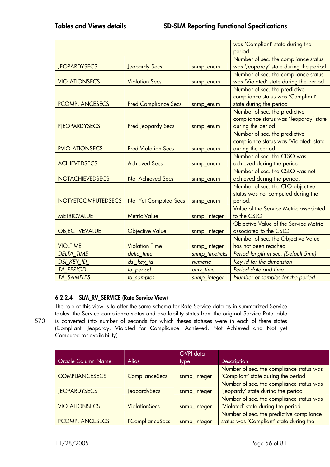|                           |                              |                | was 'Compliant' state during the       |
|---------------------------|------------------------------|----------------|----------------------------------------|
|                           |                              |                | period                                 |
|                           |                              |                | Number of sec. the compliance status   |
| <b>JEOPARDYSECS</b>       | <b>Jeopardy Secs</b>         | snmp_enum      | was 'Jeopardy' state during the period |
|                           |                              |                | Number of sec. the compliance status   |
| <b>VIOLATIONSECS</b>      | <b>Violation Secs</b>        | snmp_enum      | was 'Violated' state during the period |
|                           |                              |                | Number of sec. the predictive          |
|                           |                              |                | compliance status was 'Compliant'      |
| <b>PCOMPLIANCESECS</b>    | <b>Pred Compliance Secs</b>  | snmp_enum      | state during the period                |
|                           |                              |                | Number of sec. the predictive          |
|                           |                              |                | compliance status was 'Jeopardy' state |
| <b>PJEOPARDYSECS</b>      | <b>Pred Jeopardy Secs</b>    | snmp_enum      | during the period                      |
|                           |                              |                | Number of sec. the predictive          |
|                           |                              |                | compliance status was 'Violated' state |
| <b>PVIOLATIONSECS</b>     | <b>Pred Violation Secs</b>   | snmp_enum      | during the period                      |
|                           |                              |                | Number of sec. the CLSO was            |
| <b>ACHIEVEDSECS</b>       | <b>Achieved Secs</b>         | snmp_enum      | achieved during the period.            |
|                           |                              |                | Number of sec. the CSLO was not        |
| <b>NOTACHIEVEDSECS</b>    | <b>Not Achieved Secs</b>     | snmp_enum      | achieved during the period.            |
|                           |                              |                | Number of sec. the CLO objective       |
|                           |                              |                | status was not computed during the     |
| <b>NOTYETCOMPUTEDSECS</b> | <b>Not Yet Computed Secs</b> | snmp_enum      | period.                                |
|                           |                              |                | Value of the Service Metric associated |
| <b>METRICVALUE</b>        | <b>Metric Value</b>          | snmp_integer   | to the CSLO                            |
|                           |                              |                | Objective Value of the Service Metric  |
| <b>OBJECTIVEVALUE</b>     | <b>Objective Value</b>       | snmp_integer   | associated to the CSLO                 |
|                           |                              |                | Number of sec. the Objective Value     |
| <b>VIOLTIME</b>           | <b>Violation Time</b>        | snmp_integer   | has not been reached                   |
| <b>DELTA TIME</b>         | delta time                   | snmp timeticks | Period length in sec. (Default 5mn)    |
| <b>DSI KEY ID</b>         | dsi_key_id                   | numeric        | Key id for the dimension               |
| <b>TA PERIOD</b>          | ta_period                    | unix_time      | Period date and time                   |
| <b>TA SAMPLES</b>         | ta_samples                   | snmp_integer   | Number of samples for the period       |
|                           |                              |                |                                        |

## **6.2.2.4 SLM\_RV\_SERVICE (Rate Service View)**

The role of this view is to offer the same schema for Rate Service data as in summarized Service tables: the Service compliance status and availability status from the original Service Rate table 570 is converted into number of seconds for which theses statuses were in each of there states (Compliant, Jeopardy, Violated for Compliance. Achieved, Not Achieved and Not yet Computed for availability).

|                           |                       | OVPI data    |                                          |
|---------------------------|-----------------------|--------------|------------------------------------------|
| <b>Oracle Column Name</b> | <b>Alias</b>          | <i>type</i>  | <b>Description</b>                       |
|                           |                       |              | Number of sec. the compliance status was |
| <b>COMPLIANCESECS</b>     | <b>ComplianceSecs</b> | snmp_integer | 'Compliant' state during the period      |
|                           |                       |              | Number of sec. the compliance status was |
| <b>JEOPARDYSECS</b>       | JeopardySecs          | snmp_integer | 'Jeopardy' state during the period       |
|                           |                       |              | Number of sec. the compliance status was |
| <b>VIOLATIONSECS</b>      | <b>ViolationSecs</b>  | snmp_integer | 'Violated' state during the period       |
|                           |                       |              | Number of sec. the predictive compliance |
| <b>PCOMPLIANCESECS</b>    | PComplianceSecs       | snmp_integer | status was 'Compliant' state during the  |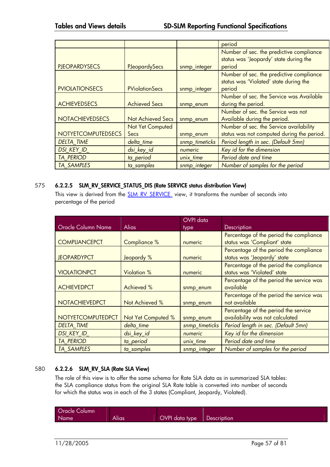|                           |                          |                | period                                                                             |
|---------------------------|--------------------------|----------------|------------------------------------------------------------------------------------|
|                           |                          |                | Number of sec. the predictive compliance<br>status was 'Jeopardy' state during the |
| <b>PJEOPARDYSECS</b>      | <b>PJeopardySecs</b>     | snmp_integer   | period                                                                             |
|                           |                          |                | Number of sec. the predictive compliance                                           |
|                           |                          |                | status was 'Violated' state during the                                             |
| <b>PVIOLATIONSECS</b>     | <b>PViolationSecs</b>    | snmp_integer   | period                                                                             |
|                           |                          |                | Number of sec. the Service was Available                                           |
| <b>ACHIEVEDSECS</b>       | <b>Achieved Secs</b>     | snmp_enum      | during the period.                                                                 |
|                           |                          |                | Number of sec. the Service was not                                                 |
| <b>NOTACHIEVEDSECS</b>    | <b>Not Achieved Secs</b> | snmp_enum      | Available during the period.                                                       |
|                           | Not Yet Computed         |                | Number of sec. the Service availability                                            |
| <b>NOTYETCOMPUTEDSECS</b> | Secs                     | snmp_enum      | status was not computed during the period.                                         |
| <b>DELTA TIME</b>         | delta time               | snmp_timeticks | Period length in sec. (Default 5mn)                                                |
| <b>DSI KEY ID</b>         | dsi_key_id               | numeric        | Key id for the dimension                                                           |
| <b>TA PERIOD</b>          | ta_period                | unix_time      | Period date and time                                                               |
| <b>TA SAMPLES</b>         | ta samples               | snmp_integer   | Number of samples for the period                                                   |

## 575 **6.2.2.5 SLM\_RV\_SERVICE\_STATUS\_DIS (Rate SERVICE status distribution View)**

This view is derived from the SLM\_RV\_SERVICE view, it transforms the number of seconds into percentage of the period

|                          |                    | OVPI data      |                                                                         |
|--------------------------|--------------------|----------------|-------------------------------------------------------------------------|
| Oracle Column Name       | Alias              | type           | Description                                                             |
|                          |                    |                | Percentage of the period the compliance                                 |
| <b>COMPLIANCEPCT</b>     | Compliance %       | numeric        | status was 'Compliant' state                                            |
| <b>JEOPARDYPCT</b>       | Jeopardy %         | numeric        | Percentage of the period the compliance<br>status was 'Jeopardy' state  |
| <b>VIOLATIONPCT</b>      | <b>Violation %</b> | numeric        | Percentage of the period the compliance<br>status was 'Violated' state  |
| <b>ACHIEVEDPCT</b>       | Achieved %         | snmp_enum      | Percentage of the period the service was<br>available                   |
| <b>NOTACHIEVEDPCT</b>    | Not Achieved %     | snmp_enum      | Percentage of the period the service was<br>not available               |
| <b>NOTYETCOMPUTEDPCT</b> | Not Yet Computed % | snmp_enum      | Percentage of the period the service<br>availability was not calculated |
| <b>DELTA TIME</b>        | delta_time         | snmp_timeticks | Period length in sec. (Default 5mn)                                     |
| <b>DSI KEY ID</b>        | dsi_key_id         | numeric        | Key id for the dimension                                                |
| <b>TA PERIOD</b>         | ta period          | unix_time      | Period date and time                                                    |
| <b>TA SAMPLES</b>        | ta samples         | snmp_integer   | Number of samples for the period                                        |

## 580 **6.2.2.6 SLM\_RV\_SLA (Rate SLA View)**

The role of this view is to offer the same schema for Rate SLA data as in summarized SLA tables: the SLA compliance status from the original SLA Rate table is converted into number of seconds for which the status was in each of the 3 states (Compliant, Jeopardy, Violated).

| <b>Oracle Column</b> |       |                |             |
|----------------------|-------|----------------|-------------|
| Name                 | Alias | OVPI data type | Description |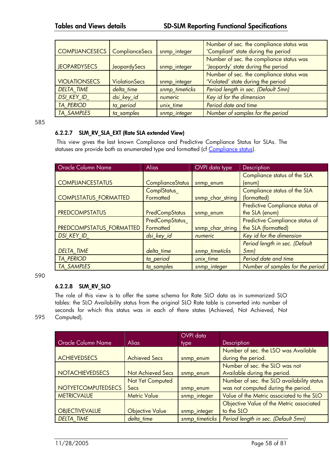|                                        |                      |                | Number of sec. the compliance status was |
|----------------------------------------|----------------------|----------------|------------------------------------------|
| <b>COMPLIANCESECS</b>   ComplianceSecs |                      | snmp_integer   | 'Compliant' state during the period      |
|                                        |                      |                | Number of sec. the compliance status was |
| <b>JEOPARDYSECS</b>                    | <b>JeopardySecs</b>  | snmp_integer   | 'Jeopardy' state during the period       |
|                                        |                      |                | Number of sec. the compliance status was |
| <b>VIOLATIONSECS</b>                   | <b>ViolationSecs</b> | snmp_integer   | 'Violated' state during the period       |
| <b>DELTA TIME</b>                      | delta time           | snmp_timeticks | Period length in sec. (Default 5mn)      |
| <b>DSI KEY ID</b>                      | dsi_key_id           | numeric        | Key id for the dimension                 |
| <b>TA PERIOD</b>                       | ta_period            | unix time      | Period date and time                     |
| <b>TA SAMPLES</b>                      | ta samples           | snmp_integer   | Number of samples for the period         |

585

### **6.2.2.7 SLM\_RV\_SLA\_EXT (Rate SLA extended View)**

 This view gives the last known Compliance and Predictive Compliance Status for SLAs. The statuses are provide both as enumerated type and formatted (cf Compliance status).

| <b>Oracle Column Name</b>    | <b>Alias</b>            | OVPI data type   | Description                            |
|------------------------------|-------------------------|------------------|----------------------------------------|
|                              |                         |                  | Compliance status of the SLA           |
| <b>COMPLIANCESTATUS</b>      | <b>ComplianceStatus</b> | snmp_enum        | $(\text{enum})$                        |
|                              | ComplStatus_            |                  | Compliance status of the SLA           |
| <b>COMPLSTATUS FORMATTED</b> | Formatted               | snmp_char_string | (formatted)                            |
|                              |                         |                  | <b>Predictive Compliance status of</b> |
| <b>PREDCOMPSTATUS</b>        | <b>PredCompStatus</b>   | snmp_enum        | the SLA (enum)                         |
|                              | PredCompStatus_         |                  | <b>Predictive Compliance status of</b> |
| PREDCOMPSTATUS FORMATTED     | Formatted               | snmp_char_string | the SLA (formatted)                    |
| DSI_KEY_ID_                  | dsi_key_id              | numeric          | Key id for the dimension               |
|                              |                         |                  | Period length in sec. (Default         |
| <b>DELTA TIME</b>            | delta time              | snmp_timeticks   | $5mn$ )                                |
| <b>TA PERIOD</b>             | ta period               | unix time        | Period date and time                   |
| <b>TA SAMPLES</b>            | ta samples              | snmp_integer     | Number of samples for the period       |

590

## **6.2.2.8 SLM\_RV\_SLO**

The role of this view is to offer the same schema for Rate SLO data as in summarized SLO tables: the SLO Availability status from the original SLO Rate table is converted into number of seconds for which this status was in each of there states (Achieved, Not Achieved, Not Computed).

| ٦<br>۰.<br>×<br>۰.<br>×<br>um. |
|--------------------------------|
|--------------------------------|

|                        |                          | <b>OVPI</b> data |                                            |
|------------------------|--------------------------|------------------|--------------------------------------------|
| Oracle Column Name     | <b>Alias</b>             | type             | <b>Description</b>                         |
|                        |                          |                  | Number of sec. the LSO was Available       |
| <b>ACHIEVEDSECS</b>    | <b>Achieved Secs</b>     | snmp_enum        | during the period.                         |
|                        |                          |                  | Number of sec. the SLO was not             |
| <b>NOTACHIEVEDSECS</b> | <b>Not Achieved Secs</b> | snmp_enum        | Available during the period.               |
|                        | Not Yet Computed         |                  | Number of sec. the SLO availability status |
| NOTYETCOMPUTEDSECS     | Secs                     | snmp_enum        | was not computed during the period.        |
| <b>METRICVALUE</b>     | <b>Metric Value</b>      | snmp_integer     | Value of the Metric associated to the SLO  |
|                        |                          |                  | Objective Value of the Metric associated   |
| <b>OBJECTIVEVALUE</b>  | <b>Objective Value</b>   | snmp_integer     | to the SLO                                 |
| <b>DELTA TIME</b>      | delta time               | snmp timeticks   | Period length in sec. (Default 5mn)        |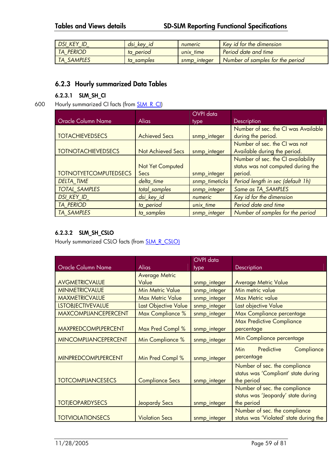| DSI KEY               | dsi kev<br>- Id<br>_ | numeric         | <b>Key id for the dimension</b>  |
|-----------------------|----------------------|-----------------|----------------------------------|
| PERIOD<br><b>TA</b>   | period<br>ta         | unix time       | Period date and time             |
| <b>SAMPLES</b><br>TA. | samples<br>ta        | integer<br>snmp | Number of samples for the period |

## **6.2.3 Hourly summarized Data Tables**

#### **6.2.3.1 SLM\_SH\_CI**

#### 600 Hourly summarized CI facts (from **SLM\_R\_CI)**

|                              |                          | <b>OVPI</b> data |                                     |
|------------------------------|--------------------------|------------------|-------------------------------------|
| Oracle Column Name           | <b>Alias</b>             | type             | Description                         |
|                              |                          |                  | Number of sec. the CI was Available |
| <b>TOTACHIEVEDSECS</b>       | <b>Achieved Secs</b>     | snmp_integer     | during the period.                  |
|                              |                          |                  | Number of sec. the CI was not       |
| <b>TOTNOTACHIEVEDSECS</b>    | <b>Not Achieved Secs</b> | snmp_integer     | Available during the period.        |
|                              |                          |                  | Number of sec. the CI availability  |
|                              | Not Yet Computed         |                  | status was not computed during the  |
| <b>TOTNOTYETCOMPUTEDSECS</b> | Secs                     | snmp_integer     | period.                             |
| <b>DELTA TIME</b>            | delta time               | snmp_timeticks   | Period length in sec (default 1h)   |
| <b>TOTAL SAMPLES</b>         | total samples            | snmp_integer     | Same as TA SAMPLES                  |
| <b>DSI KEY ID</b>            | dsi_key_id               | numeric          | Key id for the dimension            |
| <b>TA PERIOD</b>             | ta_period                | unix time        | Period date and time                |
| <b>TA SAMPLES</b>            | ta samples               | snmp_integer     | Number of samples for the period    |

#### **6.2.3.2 SLM\_SH\_CSLO**

Hourly summarized CSLO facts (from **SLM\_R\_CSLO)** 

|                             |                         | <b>OVPI</b> data |                                        |
|-----------------------------|-------------------------|------------------|----------------------------------------|
| Oracle Column Name          | <b>Alias</b>            | type             | Description                            |
|                             | <b>Average Metric</b>   |                  |                                        |
| <b>AVGMETRICVALUE</b>       | Value                   | snmp_integer     | <b>Average Metric Value</b>            |
| <b>MINMETRICVALUE</b>       | <b>Min Metric Value</b> | snmp_integer     | Min metric value                       |
| <b>MAXMETRICVALUE</b>       | <b>Max Metric Value</b> | snmp_integer     | <b>Max Metric value</b>                |
| <b>LSTOBJECTIVEVALUE</b>    | Last Objective Value    | snmp_integer     | Last objective Value                   |
| <b>MAXCOMPLIANCEPERCENT</b> | Max Compliance %        | snmp_integer     | Max Compliance percentage              |
|                             |                         |                  | <b>Max Predictive Compliance</b>       |
| <b>MAXPREDCOMPLPERCENT</b>  | Max Pred Compl %        | snmp_integer     | percentage                             |
| <b>MINCOMPLIANCEPERCENT</b> | Min Compliance %        | snmp_integer     | Min Compliance percentage              |
|                             |                         |                  | Predictive<br>Compliance<br>Min.       |
| <b>MINPREDCOMPLPERCENT</b>  | Min Pred Compl %        | snmp_integer     | percentage                             |
|                             |                         |                  | Number of sec. the compliance          |
|                             |                         |                  | status was 'Compliant' state during    |
| <b>TOTCOMPLIANCESECS</b>    | <b>Compliance Secs</b>  | snmp_integer     | the period                             |
|                             |                         |                  | Number of sec. the compliance          |
|                             |                         |                  | status was 'Jeopardy' state during     |
| <b>TOTJEOPARDYSECS</b>      | <b>Jeopardy Secs</b>    | snmp_integer     | the period                             |
|                             |                         |                  | Number of sec. the compliance          |
| <b>TOTVIOLATIONSECS</b>     | <b>Violation Secs</b>   | snmp_integer     | status was 'Violated' state during the |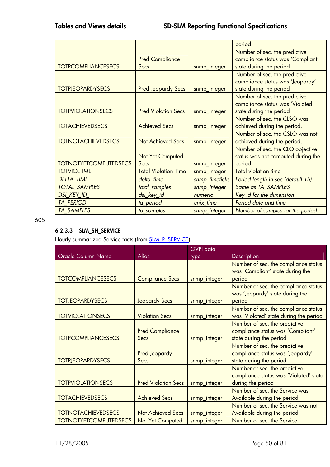|                              |                                |                | period                                                             |
|------------------------------|--------------------------------|----------------|--------------------------------------------------------------------|
|                              |                                |                | Number of sec. the predictive<br>compliance status was 'Compliant' |
| <b>TOTPCOMPLIANCESECS</b>    | <b>Pred Compliance</b><br>Secs | snmp_integer   | state during the period                                            |
|                              |                                |                | Number of sec. the predictive                                      |
|                              |                                |                | compliance status was 'Jeopardy'                                   |
| <b>TOTPJEOPARDYSECS</b>      | <b>Pred Jeopardy Secs</b>      | snmp_integer   | state during the period                                            |
|                              |                                |                | Number of sec. the predictive                                      |
|                              |                                |                | compliance status was 'Violated'                                   |
| <b>TOTPVIOLATIONSECS</b>     | <b>Pred Violation Secs</b>     | snmp_integer   | state during the period                                            |
|                              |                                |                | Number of sec. the CLSO was                                        |
| <b>TOTACHIEVEDSECS</b>       | <b>Achieved Secs</b>           | snmp_integer   | achieved during the period.                                        |
|                              |                                |                | Number of sec. the CSLO was not                                    |
| <b>TOTNOTACHIEVEDSECS</b>    | <b>Not Achieved Secs</b>       | snmp_integer   | achieved during the period.                                        |
|                              |                                |                | Number of sec. the CLO objective                                   |
|                              | Not Yet Computed               |                | status was not computed during the                                 |
| <b>TOTNOTYETCOMPUTEDSECS</b> | Secs                           | snmp_integer   | period.                                                            |
| <b>TOTVIOLTIME</b>           | <b>Total Violation Time</b>    | snmp_integer   | <b>Total violation time</b>                                        |
| <b>DELTA TIME</b>            | delta_time                     | snmp_timeticks | Period length in sec (default 1h)                                  |
| <b>TOTAL_SAMPLES</b>         | total_samples                  | snmp_integer   | Same as TA_SAMPLES                                                 |
| DSI_KEY_ID_                  | dsi_key_id                     | numeric        | Key id for the dimension                                           |
| <b>TA PERIOD</b>             | ta_period                      | unix_time      | Period date and time                                               |
| <b>TA SAMPLES</b>            | ta_samples                     | snmp_integer   | Number of samples for the period                                   |

605

## **6.2.3.3 SLM\_SH\_SERVICE**

Hourly summarized Service facts (from **SLM\_R\_SERVICE**)

|                              |                                | <b>OVPI</b> data |                                                                                               |
|------------------------------|--------------------------------|------------------|-----------------------------------------------------------------------------------------------|
| Oracle Column Name           | <b>Alias</b>                   | type             | Description                                                                                   |
| <b>TOTCOMPLIANCESECS</b>     | <b>Compliance Secs</b>         | snmp_integer     | Number of sec. the compliance status<br>was 'Compliant' state during the<br>period            |
| <b>TOTJEOPARDYSECS</b>       | <b>Jeopardy Secs</b>           | snmp_integer     | Number of sec. the compliance status<br>was 'Jeopardy' state during the<br>period             |
| <b>TOTVIOLATIONSECS</b>      | <b>Violation Secs</b>          | snmp_integer     | Number of sec. the compliance status<br>was 'Violated' state during the period                |
| <b>TOTPCOMPLIANCESECS</b>    | <b>Pred Compliance</b><br>Secs | snmp_integer     | Number of sec. the predictive<br>compliance status was 'Compliant'<br>state during the period |
| <b>TOTPJEOPARDYSECS</b>      | Pred Jeopardy<br>Secs          | snmp_integer     | Number of sec. the predictive<br>compliance status was 'Jeopardy'<br>state during the period  |
| <b>TOTPVIOLATIONSECS</b>     | <b>Pred Violation Secs</b>     | snmp_integer     | Number of sec. the predictive<br>compliance status was 'Violated' state<br>during the period  |
| <b>TOTACHIEVEDSECS</b>       | <b>Achieved Secs</b>           | snmp_integer     | Number of sec. the Service was<br>Available during the period.                                |
| <b>TOTNOTACHIEVEDSECS</b>    | <b>Not Achieved Secs</b>       | snmp_integer     | Number of sec. the Service was not<br>Available during the period.                            |
| <b>TOTNOTYETCOMPUTEDSECS</b> | Not Yet Computed               | snmp_integer     | Number of sec. the Service                                                                    |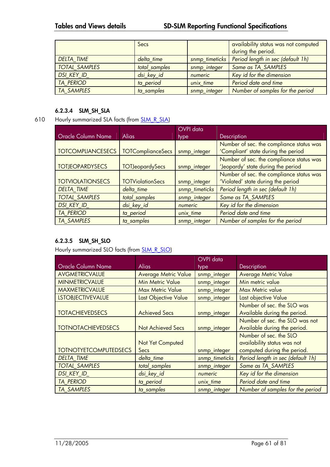|                      | Secs          |                | availability status was not computed<br>during the period. |
|----------------------|---------------|----------------|------------------------------------------------------------|
| <b>DELTA TIME</b>    | delta_time    | snmp_timeticks | Period length in sec (default 1h)                          |
| <b>TOTAL SAMPLES</b> | total samples | snmp_integer   | Same as TA SAMPLES                                         |
| DSI_KEY_ID_          | dsi_key_id    | numeric        | Key id for the dimension                                   |
| <b>TA PERIOD</b>     | ta period     | unix time      | Period date and time                                       |
| <b>TA SAMPLES</b>    | ta samples    | snmp_integer   | Number of samples for the period                           |

### **6.2.3.4 SLM\_SH\_SLA**

## 610 Hourly summarized SLA facts (from SLM\_R\_SLA)

|                          |                          | OVPI data      |                                                                                 |
|--------------------------|--------------------------|----------------|---------------------------------------------------------------------------------|
| Oracle Column Name       | <b>Alias</b>             | type           | <b>Description</b>                                                              |
| <b>TOTCOMPLIANCESECS</b> | <b>TOTComplianceSecs</b> | snmp_integer   | Number of sec. the compliance status was<br>'Compliant' state during the period |
| <b>TOTJEOPARDYSECS</b>   | <b>TOTJeopardySecs</b>   | snmp_integer   | Number of sec. the compliance status was<br>'Jeopardy' state during the period  |
|                          |                          |                | Number of sec. the compliance status was                                        |
| <b>TOTVIOLATIONSECS</b>  | <b>TOTViolationSecs</b>  | snmp_integer   | 'Violated' state during the period                                              |
| <b>DELTA TIME</b>        | delta time               | snmp_timeticks | Period length in sec (default 1h)                                               |
| <b>TOTAL SAMPLES</b>     | total samples            | snmp_integer   | Same as TA SAMPLES                                                              |
| <b>DSI KEY ID</b>        | dsi_key_id               | numeric        | Key id for the dimension                                                        |
| <b>TA PERIOD</b>         | ta period                | unix time      | Period date and time                                                            |
| <b>TA SAMPLES</b>        | ta_samples               | snmp_integer   | Number of samples for the period                                                |

## **6.2.3.5 SLM\_SH\_SLO**

Hourly summarized SLO facts (from **SLM\_R\_SLO)** 

|                              | <b>OVPI</b> data            |                |                                   |
|------------------------------|-----------------------------|----------------|-----------------------------------|
| <b>Oracle Column Name</b>    | <b>Alias</b>                | type           | <b>Description</b>                |
| <b>AVGMETRICVALUE</b>        | <b>Average Metric Value</b> | snmp_integer   | <b>Average Metric Value</b>       |
| <b>MINMETRICVALUE</b>        | <b>Min Metric Value</b>     | snmp_integer   | Min metric value                  |
| <b>MAXMETRICVALUE</b>        | <b>Max Metric Value</b>     | snmp_integer   | Max Metric value                  |
| <b>LSTOBJECTIVEVALUE</b>     | Last Objective Value        | snmp_integer   | Last objective Value              |
|                              |                             |                | Number of sec. the SLO was        |
| <b>TOTACHIEVEDSECS</b>       | <b>Achieved Secs</b>        | snmp_integer   | Available during the period.      |
|                              |                             |                | Number of sec. the SLO was not    |
| <b>TOTNOTACHIEVEDSECS</b>    | <b>Not Achieved Secs</b>    | snmp_integer   | Available during the period.      |
|                              |                             |                | Number of sec. the SLO            |
|                              | Not Yet Computed            |                | availability status was not       |
| <b>TOTNOTYETCOMPUTEDSECS</b> | Secs                        | snmp_integer   | computed during the period.       |
| <b>DELTA TIME</b>            | delta time                  | snmp_timeticks | Period length in sec (default 1h) |
| <b>TOTAL SAMPLES</b>         | total samples               | snmp_integer   | Same as TA SAMPLES                |
| <b>DSI KEY ID</b>            | dsi_key_id                  | numeric        | Key id for the dimension          |
| <b>TA PERIOD</b>             | ta period                   | unix time      | Period date and time              |
| <b>TA SAMPLES</b>            | ta samples                  | snmp_integer   | Number of samples for the period  |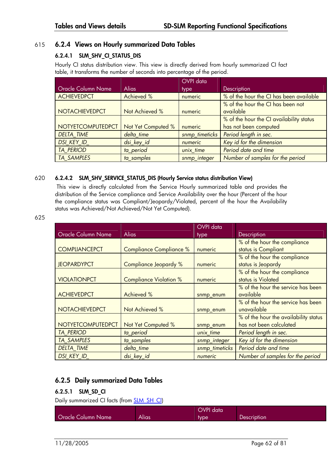## 615 **6.2.4 Views on Hourly summarized Data Tables**

## **6.2.4.1 SLM\_SHV\_CI\_STATUS\_DIS**

Hourly CI status distribution view. This view is directly derived from hourly summarized CI fact table, it transforms the number of seconds into percentage of the period.

|                           |                    | OVPI data      |                                          |
|---------------------------|--------------------|----------------|------------------------------------------|
| <b>Oracle Column Name</b> | <b>Alias</b>       | <i>type</i>    | Description                              |
| <b>ACHIEVEDPCT</b>        | Achieved %         | numeric        | % of the hour the CI has been available  |
|                           |                    |                | % of the hour the CI has been not        |
| <b>NOTACHIEVEDPCT</b>     | Not Achieved %     | numeric        | available                                |
|                           |                    |                | % of the hour the CI availability status |
| <b>NOTYETCOMPUTEDPCT</b>  | Not Yet Computed % | numeric        | has not been computed                    |
| <b>DELTA TIME</b>         | delta time         | snmp_timeticks | Period length in sec.                    |
| DSI_KEY_ID_               | dsi_key_id         | numeric        | Key id for the dimension                 |
| <b>TA PERIOD</b>          | ta_period          | unix time      | Period date and time                     |
| <b>TA SAMPLES</b>         | ta samples         | snmp integer   | Number of samples for the period         |

### 620 **6.2.4.2 SLM\_SHV\_SERVICE\_STATUS\_DIS (Hourly Service status distribution View)**

 This view is directly calculated from the Service Hourly summarized table and provides the distribution of the Service compliance and Service Availability over the hour (Percent of the hour the compliance status was Compliant/Jeopardy/Violated, percent of the hour the Availability status was Achieved/Not Achieved/Not Yet Computed).

| I<br>۰,<br>$\overline{\phantom{a}}$<br>$\sim$ |  |
|-----------------------------------------------|--|
|-----------------------------------------------|--|

|                           |                                | OVPI data      |                                       |
|---------------------------|--------------------------------|----------------|---------------------------------------|
| <b>Oracle Column Name</b> | <b>Alias</b>                   | type           | Description                           |
|                           |                                |                | % of the hour the compliance          |
| <b>COMPLIANCEPCT</b>      | <b>Compliance Compliance %</b> | numeric        | status is Compliant                   |
|                           |                                |                | % of the hour the compliance          |
| <b>JEOPARDYPCT</b>        | Compliance Jeopardy %          | numeric        | status is Jeopardy                    |
|                           |                                |                | % of the hour the compliance          |
| <b>VIOLATIONPCT</b>       | <b>Compliance Violation %</b>  | numeric        | status is Violated                    |
|                           |                                |                | % of the hour the service has been    |
| <b>ACHIEVEDPCT</b>        | <b>Achieved %</b>              | snmp_enum      | available                             |
|                           |                                |                | % of the hour the service has been    |
| <b>NOTACHIEVEDPCT</b>     | Not Achieved %                 | snmp_enum      | unavailable                           |
|                           |                                |                | % of the hour the availability status |
| <b>NOTYETCOMPUTEDPCT</b>  | Not Yet Computed %             | snmp_enum      | has not been calculated               |
| <b>TA PERIOD</b>          | ta_period                      | unix_time      | Period length in sec.                 |
| <b>TA SAMPLES</b>         | ta_samples                     | snmp_integer   | Key id for the dimension              |
| <b>DELTA TIME</b>         | delta time                     | snmp_timeticks | Period date and time                  |
| <b>DSI KEY ID</b>         | dsi_key_id                     | numeric        | Number of samples for the period      |

## **6.2.5 Daily summarized Data Tables**

## **6.2.5.1 SLM\_SD\_CI**

Daily summarized CI facts (from **SLM\_SH\_CI)** 

|                    |       | OVPI data |                    |
|--------------------|-------|-----------|--------------------|
| Oracle Column Name | Alias | type      | <b>Description</b> |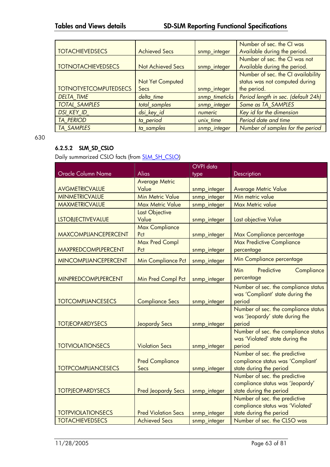|                              |                          |                | Number of sec. the CI was           |
|------------------------------|--------------------------|----------------|-------------------------------------|
| <b>TOTACHIEVEDSECS</b>       | <b>Achieved Secs</b>     | snmp_integer   | Available during the period.        |
|                              |                          |                | Number of sec. the CI was not       |
| <b>TOTNOTACHIEVEDSECS</b>    | <b>Not Achieved Secs</b> | snmp_integer   | Available during the period.        |
|                              |                          |                | Number of sec. the CI availability  |
|                              | Not Yet Computed         |                | status was not computed during      |
| <b>TOTNOTYETCOMPUTEDSECS</b> | Secs                     | snmp_integer   | the period.                         |
| <b>DELTA TIME</b>            | delta time               | snmp_timeticks | Period length in sec. (default 24h) |
| <b>TOTAL SAMPLES</b>         | total samples            | snmp_integer   | Same as TA SAMPLES                  |
| <b>DSI KEY ID</b>            | dsi_key_id               | numeric        | Key id for the dimension            |
| <b>TA PERIOD</b>             | ta_period                | unix time      | Period date and time                |
| <b>TA SAMPLES</b>            | ta samples               | snmp_integer   | Number of samples for the period    |

630

## **6.2.5.2 SLM\_SD\_CSLO**

Daily summarized CSLO facts (from **SLM\_SH\_CSLO**)

|                             |                            | <b>OVPI</b> data |                                        |
|-----------------------------|----------------------------|------------------|----------------------------------------|
| Oracle Column Name          | <b>Alias</b>               | type             | Description                            |
|                             | <b>Average Metric</b>      |                  |                                        |
| <b>AVGMETRICVALUE</b>       | Value                      | snmp_integer     | <b>Average Metric Value</b>            |
| <b>MINMETRICVALUE</b>       | <b>Min Metric Value</b>    | snmp_integer     | Min metric value                       |
| <b>MAXMETRICVALUE</b>       | <b>Max Metric Value</b>    | snmp_integer     | Max Metric value                       |
|                             | Last Objective             |                  |                                        |
| <b>LSTOBJECTIVEVALUE</b>    | Value                      | snmp_integer     | Last objective Value                   |
|                             | <b>Max Compliance</b>      |                  |                                        |
| <b>MAXCOMPLIANCEPERCENT</b> | Pct                        | snmp_integer     | Max Compliance percentage              |
|                             | Max Pred Compl             |                  | <b>Max Predictive Compliance</b>       |
| MAXPREDCOMPLPERCENT         | Pct                        | snmp_integer     | percentage                             |
| <b>MINCOMPLIANCEPERCENT</b> | Min Compliance Pct         | snmp_integer     | Min Compliance percentage              |
|                             |                            |                  | <b>Min</b><br>Predictive<br>Compliance |
| <b>MINPREDCOMPLPERCENT</b>  | Min Pred Compl Pct         | snmp_integer     | percentage                             |
|                             |                            |                  | Number of sec. the compliance status   |
|                             |                            |                  | was 'Compliant' state during the       |
| <b>TOTCOMPLIANCESECS</b>    | <b>Compliance Secs</b>     | snmp_integer     | period                                 |
|                             |                            |                  | Number of sec. the compliance status   |
|                             |                            |                  | was 'Jeopardy' state during the        |
| <b>TOTJEOPARDYSECS</b>      | <b>Jeopardy Secs</b>       | snmp_integer     | period                                 |
|                             |                            |                  | Number of sec. the compliance status   |
|                             |                            |                  | was 'Violated' state during the        |
| <b>TOTVIOLATIONSECS</b>     | <b>Violation Secs</b>      | snmp_integer     | period                                 |
|                             |                            |                  | Number of sec. the predictive          |
|                             | <b>Pred Compliance</b>     |                  | compliance status was 'Compliant'      |
| <b>TOTPCOMPLIANCESECS</b>   | Secs                       | snmp_integer     | state during the period                |
|                             |                            |                  | Number of sec. the predictive          |
|                             |                            |                  | compliance status was 'Jeopardy'       |
| <b>TOTPJEOPARDYSECS</b>     | <b>Pred Jeopardy Secs</b>  | snmp_integer     | state during the period                |
|                             |                            |                  | Number of sec. the predictive          |
|                             |                            |                  | compliance status was 'Violated'       |
| <b>TOTPVIOLATIONSECS</b>    | <b>Pred Violation Secs</b> | snmp_integer     | state during the period                |
| <b>TOTACHIEVEDSECS</b>      | <b>Achieved Secs</b>       | snmp_integer     | Number of sec. the CLSO was            |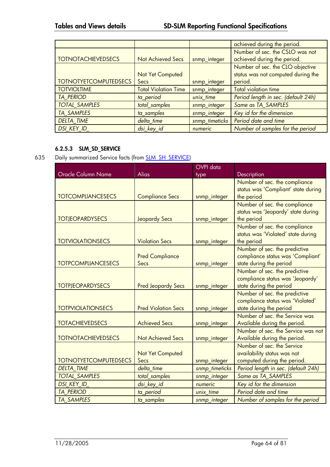|                              |                             |                | achieved during the period.         |
|------------------------------|-----------------------------|----------------|-------------------------------------|
|                              |                             |                | Number of sec. the CSLO was not     |
| <b>TOTNOTACHIEVEDSECS</b>    | <b>Not Achieved Secs</b>    | snmp_integer   | achieved during the period.         |
|                              |                             |                | Number of sec. the CLO objective    |
|                              | Not Yet Computed            |                | status was not computed during the  |
| <b>TOTNOTYETCOMPUTEDSECS</b> | Secs                        | snmp_integer   | period.                             |
| <b>TOTVIOLTIME</b>           | <b>Total Violation Time</b> | snmp_integer   | <b>Total violation time</b>         |
| <b>TA PERIOD</b>             | ta_period                   | unix time      | Period length in sec. (default 24h) |
| <b>TOTAL SAMPLES</b>         | total_samples               | snmp_integer   | Same as TA SAMPLES                  |
| <b>TA SAMPLES</b>            | ta samples                  | snmp_integer   | Key id for the dimension            |
| <b>DELTA TIME</b>            | delta_time                  | snmp_timeticks | Period date and time                |
| <b>DSI KEY ID</b>            | dsi_key_id                  | numeric        | Number of samples for the period    |

## **6.2.5.3 SLM\_SD\_SERVICE**

635 Daily summarized Service facts (from **SLM\_SH\_SERVICE**)

|                              |                                 | <b>OVPI</b> data |                                                                                               |
|------------------------------|---------------------------------|------------------|-----------------------------------------------------------------------------------------------|
| <b>Oracle Column Name</b>    | <b>Alias</b>                    | type             | Description                                                                                   |
| <b>TOTCOMPLIANCESECS</b>     | <b>Compliance Secs</b>          | snmp_integer     | Number of sec. the compliance<br>status was 'Compliant' state during<br>the period            |
| <b>TOTJEOPARDYSECS</b>       | <b>Jeopardy Secs</b>            | snmp_integer     | Number of sec. the compliance<br>status was 'Jeopardy' state during<br>the period             |
| <b>TOTVIOLATIONSECS</b>      | <b>Violation Secs</b>           | snmp_integer     | Number of sec. the compliance<br>status was 'Violated' state during<br>the period             |
| <b>TOTPCOMPLIANCESECS</b>    | <b>Pred Compliance</b><br>Secs  | snmp_integer     | Number of sec. the predictive<br>compliance status was 'Compliant'<br>state during the period |
| <b>TOTPJEOPARDYSECS</b>      | <b>Pred Jeopardy Secs</b>       | snmp_integer     | Number of sec. the predictive<br>compliance status was 'Jeopardy'<br>state during the period  |
| <b>TOTPVIOLATIONSECS</b>     | <b>Pred Violation Secs</b>      | snmp_integer     | Number of sec. the predictive<br>compliance status was 'Violated'<br>state during the period  |
| <b>TOTACHIEVEDSECS</b>       | <b>Achieved Secs</b>            | snmp_integer     | Number of sec. the Service was<br>Available during the period.                                |
| <b>TOTNOTACHIEVEDSECS</b>    | <b>Not Achieved Secs</b>        | snmp_integer     | Number of sec. the Service was not<br>Available during the period.                            |
| <b>TOTNOTYETCOMPUTEDSECS</b> | <b>Not Yet Computed</b><br>Secs | snmp_integer     | Number of sec. the Service<br>availability status was not<br>computed during the period.      |
| <b>DELTA TIME</b>            | delta time                      | snmp_timeticks   | Period length in sec. (default 24h)                                                           |
| <b>TOTAL SAMPLES</b>         | total_samples                   | snmp_integer     | Same as TA_SAMPLES                                                                            |
| <b>DSI KEY ID</b>            | dsi_key_id                      | numeric          | Key id for the dimension                                                                      |
| <b>TA PERIOD</b>             | ta_period                       | unix time        | Period date and time                                                                          |
| <b>TA SAMPLES</b>            | ta_samples                      | snmp_integer     | Number of samples for the period                                                              |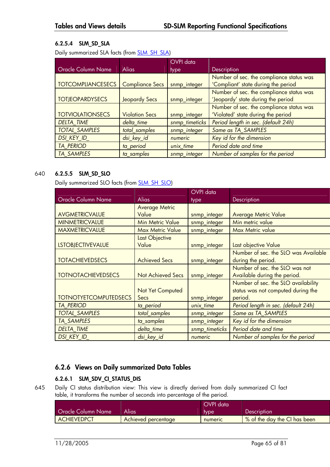## **6.2.5.4 SLM\_SD\_SLA**

Daily summarized SLA facts (from **SLM\_SH\_SLA)** 

|                          |                        | OVPI data      |                                          |
|--------------------------|------------------------|----------------|------------------------------------------|
| Oracle Column Name       | <b>Alias</b>           | type           | Description                              |
|                          |                        |                | Number of sec. the compliance status was |
| <b>TOTCOMPLIANCESECS</b> | <b>Compliance Secs</b> | snmp_integer   | 'Compliant' state during the period      |
|                          |                        |                | Number of sec. the compliance status was |
| <b>TOTJEOPARDYSECS</b>   | <b>Jeopardy Secs</b>   | snmp_integer   | 'Jeopardy' state during the period       |
|                          |                        |                | Number of sec. the compliance status was |
| <b>TOTVIOLATIONSECS</b>  | <b>Violation Secs</b>  | snmp_integer   | 'Violated' state during the period       |
| <b>DELTA TIME</b>        | delta time             | snmp_timeticks | Period length in sec. (default 24h)      |
| <b>TOTAL SAMPLES</b>     | total_samples          | snmp_integer   | Same as TA SAMPLES                       |
| <b>DSI KEY ID</b>        | dsi_key_id             | numeric        | Key id for the dimension                 |
| <b>TA PERIOD</b>         | ta_period              | unix time      | Period date and time                     |
| <b>TA SAMPLES</b>        | ta samples             | snmp_integer   | Number of samples for the period         |

## 640 **6.2.5.5 SLM\_SD\_SLO**

Daily summarized SLO facts (from **SLM\_SH\_SLO)** 

|                              |                          | OVPI data      |                                      |
|------------------------------|--------------------------|----------------|--------------------------------------|
| <b>Oracle Column Name</b>    | <b>Alias</b>             | type           | Description                          |
|                              | <b>Average Metric</b>    |                |                                      |
| AVGMETRICVALUE               | Value                    | snmp_integer   | <b>Average Metric Value</b>          |
| <b>MINMETRICVALUE</b>        | <b>Min Metric Value</b>  | snmp_integer   | Min metric value                     |
| <b>MAXMETRICVALUE</b>        | <b>Max Metric Value</b>  | snmp_integer   | Max Metric value                     |
|                              | Last Objective           |                |                                      |
| <b>LSTOBJECTIVEVALUE</b>     | Value                    | snmp_integer   | Last objective Value                 |
|                              |                          |                | Number of sec. the SLO was Available |
| <b>TOTACHIEVEDSECS</b>       | <b>Achieved Secs</b>     | snmp_integer   | during the period.                   |
|                              |                          |                | Number of sec. the SLO was not       |
| <b>TOTNOTACHIEVEDSECS</b>    | <b>Not Achieved Secs</b> | snmp_integer   | Available during the period.         |
|                              |                          |                | Number of sec. the SLO availability  |
|                              | Not Yet Computed         |                | status was not computed during the   |
| <b>TOTNOTYETCOMPUTEDSECS</b> | Secs                     | snmp_integer   | period.                              |
| <b>TA PERIOD</b>             | ta_period                | unix_time      | Period length in sec. (default 24h)  |
| <b>TOTAL SAMPLES</b>         | total_samples            | snmp_integer   | Same as TA_SAMPLES                   |
| <b>TA SAMPLES</b>            | ta samples               | snmp_integer   | Key id for the dimension             |
| <b>DELTA TIME</b>            | delta_time               | snmp_timeticks | Period date and time                 |
| <b>DSI KEY ID</b>            | dsi_key_id               | numeric        | Number of samples for the period     |

## **6.2.6 Views on Daily summarized Data Tables**

## **6.2.6.1 SLM\_SDV\_CI\_STATUS\_DIS**

645 Daily CI status distribution view: This view is directly derived from daily summarized CI fact table, it transforms the number of seconds into percentage of the period.

|                           |                            | OVPI data |                              |
|---------------------------|----------------------------|-----------|------------------------------|
| <b>Oracle Column Name</b> | Alias                      | type      | Description                  |
| <b>ACHIEVEDPCT</b>        | <b>Achieved percentage</b> | numeric   | % of the day the CI has been |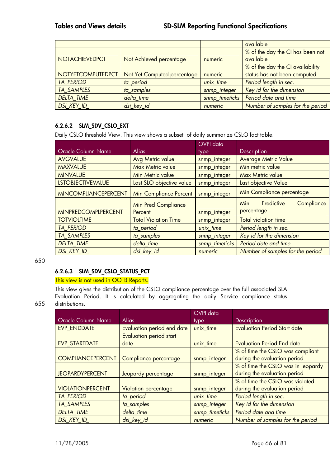|                          |                             |                | available                        |
|--------------------------|-----------------------------|----------------|----------------------------------|
|                          |                             |                | % of the day the CI has been not |
| NOTACHIEVEDPCT           | Not Achieved percentage     | numeric        | available                        |
|                          |                             |                | % of the day the CI availability |
| <b>NOTYETCOMPUTEDPCT</b> | Not Yet Computed percentage | numeric        | status has not been computed     |
| <b>TA PERIOD</b>         | ta period                   | unix time      | Period length in sec.            |
| TA SAMPLES               | ta samples                  | snmp_integer   | Key id for the dimension         |
| <b>DELTA_TIME</b>        | delta_time                  | snmp_timeticks | Period date and time             |
| DSI_KEY_ID_              | dsi_key_id                  | numeric        | Number of samples for the period |

## **6.2.6.2 SLM\_SDV\_CSLO\_EXT**

Daily CSLO threshold View. This view shows a subset of daily summarize CSLO fact table.

|                             |                               | OVPI data      |                                        |
|-----------------------------|-------------------------------|----------------|----------------------------------------|
| <b>Oracle Column Name</b>   | <b>Alias</b>                  | type           | Description                            |
| <b>AVGVALUE</b>             | <b>Avg Metric value</b>       | snmp_integer   | <b>Average Metric Value</b>            |
| <b>MAXVALUE</b>             | <b>Max Metric value</b>       | snmp_integer   | Min metric value                       |
| <b>MINVALUE</b>             | <b>Min Metric value</b>       | snmp_integer   | Max Metric value                       |
| <b>LSTOBJECTIVEVALUE</b>    | Last SLO objective value      | snmp_integer   | Last objective Value                   |
| <b>MINCOMPLIANCEPERCENT</b> | <b>Min Compliance Percent</b> | snmp_integer   | Min Compliance percentage              |
|                             | <b>Min Pred Compliance</b>    |                | Predictive<br>Compliance<br><b>Min</b> |
| <b>MINPREDCOMPLPERCENT</b>  | Percent                       | snmp_integer   | percentage                             |
| <b>TOTVIOLTIME</b>          | <b>Total Violation Time</b>   | snmp_integer   | <b>Total violation time</b>            |
| <b>TA PERIOD</b>            | ta_period                     | unix_time      | Period length in sec.                  |
| <b>TA SAMPLES</b>           | ta_samples                    | snmp_integer   | Key id for the dimension               |
| <b>DELTA TIME</b>           | delta time                    | snmp_timeticks | Period date and time                   |
| DSI_KEY_ID_                 | dsi key id                    | numeric        | Number of samples for the period       |

650

## **6.2.6.3 SLM\_SDV\_CSLO\_STATUS\_PCT**

#### This view is not used in OOTB Reports.

This view gives the distribution of the CSLO compliance percentage over the full associated SLA Evaluation Period. It is calculated by aggregating the daily Service compliance status 655 distributions.

|                          |                                | <b>OVPI</b> data |                                     |
|--------------------------|--------------------------------|------------------|-------------------------------------|
| Oracle Column Name       | <b>Alias</b>                   | type             | Description                         |
| EVP_ENDDATE              | Evaluation period end date     | unix time        | <b>Evaluation Period Start date</b> |
|                          | <b>Evaluation period start</b> |                  |                                     |
| <b>EVP STARTDATE</b>     | date                           | unix_time        | <b>Evaluation Period End date</b>   |
|                          |                                |                  | % of time the CSLO was compliant    |
| <b>COMPLIANCEPERCENT</b> | Compliance percentage          | snmp_integer     | during the evaluation period        |
|                          |                                |                  | % of time the CSLO was in jeopardy  |
| <b>JEOPARDYPERCENT</b>   | Jeopardy percentage            | snmp_integer     | during the evaluation period        |
|                          |                                |                  | % of time the CSLO was violated     |
| <b>VIOLATIONPERCENT</b>  | Violation percentage           | snmp_integer     | during the evaluation period        |
| <b>TA PERIOD</b>         | ta_period                      | unix_time        | Period length in sec.               |
| <b>TA SAMPLES</b>        | ta_samples                     | snmp_integer     | Key id for the dimension            |
| <b>DELTA TIME</b>        | delta time                     | snmp_timeticks   | Period date and time                |
| DSI_KEY_ID_              | dsi_key_id                     | numeric          | Number of samples for the period    |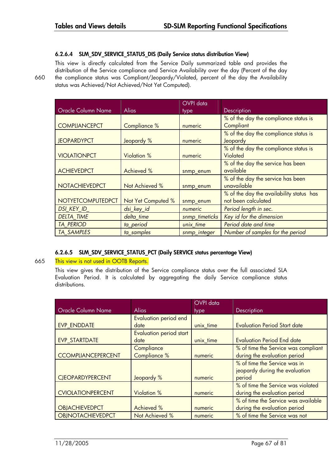#### **6.2.6.4 SLM\_SDV\_SERVICE\_STATUS\_DIS (Daily Service status distribution View)**

This view is directly calculated from the Service Daily summarized table and provides the distribution of the Service compliance and Service Availability over the day (Percent of the day 660 the compliance status was Compliant/Jeopardy/Violated, percent of the day the Availability status was Achieved/Not Achieved/Not Yet Computed).

|                       |                    | OVPI data      |                                          |
|-----------------------|--------------------|----------------|------------------------------------------|
| Oracle Column Name    | <b>Alias</b>       | type           | Description                              |
|                       |                    |                | % of the day the compliance status is    |
| <b>COMPLIANCEPCT</b>  | Compliance %       | numeric        | Compliant                                |
|                       |                    |                | % of the day the compliance status is    |
| <b>JEOPARDYPCT</b>    | Jeopardy %         | numeric        | Jeopardy                                 |
|                       |                    |                | % of the day the compliance status is    |
| <b>VIOLATIONPCT</b>   | <b>Violation %</b> | numeric        | Violated                                 |
|                       |                    |                | % of the day the service has been        |
| <b>ACHIEVEDPCT</b>    | <b>Achieved %</b>  | snmp_enum      | available                                |
|                       |                    |                | % of the day the service has been        |
| <b>NOTACHIEVEDPCT</b> | Not Achieved %     | snmp_enum      | unavailable                              |
|                       |                    |                | % of the day the availability status has |
| NOTYETCOMPUTEDPCT     | Not Yet Computed % | snmp_enum      | not been calculated                      |
| DSI KEY ID            | dsi_key_id         | numeric        | Period length in sec.                    |
| <b>DELTA TIME</b>     | delta_time         | snmp_timeticks | Key id for the dimension                 |
| <b>TA PERIOD</b>      | ta_period          | unix time      | Period date and time                     |
| <b>TA SAMPLES</b>     | ta samples         | snmp_integer   | Number of samples for the period         |

#### **6.2.6.5 SLM\_SDV\_SERVICE\_STATUS\_PCT (Daily SERVICE status percentage View)**

#### 665 This view is not used in OOTB Reports.

This view gives the distribution of the Service compliance status over the full associated SLA Evaluation Period. It is calculated by aggregating the daily Service compliance status distributions.

|                           |                                | OVPI data |                                     |
|---------------------------|--------------------------------|-----------|-------------------------------------|
| <b>Oracle Column Name</b> | <b>Alias</b>                   | type      | Description                         |
|                           | Evaluation period end          |           |                                     |
| EVP ENDDATE               | date                           | unix_time | <b>Evaluation Period Start date</b> |
|                           | <b>Evaluation period start</b> |           |                                     |
| EVP STARTDATE             | date                           | unix time | <b>Evaluation Period End date</b>   |
|                           | Compliance                     |           | % of time the Service was compliant |
| <b>CCOMPLIANCEPERCENT</b> | Compliance %                   | numeric   | during the evaluation period        |
|                           |                                |           | % of time the Service was in        |
|                           |                                |           | jeopardy during the evaluation      |
| <b>CJEOPARDYPERCENT</b>   | Jeopardy %                     | numeric   | period                              |
|                           |                                |           | % of time the Service was violated  |
| <b>CVIOLATIONPERCENT</b>  | <b>Violation %</b>             | numeric   | during the evaluation period        |
|                           |                                |           | % of time the Service was available |
| <b>OBJACHIEVEDPCT</b>     | Achieved %                     | numeric   | during the evaluation period        |
| <b>OBJNOTACHIEVEDPCT</b>  | Not Achieved %                 | numeric   | % of time the Service was not       |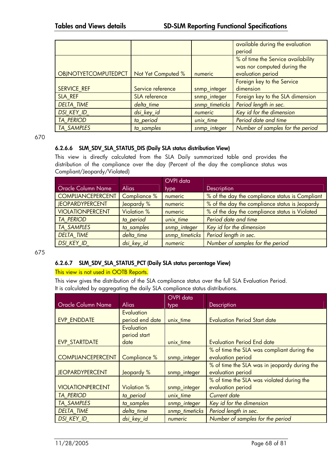|                             |                    |                | available during the evaluation    |
|-----------------------------|--------------------|----------------|------------------------------------|
|                             |                    |                | period                             |
|                             |                    |                | % of time the Service availability |
|                             |                    |                | was nor computed during the        |
| <b>OBJNOTYETCOMPUTEDPCT</b> | Not Yet Computed % | numeric        | evaluation period                  |
|                             |                    |                | Foreign key to the Service         |
| <b>SERVICE REF</b>          | Service reference  | snmp_integer   | dimension                          |
| SLA REF                     | SLA reference      | snmp_integer   | Foreign key to the SLA dimension   |
| <b>DELTA TIME</b>           | delta_time         | snmp_timeticks | Period length in sec.              |
| DSI_KEY_ID_                 | dsi_key_id         | numeric        | Key id for the dimension           |
| <b>TA PERIOD</b>            | ta_period          | unix time      | Period date and time               |
| <b>TA SAMPLES</b>           | ta samples         | snmp_integer   | Number of samples for the period   |

670

### **6.2.6.6 SLM\_SDV\_SLA\_STATUS\_DIS (Daily SLA status distribution View)**

This view is directly calculated from the SLA Daily summarized table and provides the distribution of the compliance over the day (Percent of the day the compliance status was Compliant/Jeopardy/Violated)

|                           |                    | OVPI data      |                                                 |
|---------------------------|--------------------|----------------|-------------------------------------------------|
| <b>Oracle Column Name</b> | Alias              | type           | Description                                     |
| <b>COMPLIANCEPERCENT</b>  | Compliance %       | numeric        | % of the day the compliance status is Compliant |
| <b>JEOPARDYPERCENT</b>    | Jeopardy %         | numeric        | % of the day the compliance status is Jeopardy  |
| <b>VIOLATIONPERCENT</b>   | <b>Violation %</b> | numeric        | % of the day the compliance status is Violated  |
| <b>TA PERIOD</b>          | ta period          | unix time      | Period date and time                            |
| <b>TA SAMPLES</b>         | ta samples         | snmp_integer   | Key id for the dimension                        |
| <b>DELTA TIME</b>         | delta time         | snmp_timeticks | Period length in sec.                           |
| <b>DSI KEY ID</b>         | dsi_key_id         | numeric        | Number of samples for the period                |

675

### **6.2.6.7 SLM\_SDV\_SLA\_STATUS\_PCT (Daily SLA status percentage View)**

#### This view is not used in OOTB Reports.

This view gives the distribution of the SLA compliance status over the full SLA Evaluation Period. It is calculated by aggregating the daily SLA compliance status distributions.

|                           |                                   | <b>OVPI</b> data |                                                                 |
|---------------------------|-----------------------------------|------------------|-----------------------------------------------------------------|
| <b>Oracle Column Name</b> | <b>Alias</b>                      | type             | Description                                                     |
| EVP ENDDATE               | Evaluation<br>period end date     | unix_time        | <b>Evaluation Period Start date</b>                             |
|                           | <b>Evaluation</b><br>period start |                  |                                                                 |
| <b>EVP STARTDATE</b>      | date                              | unix_time        | <b>Evaluation Period End date</b>                               |
| <b>COMPLIANCEPERCENT</b>  | Compliance %                      | snmp_integer     | % of time the SLA was compliant during the<br>evaluation period |
|                           |                                   |                  | % of time the SLA was in jeopardy during the                    |
| <b>JEOPARDYPERCENT</b>    | Jeopardy %                        | snmp_integer     | evaluation period                                               |
|                           |                                   |                  | % of time the SLA was violated during the                       |
| <b>VIOLATIONPERCENT</b>   | <b>Violation %</b>                | snmp_integer     | evaluation period                                               |
| <b>TA PERIOD</b>          | ta_period                         | unix time        | <b>Current date</b>                                             |
| <b>TA SAMPLES</b>         | ta samples                        | snmp_integer     | Key id for the dimension                                        |
| <b>DELTA TIME</b>         | delta_time                        | snmp_timeticks   | Period length in sec.                                           |
| DSI KEY ID                | dsi_key_id                        | numeric          | Number of samples for the period                                |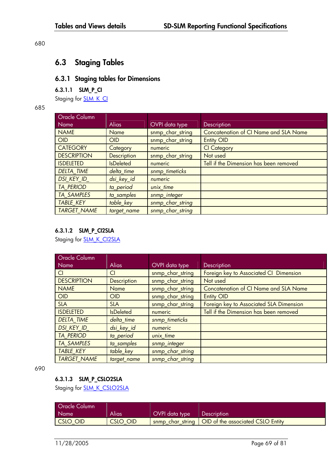#### 680

# **6.3 Staging Tables**

# **6.3.1 Staging tables for Dimensions**

### **6.3.1.1 SLM\_P\_CI**

Staging for **SLM\_K\_CI** 

685

| <b>Oracle Column</b> |                    |                  |                                              |
|----------------------|--------------------|------------------|----------------------------------------------|
| Name                 | <b>Alias</b>       | OVPI data type   | Description                                  |
| <b>NAME</b>          | <b>Name</b>        | snmp_char_string | <b>Concatenation of CI Name and SLA Name</b> |
| <b>OID</b>           | <b>OID</b>         | snmp_char_string | <b>Entity OID</b>                            |
| <b>CATEGORY</b>      | Category           | numeric          | <b>CI</b> Category                           |
| <b>DESCRIPTION</b>   | <b>Description</b> | snmp_char_string | Not used                                     |
| <b>ISDELETED</b>     | <b>IsDeleted</b>   | numeric          | Tell if the Dimension has been removed       |
| <b>DELTA TIME</b>    | delta_time         | snmp_timeticks   |                                              |
| DSI KEY ID           | dsi_key_id         | numeric          |                                              |
| <b>TA PERIOD</b>     | ta_period          | unix time        |                                              |
| <b>TA SAMPLES</b>    | ta_samples         | snmp_integer     |                                              |
| <b>TABLE KEY</b>     | table_key          | snmp_char_string |                                              |
| <b>TARGET NAME</b>   | target_name        | snmp_char_string |                                              |

## **6.3.1.2 SLM\_P\_CI2SLA**

Staging for **SLM\_K\_CI2SLA** 

| <b>Oracle Column</b> |                    |                  |                                              |
|----------------------|--------------------|------------------|----------------------------------------------|
| Name                 | <b>Alias</b>       | OVPI data type   | Description                                  |
| Cl                   | Cl                 | snmp_char_string | Foreign key to Associated CI Dimension       |
| <b>DESCRIPTION</b>   | <b>Description</b> | snmp_char_string | Not used                                     |
| <b>NAME</b>          | Name               | snmp_char_string | <b>Concatenation of CI Name and SLA Name</b> |
| <b>OID</b>           | OID                | snmp_char_string | <b>Entity OID</b>                            |
| <b>SLA</b>           | <b>SLA</b>         | snmp_char_string | Foreign key to Associated SLA Dimension      |
| <b>ISDELETED</b>     | <b>IsDeleted</b>   | numeric          | Tell if the Dimension has been removed       |
| <b>DELTA TIME</b>    | delta time         | snmp_timeticks   |                                              |
| <b>DSI KEY ID</b>    | dsi_key_id         | numeric          |                                              |
| <b>TA PERIOD</b>     | ta_period          | unix time        |                                              |
| <b>TA SAMPLES</b>    | ta samples         | snmp_integer     |                                              |
| <b>TABLE KEY</b>     | table_key          | snmp_char_string |                                              |
| <b>TARGET NAME</b>   | target name        | snmp_char_string |                                              |

690

## **6.3.1.3 SLM\_P\_CSLO2SLA**

Staging for **SLM\_K\_CSLO2SLA** 

| <b>Oracle Column</b> |                 |                |                                                      |
|----------------------|-----------------|----------------|------------------------------------------------------|
| Name                 | Alias           | OVPI data type | Description                                          |
| CSLO OID             | <b>CSLO OID</b> |                | snmp char string   OID of the associated CSLO Entity |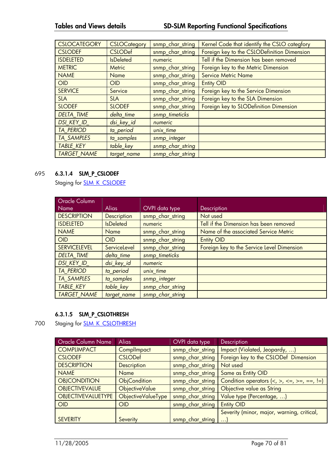| <b>CSLOCATEGORY</b> | <b>CSLOCategory</b> | snmp_char_string | Kernel Code that identify the CSLO categfory |
|---------------------|---------------------|------------------|----------------------------------------------|
| <b>CSLODEF</b>      | <b>CSLODef</b>      | snmp_char_string | Foreign key to the CSLODefinition Dimension  |
| <b>ISDELETED</b>    | <b>IsDeleted</b>    | numeric          | Tell if the Dimension has been removed       |
| <b>METRIC</b>       | Metric              | snmp char string | Foreign key to the Metric Dimension          |
| <b>NAME</b>         | Name                | snmp_char_string | <b>Service Metric Name</b>                   |
| <b>OID</b>          | <b>OID</b>          | snmp_char_string | <b>Entity OID</b>                            |
| <b>SERVICE</b>      | Service             | snmp_char_string | Foreign key to the Service Dimension         |
| <b>SLA</b>          | <b>SLA</b>          | snmp_char_string | Foreign key to the SLA Dimension             |
| <b>SLODEF</b>       | <b>SLODEF</b>       | snmp_char_string | Foreign key to SLODefinition Dimension       |
| <b>DELTA TIME</b>   | delta_time          | snmp_timeticks   |                                              |
| <b>DSI KEY ID</b>   | dsi_key_id          | numeric          |                                              |
| <b>TA PERIOD</b>    | ta_period           | unix_time        |                                              |
| <b>TA SAMPLES</b>   | ta samples          | snmp_integer     |                                              |
| <b>TABLE KEY</b>    | table_key           | snmp_char_string |                                              |
| <b>TARGET NAME</b>  | target name         | snmp char string |                                              |

## 695 **6.3.1.4 SLM\_P\_CSLODEF**

Staging for **SLM\_K\_CSLODEF** 

| Oracle Column<br>Name | <b>Alias</b>     | OVPI data type   | Description                                |
|-----------------------|------------------|------------------|--------------------------------------------|
| <b>DESCRIPTION</b>    | Description      | snmp_char_string | Not used                                   |
| <b>ISDELETED</b>      | <b>IsDeleted</b> | numeric          | Tell if the Dimension has been removed     |
| <b>NAME</b>           | Name             | snmp_char_string | Name of the associated Service Metric      |
| OID                   | OID              | snmp_char_string | <b>Entity OID</b>                          |
| <b>SERVICELEVEL</b>   | ServiceLevel     | snmp_char_string | Foreign key to the Service Level Dimension |
| <b>DELTA TIME</b>     | delta time       | snmp_timeticks   |                                            |
| <b>DSI KEY ID</b>     | dsi_key_id       | numeric          |                                            |
| <b>TA PERIOD</b>      | ta_period        | unix_time        |                                            |
| <b>TA SAMPLES</b>     | ta samples       | snmp_integer     |                                            |
| <b>TABLE KEY</b>      | table_key        | snmp_char_string |                                            |
| <b>TARGET NAME</b>    | target_name      | snmp_char_string |                                            |

## **6.3.1.5 SLM\_P\_CSLOTHRESH**

700 Staging for **SLM\_K\_CSLOTHRESH** 

| <b>Oracle Column Name</b> | <b>Alias</b>          | OVPI data type   | <b>Description</b>                           |
|---------------------------|-----------------------|------------------|----------------------------------------------|
| <b>COMPLIMPACT</b>        | ComplImpact           | snmp_char_string | Impact (Violated, Jeopardy, )                |
| <b>CSLODEF</b>            | <b>CSLODef</b>        | snmp_char_string | Foreign key to the CSLODef Dimension         |
| <b>DESCRIPTION</b>        | <b>Description</b>    | snmp_char_string | Not used                                     |
| <b>NAME</b>               | <b>Name</b>           | snmp_char_string | Same as Entity OID                           |
| <b>OBJCONDITION</b>       | <b>ObjCondition</b>   | snmp_char_string | Condition operators $(<, >, <=, >=, ==, !=)$ |
| <b>OBJECTIVEVALUE</b>     | <b>ObjectiveValue</b> | snmp_char_string | Objective value as String                    |
| <b>OBJECTIVEVALUETYPE</b> | ObjectiveValueType    | snmp_char_string | Value type (Percentage, )                    |
| <b>OID</b>                | <b>OID</b>            | snmp_char_string | <b>Entity OID</b>                            |
|                           |                       |                  | Severity (minor, major, warning, critical,   |
| <b>SEVERITY</b>           | Severity              | snmp_char_string | $\ldots$                                     |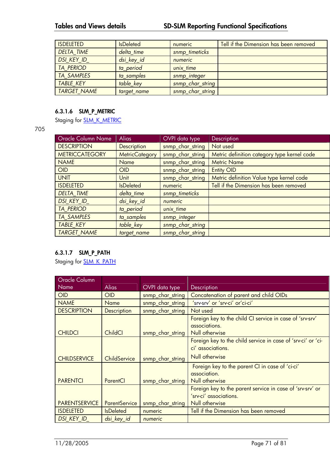| <b>ISDELETED</b>   | <b>IsDeleted</b> | numeric          | Tell if the Dimension has been removed |
|--------------------|------------------|------------------|----------------------------------------|
| <b>DELTA TIME</b>  | delta_time       | snmp_timeticks   |                                        |
| DSI_KEY_ID_        | dsi_key_id       | numeric          |                                        |
| <b>TA PERIOD</b>   | ta period        | unix time        |                                        |
| <b>TA SAMPLES</b>  | ta samples       | snmp_integer     |                                        |
| <b>TABLE KEY</b>   | table_key        | snmp_char_string |                                        |
| <b>TARGET NAME</b> | target_name      | snmp_char_string |                                        |

## **6.3.1.6 SLM\_P\_METRIC**

Staging for **SLM\_K\_METRIC** 

705

| <b>Oracle Column Name</b> | <b>Alias</b>          | OVPI data type   | Description                                 |
|---------------------------|-----------------------|------------------|---------------------------------------------|
| <b>DESCRIPTION</b>        | <b>Description</b>    | snmp_char_string | Not used                                    |
| <b>METRICCATEGORY</b>     | <b>MetricCategory</b> | snmp_char_string | Metric definition category type kernel code |
| <b>NAME</b>               | Name                  | snmp_char_string | <b>Metric Name</b>                          |
| <b>OID</b>                | OID                   | snmp_char_string | <b>Entity OID</b>                           |
| <b>UNIT</b>               | Unit                  | snmp_char_string | Metric definition Value type kernel code    |
| <b>ISDELETED</b>          | <b>IsDeleted</b>      | numeric          | Tell if the Dimension has been removed      |
| <b>DELTA TIME</b>         | delta time            | snmp_timeticks   |                                             |
| <b>DSI KEY ID</b>         | dsi_key_id            | numeric          |                                             |
| <b>TA PERIOD</b>          | ta_period             | unix time        |                                             |
| <b>TA SAMPLES</b>         | ta_samples            | snmp_integer     |                                             |
| <b>TABLE KEY</b>          | table_key             | snmp_char_string |                                             |
| <b>TARGET NAME</b>        | target_name           | snmp_char_string |                                             |

## **6.3.1.7 SLM\_P\_PATH**

Staging for **SLM\_K\_PATH** 

| Oracle Column        |                      |                       |                                                                                                       |
|----------------------|----------------------|-----------------------|-------------------------------------------------------------------------------------------------------|
| <b>Name</b>          | <b>Alias</b>         | <b>OVPI</b> data type | Description                                                                                           |
| <b>OID</b>           | <b>OID</b>           | snmp_char_string      | Concatenation of parent and child OIDs                                                                |
| <b>NAME</b>          | <b>Name</b>          | snmp_char_string      | 'srv-srv' or 'srv-ci' or'ci-ci'                                                                       |
| <b>DESCRIPTION</b>   | <b>Description</b>   | snmp_char_string      | Not used                                                                                              |
| <b>CHILDCI</b>       | <b>ChildCI</b>       | snmp_char_string      | Foreign key to the child CI service in case of 'srv-srv'<br>associations.<br>Null otherwise           |
| <b>CHILDSERVICE</b>  | ChildService         | snmp_char_string      | Foreign key to the child service in case of 'srv-ci' or 'ci-<br>ci' associations.<br>Null otherwise   |
| <b>PARENTCI</b>      | ParentCl             | snmp_char_string      | Foreign key to the parent CI in case of 'ci-ci'<br>association.<br>Null otherwise                     |
| <b>PARENTSERVICE</b> | <b>ParentService</b> | snmp_char_string      | Foreign key to the parent service in case of 'srv-srv' or<br>'srv-ci' associations.<br>Null otherwise |
| <b>ISDELETED</b>     | <b>IsDeleted</b>     | numeric               | Tell if the Dimension has been removed                                                                |
| DSI KEY ID           | dsi key id           | numeric               |                                                                                                       |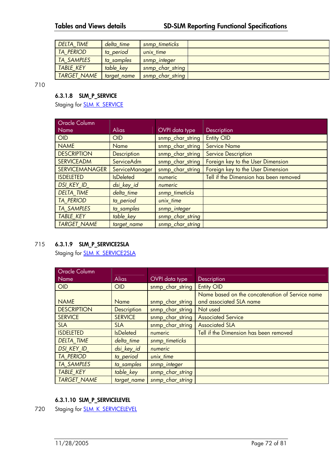| <b>DELTA TIME</b>  | delta time  | snmp timeticks   |  |
|--------------------|-------------|------------------|--|
| <b>TA PERIOD</b>   | ta period   | unix time        |  |
| <b>TA SAMPLES</b>  | ta samples  | snmp_integer     |  |
| <b>TABLE KEY</b>   | table key   | snmp_char_string |  |
| <b>TARGET NAME</b> | target name | snmp_char_string |  |

710

## **6.3.1.8 SLM\_P\_SERVICE**

Staging for **SLM\_K\_SERVICE** 

| <b>Oracle Column</b>  |                    |                       |                                        |
|-----------------------|--------------------|-----------------------|----------------------------------------|
| Name                  | <b>Alias</b>       | <b>OVPI</b> data type | Description                            |
| <b>OID</b>            | OID                | snmp_char_string      | <b>Entity OID</b>                      |
| <b>NAME</b>           | Name               | snmp_char_string      | <b>Service Name</b>                    |
| <b>DESCRIPTION</b>    | <b>Description</b> | snmp_char_string      | <b>Service Description</b>             |
| <b>SERVICEADM</b>     | <b>ServiceAdm</b>  | snmp_char_string      | Foreign key to the User Dimension      |
| <b>SERVICEMANAGER</b> | ServiceManager     | snmp_char_string      | Foreign key to the User Dimension      |
| <b>ISDELETED</b>      | <b>IsDeleted</b>   | numeric               | Tell if the Dimension has been removed |
| <b>DSI KEY ID</b>     | dsi_key_id         | numeric               |                                        |
| <b>DELTA TIME</b>     | delta time         | snmp_timeticks        |                                        |
| <b>TA PERIOD</b>      | ta period          | unix time             |                                        |
| <b>TA SAMPLES</b>     | ta samples         | snmp_integer          |                                        |
| <b>TABLE KEY</b>      | table_key          | snmp_char_string      |                                        |
| <b>TARGET NAME</b>    | target name        | snmp_char_string      |                                        |

## 715 **6.3.1.9 SLM\_P\_SERVICE2SLA**

Staging for **SLM\_K\_SERVICE2SLA** 

| <b>Oracle Column</b> |                  |                  |                                                 |
|----------------------|------------------|------------------|-------------------------------------------------|
| Name                 | <b>Alias</b>     | OVPI data type   | Description                                     |
| <b>OID</b>           | <b>OID</b>       | snmp_char_string | <b>Entity OID</b>                               |
|                      |                  |                  | Name based on the concatenation of Service name |
| <b>NAME</b>          | <b>Name</b>      | snmp_char_string | and associated SLA name                         |
| <b>DESCRIPTION</b>   | Description      | snmp_char_string | Not used                                        |
| <b>SERVICE</b>       | <b>SERVICE</b>   | snmp_char_string | <b>Associated Service</b>                       |
| <b>SLA</b>           | <b>SLA</b>       | snmp_char_string | <b>Associated SLA</b>                           |
| <b>ISDELETED</b>     | <b>IsDeleted</b> | numeric          | Tell if the Dimension has been removed          |
| <b>DELTA TIME</b>    | delta_time       | snmp_timeticks   |                                                 |
| <b>DSI KEY ID</b>    | dsi_key_id       | numeric          |                                                 |
| <b>TA PERIOD</b>     | ta_period        | unix_time        |                                                 |
| <b>TA SAMPLES</b>    | ta samples       | snmp_integer     |                                                 |
| <b>TABLE KEY</b>     | table_key        | snmp_char_string |                                                 |
| <b>TARGET NAME</b>   | target name      | snmp_char_string |                                                 |

## **6.3.1.10 SLM\_P\_SERVICELEVEL**

720 Staging for **SLM\_K\_SERVICELEVEL**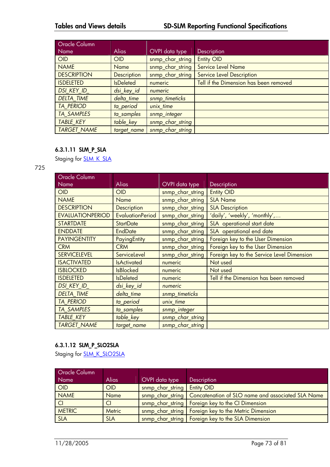| <b>Oracle Column</b> |                    |                  |                                        |
|----------------------|--------------------|------------------|----------------------------------------|
| Name                 | <b>Alias</b>       | OVPI data type   | <b>Description</b>                     |
| <b>OID</b>           | OID                | snmp_char_string | <b>Entity OID</b>                      |
| <b>NAME</b>          | <b>Name</b>        | snmp_char_string | <b>Service Level Name</b>              |
| <b>DESCRIPTION</b>   | <b>Description</b> | snmp_char_string | <b>Service Level Description</b>       |
| <b>ISDELETED</b>     | <b>IsDeleted</b>   | numeric          | Tell if the Dimension has been removed |
| <b>DSI KEY ID</b>    | dsi_key_id         | numeric          |                                        |
| <b>DELTA TIME</b>    | delta time         | snmp_timeticks   |                                        |
| <b>TA PERIOD</b>     | ta_period          | unix time        |                                        |
| <b>TA SAMPLES</b>    | ta samples         | snmp_integer     |                                        |
| <b>TABLE KEY</b>     | table_key          | snmp_char_string |                                        |
| <b>TARGET NAME</b>   | target_name        | snmp_char_string |                                        |

# **6.3.1.11 SLM\_P\_SLA**

Staging for **SLM\_K\_SLA** 

#### 725

| Oracle Column           |                         |                  |                                            |
|-------------------------|-------------------------|------------------|--------------------------------------------|
| Name                    | Alias                   | OVPI data type   | Description                                |
| <b>OID</b>              | <b>OID</b>              | snmp_char_string | <b>Entity OID</b>                          |
| <b>NAME</b>             | <b>Name</b>             | snmp_char_string | <b>SLA Name</b>                            |
| <b>DESCRIPTION</b>      | <b>Description</b>      | snmp_char_string | <b>SLA Description</b>                     |
| <b>EVALUATIONPERIOD</b> | <b>EvaluationPeriod</b> | snmp_char_string | 'daily', 'weekly', 'monthly',              |
| <b>STARTDATE</b>        | <b>StartDate</b>        | snmp_char_string | SLA operational start date                 |
| <b>ENDDATE</b>          | <b>EndDate</b>          | snmp_char_string | SLA operational end date                   |
| <b>PAYINGENTITY</b>     | PayingEntity            | snmp_char_string | Foreign key to the User Dimension          |
| <b>CRM</b>              | <b>CRM</b>              | snmp_char_string | Foreign key to the User Dimension          |
| <b>SERVICELEVEL</b>     | ServiceLevel            | snmp_char_string | Foreign key to the Service Level Dimension |
| <b>ISACTIVATED</b>      | <b>IsActivated</b>      | numeric          | Not used                                   |
| <b>ISBLOCKED</b>        | <b>IsBlocked</b>        | numeric          | Not used                                   |
| <b>ISDELETED</b>        | <b>IsDeleted</b>        | numeric          | Tell if the Dimension has been removed     |
| <b>DSI KEY ID</b>       | dsi_key_id              | numeric          |                                            |
| <b>DELTA TIME</b>       | delta time              | snmp_timeticks   |                                            |
| <b>TA_PERIOD</b>        | ta_period               | unix_time        |                                            |
| <b>TA SAMPLES</b>       | ta samples              | snmp_integer     |                                            |
| <b>TABLE KEY</b>        | table_key               | snmp_char_string |                                            |
| <b>TARGET NAME</b>      | target_name             | snmp_char_string |                                            |

# **6.3.1.12 SLM\_P\_SLO2SLA**

Staging for **SLM\_K\_SLO2SLA** 

| <b>Oracle Column</b> |            |                  |                                                                      |
|----------------------|------------|------------------|----------------------------------------------------------------------|
| Name                 | Alias      | OVPI data type   | Description                                                          |
| <b>OID</b>           | OID        | snmp_char_string | <b>Entity OID</b>                                                    |
| <b>NAME</b>          | Name       |                  | snmp_char_string   Concatenation of SLO name and associated SLA Name |
| Cl                   | CI         |                  | snmp_char_string   Foreign key to the CI Dimension                   |
| <b>METRIC</b>        | Metric     |                  | snmp_char_string   Foreign key to the Metric Dimension               |
| <b>SLA</b>           | <b>SLA</b> |                  | snmp_char_string   Foreign key to the SLA Dimension                  |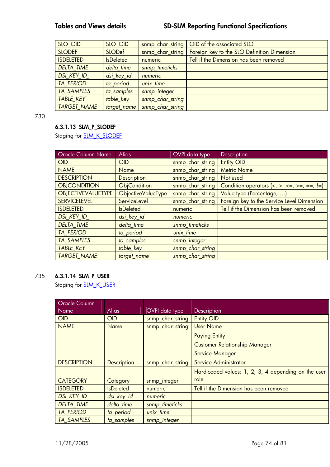| SLO OID            | SLO OID          | snmp_char_string | OID of the associated SLO                   |
|--------------------|------------------|------------------|---------------------------------------------|
| <b>SLODEF</b>      | SLODef           | snmp char string | Foreign key to the SLO Definition Dimension |
| <b>ISDELETED</b>   | <b>IsDeleted</b> | numeric          | Tell if the Dimension has been removed      |
| <b>DELTA TIME</b>  | delta_time       | snmp_timeticks   |                                             |
| DSI_KEY_ID_        | dsi_key_id       | numeric          |                                             |
| <b>TA PERIOD</b>   | ta period        | unix time        |                                             |
| <b>TA SAMPLES</b>  | ta samples       | snmp_integer     |                                             |
| <b>TABLE KEY</b>   | table key        | snmp_char_string |                                             |
| <b>TARGET NAME</b> | target name      | snmp char string |                                             |

730

# **6.3.1.13 SLM\_P\_SLODEF**

Staging for **SLM\_K\_SLODEF** 

| Oracle Column Name        | <b>Alias</b>       | OVPI data type   | Description                                                                                   |
|---------------------------|--------------------|------------------|-----------------------------------------------------------------------------------------------|
| OID                       | <b>OID</b>         | snmp_char_string | <b>Entity OID</b>                                                                             |
| <b>NAME</b>               | <b>Name</b>        | snmp_char_string | <b>Metric Name</b>                                                                            |
| <b>DESCRIPTION</b>        | Description        | snmp_char_string | Not used                                                                                      |
| <b>OBJCONDITION</b>       | ObjCondition       | snmp_char_string | Condition operators $\langle \langle , \rangle, \langle = , \rangle = , =, \langle = \rangle$ |
| <b>OBJECTIVEVALUETYPE</b> | ObjectiveValueType | snmp_char_string | Value type (Percentage, )                                                                     |
| <b>SERVICELEVEL</b>       | ServiceLevel       | snmp_char_string | Foreign key to the Service Level Dimension                                                    |
| <b>ISDELETED</b>          | <b>IsDeleted</b>   | numeric          | Tell if the Dimension has been removed                                                        |
| DSI_KEY_ID_               | dsi_key_id         | numeric          |                                                                                               |
| <b>DELTA TIME</b>         | delta_time         | snmp_timeticks   |                                                                                               |
| <b>TA PERIOD</b>          | ta_period          | unix_time        |                                                                                               |
| <b>TA SAMPLES</b>         | ta_samples         | snmp_integer     |                                                                                               |
| <b>TABLE KEY</b>          | table key          | snmp_char_string |                                                                                               |
| <b>TARGET NAME</b>        | target_name        | snmp_char_string |                                                                                               |

#### 735 **6.3.1.14 SLM\_P\_USER**

Staging for **SLM\_K\_USER** 

| Oracle Column      |                    |                  |                                                     |
|--------------------|--------------------|------------------|-----------------------------------------------------|
| Name               | <b>Alias</b>       | OVPI data type   | Description                                         |
| <b>OID</b>         | <b>OID</b>         | snmp_char_string | <b>Entity OID</b>                                   |
| <b>NAME</b>        | Name               | snmp_char_string | <b>User Name</b>                                    |
|                    |                    |                  | <b>Paying Entity</b>                                |
|                    |                    |                  | <b>Customer Relationship Manager</b>                |
|                    |                    |                  | <b>Service Manager</b>                              |
| <b>DESCRIPTION</b> | <b>Description</b> | snmp_char_string | Service Administrator                               |
|                    |                    |                  | Hard-coded values: 1, 2, 3, 4 depending on the user |
| <b>CATEGORY</b>    | Category           | snmp_integer     | role                                                |
| <b>ISDELETED</b>   | <b>IsDeleted</b>   | numeric          | Tell if the Dimension has been removed              |
| <b>DSI KEY ID</b>  | dsi key id         | numeric          |                                                     |
| <b>DELTA TIME</b>  | delta_time         | snmp_timeticks   |                                                     |
| <b>TA PERIOD</b>   | ta_period          | unix time        |                                                     |
| <b>TA_SAMPLES</b>  | ta samples         | snmp_integer     |                                                     |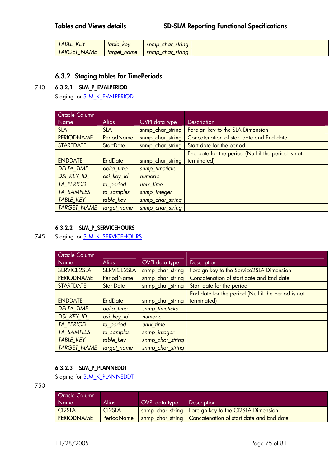| $\mathbf{r}$<br>-<br><b>HDLL</b><br><b>NE</b>                 | table<br>kev<br>$\overline{\phantom{0}}$   | snmp<br>string<br>char<br>$\overline{\phantom{0}}$<br>. . |  |
|---------------------------------------------------------------|--------------------------------------------|-----------------------------------------------------------|--|
| $\overline{1}$<br>NAME<br>Œ<br>٦N<br>$\overline{\phantom{0}}$ | taraet<br>name<br>$\overline{\phantom{0}}$ | string<br>snmp<br>char<br>$-$                             |  |

### **6.3.2 Staging tables for TimePeriods**

#### 740 **6.3.2.1 SLM\_P\_EVALPERIOD**

Staging for **SLM\_K\_EVALPERIOD** 

| Oracle Column      |                   |                  |                                                    |
|--------------------|-------------------|------------------|----------------------------------------------------|
| <b>Name</b>        | <b>Alias</b>      | OVPI data type   | Description                                        |
| <b>SLA</b>         | <b>SLA</b>        | snmp_char_string | Foreign key to the SLA Dimension                   |
| <b>PERIODNAME</b>  | <b>PeriodName</b> | snmp_char_string | Concatenation of start date and End date           |
| <b>STARTDATE</b>   | <b>StartDate</b>  | snmp_char_string | Start date for the period                          |
|                    |                   |                  | End date for the period (Null if the period is not |
| <b>ENDDATE</b>     | <b>EndDate</b>    | snmp_char_string | terminated)                                        |
| <b>DELTA_TIME</b>  | delta time        | snmp_timeticks   |                                                    |
| <b>DSI KEY ID</b>  | dsi_key_id        | numeric          |                                                    |
| <b>TA PERIOD</b>   | ta_period         | unix time        |                                                    |
| <b>TA SAMPLES</b>  | ta_samples        | snmp_integer     |                                                    |
| <b>TABLE KEY</b>   | table_key         | snmp_char_string |                                                    |
| <b>TARGET NAME</b> | target_name       | snmp_char_string |                                                    |

### **6.3.2.2 SLM\_P\_SERVICEHOURS**

# 745 Staging for **SLM\_K\_SERVICEHOURS**

| <b>Oracle Column</b> |                  |                  |                                                    |
|----------------------|------------------|------------------|----------------------------------------------------|
|                      | <b>Alias</b>     |                  |                                                    |
| Name                 |                  | OVPI data type   | <b>Description</b>                                 |
| SERVICE2SLA          | SERVICE2SLA      | snmp_char_string | Foreign key to the Service2SLA Dimension           |
| <b>PERIODNAME</b>    | PeriodName       | snmp_char_string | Concatenation of start date and End date           |
| <b>STARTDATE</b>     | <b>StartDate</b> | snmp_char_string | Start date for the period                          |
|                      |                  |                  | End date for the period (Null if the period is not |
| <b>ENDDATE</b>       | <b>EndDate</b>   | snmp_char_string | terminated)                                        |
| <b>DELTA TIME</b>    | delta time       | snmp_timeticks   |                                                    |
| <b>DSI KEY ID</b>    | dsi_key_id       | numeric          |                                                    |
| <b>TA PERIOD</b>     | ta period        | unix time        |                                                    |
| <b>TA SAMPLES</b>    | ta samples       | snmp_integer     |                                                    |
| <b>TABLE KEY</b>     | table key        | snmp_char_string |                                                    |
| <b>TARGET NAME</b>   | target name      | snmp char string |                                                    |

## **6.3.2.3 SLM\_P\_PLANNEDDT**

Staging for **SLM\_K\_PLANNEDDT** 

750

| <b>Oracle Column</b><br>Name | Alias               | OVPI data type | <b>Description</b>                                          |
|------------------------------|---------------------|----------------|-------------------------------------------------------------|
| CI <sub>2</sub> SLA          | CI <sub>2</sub> SLA |                | snmp char string   Foreign key to the CI2SLA Dimension      |
| <b>PERIODNAME</b>            | PeriodName          |                | snmp_char_string   Concatenation of start date and End date |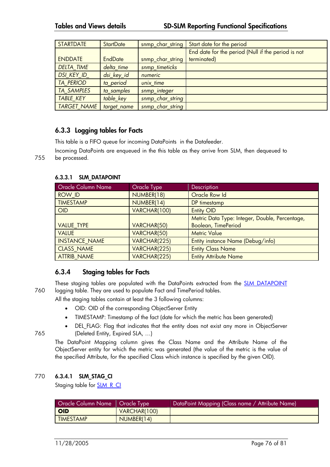| <b>STARTDATE</b>   | <b>StartDate</b> | snmp_char_string | Start date for the period                          |
|--------------------|------------------|------------------|----------------------------------------------------|
|                    |                  |                  | End date for the period (Null if the period is not |
| <b>ENDDATE</b>     | <b>EndDate</b>   | snmp_char_string | terminated)                                        |
| <b>DELTA TIME</b>  | delta time       | snmp_timeticks   |                                                    |
| DSI_KEY_ID_        | dsi_key_id       | numeric          |                                                    |
| <b>TA PERIOD</b>   | ta_period        | unix time        |                                                    |
| <b>TA SAMPLES</b>  | ta_samples       | snmp_integer     |                                                    |
| <b>TABLE KEY</b>   | table_key        | snmp_char_string |                                                    |
| <b>TARGET NAME</b> | target_name      | snmp_char_string |                                                    |

# **6.3.3 Logging tables for Facts**

This table is a FIFO queue for incoming DataPoints in the Datafeeder.

Incoming DataPoints are enqueued in the this table as they arrive from SLM, then dequeued to 755 be processed.

| Oracle Column Name   | Oracle Type  | Description                                    |
|----------------------|--------------|------------------------------------------------|
| <b>ROW ID</b>        | NUMBER(18)   | Oracle Row Id                                  |
| <b>TIMESTAMP</b>     | NUMBER(14)   | DP timestamp                                   |
| <b>OID</b>           | VARCHAR(100) | <b>Entity OID</b>                              |
|                      |              | Metric Data Type: Integer, Double, Percentage, |
| <b>VALUE TYPE</b>    | VARCHAR(50)  | Boolean, TimePeriod                            |
| <b>VALUE</b>         | VARCHAR(50)  | <b>Metric Value</b>                            |
| <b>INSTANCE NAME</b> | VARCHAR(225) | Entity instance Name (Debug/info)              |
| <b>CLASS NAME</b>    | VARCHAR(225) | <b>Entity Class Name</b>                       |
| <b>ATTRIB NAME</b>   | VARCHAR(225) | <b>Entity Attribute Name</b>                   |

#### **6.3.3.1 SLM\_DATAPOINT**

# **6.3.4 Staging tables for Facts**

These staging tables are populated with the DataPoints extracted from the **SLM\_DATAPOINT** 760 logging table. They are used to populate Fact and TimePeriod tables.

All the staging tables contain at least the 3 following columns:

- OID: OID of the corresponding ObjectServer Entity
- TIMESTAMP: Timestamp of the fact (date for which the metric has been generated)
- DEL\_FLAG: Flag that indicates that the entity does not exist any more in ObjectServer 765 (Deleted Entity, Expired SLA, …)

The DataPoint Mapping column gives the Class Name and the Attribute Name of the ObjectServer entity for which the metric was generated (the value of the metric is the value of the specified Attribute, for the specified Class which instance is specified by the given OID).

### 770 **6.3.4.1 SLM\_STAG\_CI**

Staging table for SLM\_R\_CI

| Oracle Column Name   Oracle Type |              | DataPoint Mapping (Class name / Attribute Name) |
|----------------------------------|--------------|-------------------------------------------------|
| <b>OID</b>                       | VARCHAR(100) |                                                 |
| <b>TIMESTAMP</b>                 | NUMBER(14)   |                                                 |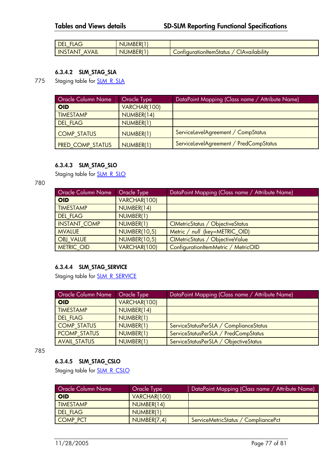| <b>DEL</b><br>LAC<br>$\overline{\phantom{0}}$ | JMBER <sup>(?</sup><br>NL |                                                                  |
|-----------------------------------------------|---------------------------|------------------------------------------------------------------|
| <b>INS</b><br><b>AVAIL</b><br><b>ANI</b>      | <b>UMBER(</b><br>NIL      | ∽<br>$\cdot$<br><u>ClAvailability</u><br>_ontiqurationItem>tatus |

### **6.3.4.2 SLM\_STAG\_SLA**

775 Staging table for **SLM\_R\_SLA** 

| <b>Oracle Column Name</b> | <b>Oracle Type</b> | DataPoint Mapping (Class name / Attribute Name) |
|---------------------------|--------------------|-------------------------------------------------|
| <b>OID</b>                | VARCHAR(100)       |                                                 |
| <b>TIMESTAMP</b>          | NUMBER(14)         |                                                 |
| <b>DEL FLAG</b>           | NUMBER(1)          |                                                 |
| <b>COMP STATUS</b>        | NUMBER(1)          | ServiceLevelAgreement / CompStatus              |
| <b>PRED COMP STATUS</b>   | NUMBER(1)          | ServiceLevelAgreement / PredCompStatus          |

#### **6.3.4.3 SLM\_STAG\_SLO**

Staging table for **SLM\_R\_SLO** 

#### 780

| <b>Oracle Column Name</b> | Oracle Type         | DataPoint Mapping (Class name / Attribute Name) |
|---------------------------|---------------------|-------------------------------------------------|
| <b>OID</b>                | VARCHAR(100)        |                                                 |
| <b>TIMESTAMP</b>          | NUMBER(14)          |                                                 |
| <b>DEL FLAG</b>           | NUMBER(1)           |                                                 |
| <b>INSTANT COMP</b>       | NUMBER(1)           | CIMetricStatus / ObjectiveStatus                |
| <b>MVALUE</b>             | <b>NUMBER(10,5)</b> | Metric / null (key=METRIC OID)                  |
| <b>OBJ VALUE</b>          | <b>NUMBER(10,5)</b> | CIMetricStatus / ObjectiveValue                 |
| METRIC OID                | VARCHAR(100)        | ConfigurationItemMetric / MetricOID             |

# **6.3.4.4 SLM\_STAG\_SERVICE**

Staging table for **SLM\_R\_SERVICE** 

| <b>Oracle Column Name</b> | Oracle Type  | DataPoint Mapping (Class name / Attribute Name) |
|---------------------------|--------------|-------------------------------------------------|
| <b>OID</b>                | VARCHAR(100) |                                                 |
| <b>TIMESTAMP</b>          | NUMBER(14)   |                                                 |
| <b>DEL FLAG</b>           | NUMBER(1)    |                                                 |
| <b>COMP STATUS</b>        | NUMBER(1)    | ServiceStatusPerSLA / ComplianceStatus          |
| <b>PCOMP STATUS</b>       | NUMBER(1)    | ServiceStatusPerSLA / PredCompStatus            |
| <b>AVAIL STATUS</b>       | NUMBER(1)    | ServiceStatusPerSLA / ObjectiveStatus           |

785

### **6.3.4.5 SLM\_STAG\_CSLO**

Staging table for **SLM\_R\_CSLO** 

| <b>Oracle Column Name</b> | Oracle Type  | DataPoint Mapping (Class name / Attribute Name) |
|---------------------------|--------------|-------------------------------------------------|
| <b>OID</b>                | VARCHAR(100) |                                                 |
| <b>TIMESTAMP</b>          | NUMBER(14)   |                                                 |
| <b>DEL FLAG</b>           | NUMBER(1)    |                                                 |
| <b>COMP PCT</b>           | NUMBER(7,4)  | ServiceMetricStatus / CompliancePct             |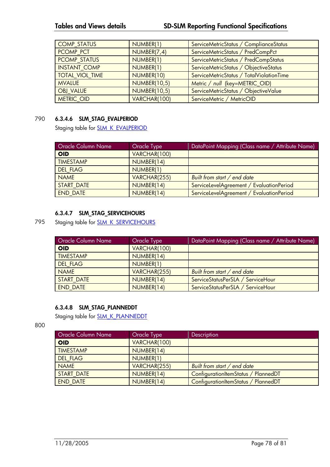| <b>COMP STATUS</b>     | NUMBER(1)           | ServiceMetricStatus / ComplianceStatus   |
|------------------------|---------------------|------------------------------------------|
| <b>PCOMP PCT</b>       | NUMBER(7,4)         | ServiceMetricStatus / PredCompPct        |
| PCOMP_STATUS           | NUMBER(1)           | ServiceMetricStatus / PredCompStatus     |
| <b>INSTANT COMP</b>    | NUMBER(1)           | ServiceMetricStatus / ObjectiveStatus    |
| <b>TOTAL VIOL TIME</b> | NUMBER(10)          | ServiceMetricStatus / TotalViolationTime |
| <b>MVALUE</b>          | <b>NUMBER(10,5)</b> | Metric / null (key=METRIC OID)           |
| <b>OBJ VALUE</b>       | <b>NUMBER(10,5)</b> | ServiceMetricStatus / ObjectiveValue     |
| <b>METRIC OID</b>      | VARCHAR(100)        | ServiceMetric / MetricOID                |

# 790 **6.3.4.6 SLM\_STAG\_EVALPERIOD**

Staging table for **SLM\_K\_EVALPERIOD** 

| <b>Oracle Column Name</b> | Oracle Type  | DataPoint Mapping (Class name / Attribute Name) |
|---------------------------|--------------|-------------------------------------------------|
| <b>OID</b>                | VARCHAR(100) |                                                 |
| <b>TIMESTAMP</b>          | NUMBER(14)   |                                                 |
| <b>DEL FLAG</b>           | NUMBER(1)    |                                                 |
| <b>NAME</b>               | VARCHAR(255) | Built from start / end date                     |
| <b>START DATE</b>         | NUMBER(14)   | ServiceLevelAgreement / EvaluationPeriod        |
| <b>END DATE</b>           | NUMBER(14)   | ServiceLevelAgreement / EvaluationPeriod        |

#### **6.3.4.7 SLM\_STAG\_SERVICEHOURS**

795 Staging table for **SLM\_K\_SERVICEHOURS** 

| <b>Oracle Column Name</b> | Oracle Type  | DataPoint Mapping (Class name / Attribute Name) |
|---------------------------|--------------|-------------------------------------------------|
| <b>OID</b>                | VARCHAR(100) |                                                 |
| <b>TIMESTAMP</b>          | NUMBER(14)   |                                                 |
| <b>DEL FLAG</b>           | NUMBER(1)    |                                                 |
| <b>NAME</b>               | VARCHAR(255) | Built from start / end date                     |
| START DATE                | NUMBER(14)   | ServiceStatusPerSLA / ServiceHour               |
| <b>END DATE</b>           | NUMBER(14)   | ServiceStatusPerSLA / ServiceHour               |

### **6.3.4.8 SLM\_STAG\_PLANNEDDT**

Staging table for **SLM\_K\_PLANNEDDT** 

800

| <b>Oracle Column Name</b> | Oracle Type  | <b>Description</b>                  |
|---------------------------|--------------|-------------------------------------|
| <b>OID</b>                | VARCHAR(100) |                                     |
| <b>TIMESTAMP</b>          | NUMBER(14)   |                                     |
| <b>DEL FLAG</b>           | NUMBER(1)    |                                     |
| <b>NAME</b>               | VARCHAR(255) | Built from start / end date         |
| <b>START DATE</b>         | NUMBER(14)   | ConfigurationItemStatus / PlannedDT |
| <b>END DATE</b>           | NUMBER(14)   | ConfigurationItemStatus / PlannedDT |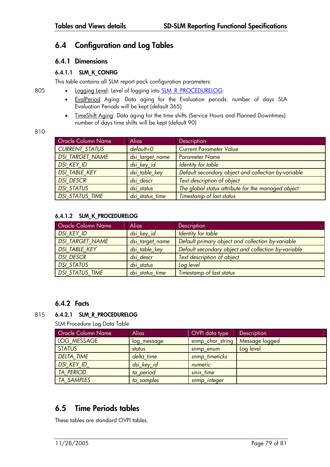# **6.4 Configuration and Log Tables**

## **6.4.1 Dimensions**

### **6.4.1.1 SLM\_K\_CONFIG**

This table contains all SLM report pack configuration parameters:

- 805 Logging Level: Level of logging into **SLM\_R\_PROCEDURELOG** 
	- EvalPeriod Aging: Data aging for the Evaluation periods: number of days SLA Evaluation Periods will be kept (default 365)
	- TimeShift Aging: Data aging for the time shifts (Service Hours and Planned Downtimes): number of days time shifts will be kept (default 90)

810

| <b>Oracle Column Name</b> | <b>Alias</b>    | <b>Description</b>                                  |
|---------------------------|-----------------|-----------------------------------------------------|
| <b>CURRENT STATUS</b>     | $default = 0$   | <b>Current Parameter Value</b>                      |
| <b>DSI TARGET NAME</b>    | dsi_target_name | <b>Parameter Name</b>                               |
| DSI KEY ID                | dsi_key_id      | Identity for table                                  |
| <b>DSI TABLE KEY</b>      | dsi_table_key   | Default secondary object and collection by-variable |
| <b>DSI DESCR</b>          | dsi descr       | Text description of object                          |
| <b>DSI STATUS</b>         | dsi status      | The global status attribute for the managed object  |
| <b>DSI STATUS TIME</b>    | dsi status time | Timestamp of last status                            |

#### **6.4.1.2 SLM\_K\_PROCEDURELOG**

| <b>Oracle Column Name</b> | <b>Alias</b>    | <b>Description</b>                                  |
|---------------------------|-----------------|-----------------------------------------------------|
| <b>DSI KEY ID</b>         | dsi_key_id      | Identity for table                                  |
| <b>DSI TARGET NAME</b>    | dsi_target_name | Default primary object and collection by-variable   |
| <b>DSI TABLE KEY</b>      | dsi_table_key   | Default secondary object and collection by-variable |
| <b>DSI DESCR</b>          | dsi descr       | Text description of object                          |
| <b>DSI STATUS</b>         | dsi status      | Log level                                           |
| <b>DSI STATUS TIME</b>    | dsi_status_time | <b>Timestamp of last status</b>                     |

## **6.4.2 Facts**

## 815 **6.4.2.1 SLM\_R\_PROCEDURELOG**

SLM Procedure Log Data Table

| <b>Oracle Column Name</b> | <b>Alias</b> | OVPI data type   | Description    |
|---------------------------|--------------|------------------|----------------|
| LOG MESSAGE               | log_message  | snmp_char_string | Message logged |
| <b>STATUS</b>             | status       | snmp enum        | Log level      |
| <b>DELTA TIME</b>         | delta time   | snmp timeticks   |                |
| DSI KEY ID                | dsi_key_id   | numeric          |                |
| <b>TA PERIOD</b>          | ta period    | unix time        |                |
| <b>TA SAMPLES</b>         | ta samples   | snmp_integer     |                |

# **6.5 Time Periods tables**

These tables are standard OVPI tables.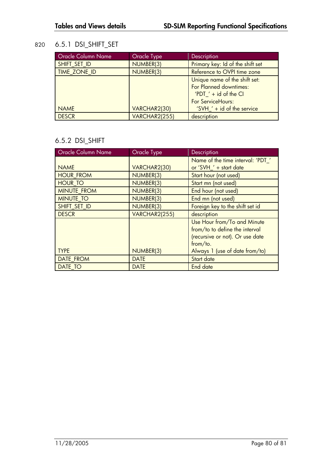# 820 6.5.1 DSI\_SHIFT\_SET

| <b>Oracle Column Name</b> | <b>Oracle Type</b> | Description                                                                                             |
|---------------------------|--------------------|---------------------------------------------------------------------------------------------------------|
| SHIFT_SET_ID              | NUMBER(3)          | Primary key: Id of the shift set                                                                        |
| <b>TIME ZONE ID</b>       | NUMBER(3)          | Reference to OVPI time zone                                                                             |
|                           |                    | Unique name of the shift set:<br>For Planned downtimes:<br>'PDT $'$ + id of the CI<br>For ServiceHours: |
| <b>NAME</b>               | VARCHAR2(30)       | 'SVH $'$ + id of the service                                                                            |
| <b>DESCR</b>              | VARCHAR2(255)      | description                                                                                             |

# 6.5.2 DSI\_SHIFT

| <b>Oracle Column Name</b> | <b>Oracle Type</b> | Description                       |
|---------------------------|--------------------|-----------------------------------|
|                           |                    | Name of the time interval: 'PDT_' |
| <b>NAME</b>               | VARCHAR2(30)       | or 'SVH_' + start date            |
| <b>HOUR FROM</b>          | NUMBER(3)          | Start hour (not used)             |
| <b>HOUR TO</b>            | NUMBER(3)          | Start mn (not used)               |
| <b>MINUTE FROM</b>        | NUMBER(3)          | End hour (not used)               |
| <b>MINUTE TO</b>          | NUMBER(3)          | End mn (not used)                 |
| SHIFT SET ID              | NUMBER(3)          | Foreign key to the shift set id   |
| <b>DESCR</b>              | VARCHAR2(255)      | description                       |
|                           |                    | Use Hour from/To and Minute       |
|                           |                    | from/to to define the interval    |
|                           |                    | (recursive or not). Or use date   |
|                           |                    | from/to.                          |
| <b>TYPE</b>               | NUMBER(3)          | Always 1 (use of date from/to)    |
| DATE FROM                 | <b>DATE</b>        | Start date                        |
| <b>DATE TO</b>            | <b>DATE</b>        | End date                          |